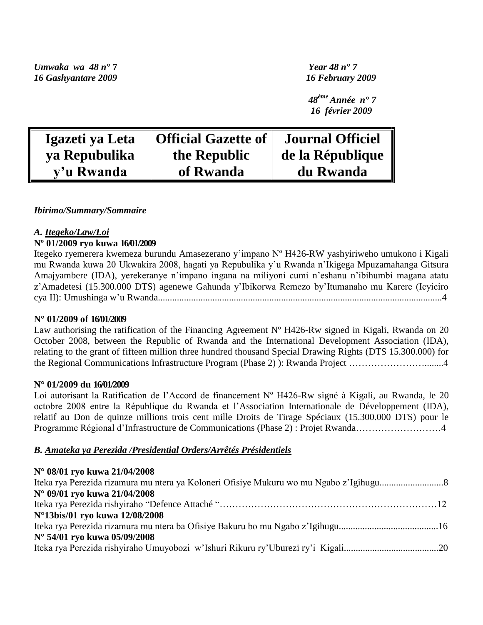*Umwaka wa 48 n°* **7** *Year 48 n° 7 16 Gashyantare 2009 16 February 2009*

 *48ème Année n° 7 16 février 2009*

| Igazeti ya Leta | Official Gazette of | <b>Journal Officiel</b> |
|-----------------|---------------------|-------------------------|
| ya Repubulika   | the Republic        | de la République        |
| y'u Rwanda      | of Rwanda           | du Rwanda               |

#### *Ibirimo/Summary/Sommaire*

#### *A. Itegeko/Law/Loi*

#### **Nº 01/2009 ryo kuwa 16/01/2009**

Itegeko ryemerera kwemeza burundu Amasezerano y"impano Nº H426-RW yashyiriweho umukono i Kigali mu Rwanda kuwa 20 Ukwakira 2008, hagati ya Repubulika y"u Rwanda n"Ikigega Mpuzamahanga Gitsura Amajyambere (IDA), yerekeranye n"impano ingana na miliyoni cumi n"eshanu n"ibihumbi magana atatu z"Amadetesi (15.300.000 DTS) agenewe Gahunda y"Ibikorwa Remezo by"Itumanaho mu Karere (Icyiciro cya II): Umushinga w"u Rwanda........................................................................................................................4

#### **N° 01/2009 of 16/01/2009**

Law authorising the ratification of the Financing Agreement N° H426-Rw signed in Kigali, Rwanda on 20 October 2008, between the Republic of Rwanda and the International Development Association (IDA), relating to the grant of fifteen million three hundred thousand Special Drawing Rights (DTS 15.300.000) for the Regional Communications Infrastructure Program (Phase 2) ): Rwanda Project ……………………........4

#### **N° 01/2009 du 16/01/2009**

Loi autorisant la Ratification de l'Accord de financement N° H426-Rw signé à Kigali, au Rwanda, le 20 octobre 2008 entre la République du Rwanda et l"Association Internationale de Développement (IDA), relatif au Don de quinze millions trois cent mille Droits de Tirage Spéciaux (15.300.000 DTS) pour le Programme Régional d"Infrastructure de Communications (Phase 2) : Projet Rwanda………………………4

#### *B. Amateka ya Perezida /Presidential Orders/Arrêtés Présidentiels*

### **N° 08/01 ryo kuwa 21/04/2008** Iteka rya Perezida rizamura mu ntera ya Koloneri Ofisiye Mukuru wo mu Ngabo z"Igihugu...........................8 **N° 09/01 ryo kuwa 21/04/2008** Iteka rya Perezida rishyiraho "Defence Attaché "……………………………………………………………12 **N°13bis/01 ryo kuwa 12/08/2008** Iteka rya Perezida rizamura mu ntera ba Ofisiye Bakuru bo mu Ngabo z"Igihugu..........................................16 **N° 54/01 ryo kuwa 05/09/2008** Iteka rya Perezida rishyiraho Umuyobozi w"Ishuri Rikuru ry"Uburezi ry"i Kigali........................................20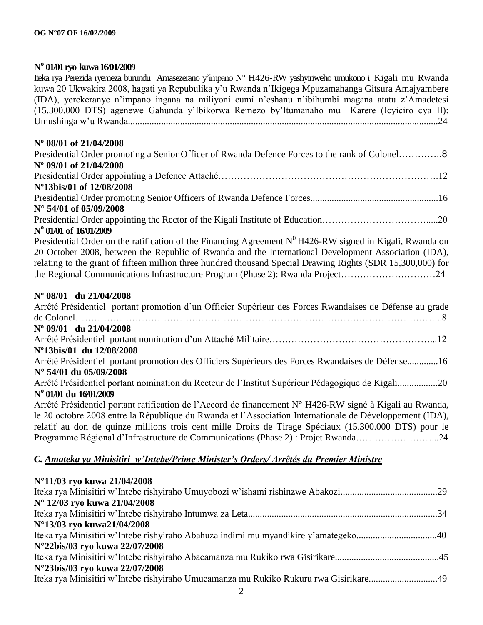### **N <sup>o</sup>01/01 ryo kuwa 16/01/2009**

Iteka rya Perezida ryemeza burundu Amasezerano y"impano Nº H426-RW yashyiriweho umukono i Kigali mu Rwanda kuwa 20 Ukwakira 2008, hagati ya Repubulika y"u Rwanda n"Ikigega Mpuzamahanga Gitsura Amajyambere (IDA), yerekeranye n"impano ingana na miliyoni cumi n"eshanu n"ibihumbi magana atatu z"Amadetesi (15.300.000 DTS) agenewe Gahunda y"Ibikorwa Remezo by"Itumanaho mu Karere (Icyiciro cya II): Umushinga w"u Rwanda...................................................................................................................................24

### **Nº 08/01 of 21/04/2008**

| Presidential Order promoting a Senior Officer of Rwanda Defence Forces to the rank of Colonel8 |  |
|------------------------------------------------------------------------------------------------|--|
| N° 09/01 of 21/04/2008                                                                         |  |
|                                                                                                |  |
| N°13bis/01 of 12/08/2008                                                                       |  |
|                                                                                                |  |
| $N^{\circ}$ 54/01 of 05/09/2008                                                                |  |
|                                                                                                |  |
| N° 01/01 of 16/01/2009                                                                         |  |

Presidential Order on the ratification of the Financing Agreement  $N^0$  H426-RW signed in Kigali, Rwanda on 20 October 2008, between the Republic of Rwanda and the International Development Association (IDA), relating to the grant of fifteen million three hundred thousand Special Drawing Rights (SDR 15,300,000) for the Regional Communications Infrastructure Program (Phase 2): Rwanda Project…………………………24

#### **Nº 08/01 du 21/04/2008**

| Arrêté Présidentiel portant promotion d'un Officier Supérieur des Forces Rwandaises de Défense au grade  |
|----------------------------------------------------------------------------------------------------------|
|                                                                                                          |
| $N^{\circ}$ 09/01 du 21/04/2008                                                                          |
|                                                                                                          |
| N°13bis/01 du 12/08/2008                                                                                 |
| Arrêté Présidentiel portant promotion des Officiers Supérieurs des Forces Rwandaises de Défense16        |
| $N^{\circ}$ 54/01 du 05/09/2008                                                                          |
| Arrêté Présidentiel portant nomination du Recteur de l'Institut Supérieur Pédagogique de Kigali20        |
| Nº 01/01 du 16/01/2009                                                                                   |
| Arrêté Présidentiel portant ratification de l'Accord de financement N° H426-RW signé à Kigali au Rwanda, |
| le 20 octobre 2008 entre la République du Rwanda et l'Association Internationale de Développement (IDA), |
| relatif au don de quinze millions trois cent mille Droits de Tirage Spéciaux (15.300.000 DTS) pour le    |
| Programme Régional d'Infrastructure de Communications (Phase 2) : Projet Rwanda24                        |

### *C. Amateka ya Minisitiri w'Intebe/Prime Minister's Orders/ Arrêtés du Premier Ministre*

| N°11/03 ryo kuwa 21/04/2008                                                           |  |
|---------------------------------------------------------------------------------------|--|
|                                                                                       |  |
| N° 12/03 ryo kuwa 21/04/2008                                                          |  |
|                                                                                       |  |
| N°13/03 ryo kuwa21/04/2008                                                            |  |
|                                                                                       |  |
| N°22bis/03 ryo kuwa 22/07/2008                                                        |  |
|                                                                                       |  |
| N°23bis/03 ryo kuwa 22/07/2008                                                        |  |
| Iteka rya Minisitiri w'Intebe rishyiraho Umucamanza mu Rukiko Rukuru rwa Gisirikare49 |  |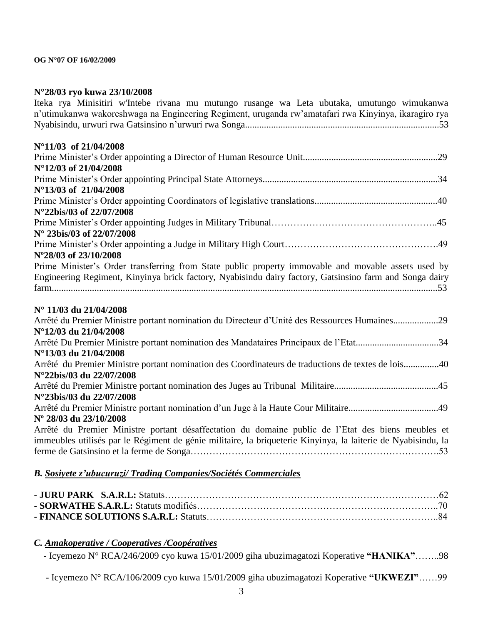### **N°28/03 ryo kuwa 23/10/2008**

| Iteka rya Minisitiri w'Intebe rivana mu mutungo rusange wa Leta ubutaka, umutungo wimukanwa<br>n'utimukanwa wakoreshwaga na Engineering Regiment, uruganda rw'amatafari rwa Kinyinya, ikaragiro rya                 |
|---------------------------------------------------------------------------------------------------------------------------------------------------------------------------------------------------------------------|
| N°11/03 of 21/04/2008                                                                                                                                                                                               |
| N°12/03 of 21/04/2008                                                                                                                                                                                               |
| N°13/03 of 21/04/2008                                                                                                                                                                                               |
| N°22bis/03 of 22/07/2008                                                                                                                                                                                            |
| N° 23bis/03 of 22/07/2008                                                                                                                                                                                           |
| N°28/03 of 23/10/2008                                                                                                                                                                                               |
| Prime Minister's Order transferring from State public property immovable and movable assets used by                                                                                                                 |
| Engineering Regiment, Kinyinya brick factory, Nyabisindu dairy factory, Gatsinsino farm and Songa dairy                                                                                                             |
| N° 11/03 du 21/04/2008                                                                                                                                                                                              |
| Arrêté du Premier Ministre portant nomination du Directeur d'Unité des Ressources Humaines29<br>N°12/03 du 21/04/2008                                                                                               |
| Arrêté Du Premier Ministre portant nomination des Mandataires Principaux de l'Etat34<br>N°13/03 du 21/04/2008                                                                                                       |
| Arrêté du Premier Ministre portant nomination des Coordinateurs de traductions de textes de lois40<br>N°22bis/03 du 22/07/2008                                                                                      |
| N°23bis/03 du 22/07/2008                                                                                                                                                                                            |
| Nº 28/03 du 23/10/2008                                                                                                                                                                                              |
| Arrêté du Premier Ministre portant désaffectation du domaine public de l'Etat des biens meubles et<br>immeubles utilisés par le Régiment de génie militaire, la briqueterie Kinyinya, la laiterie de Nyabisindu, la |
|                                                                                                                                                                                                                     |
| B. Sosiyete z'ubucuruzi/ Trading Companies/Sociétés Commerciales                                                                                                                                                    |

#### *C. Amakoperative / Cooperatives /Coopératives*

- Icyemezo N° RCA/246/2009 cyo kuwa 15/01/2009 giha ubuzimagatozi Koperative **"HANIKA"**……..98

- Icyemezo N° RCA/106/2009 cyo kuwa 15/01/2009 giha ubuzimagatozi Koperative **"UKWEZI"**……99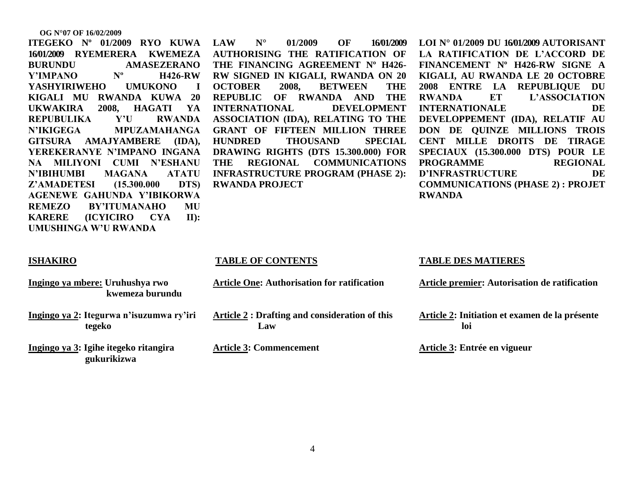**ITEGEKO Nº 01/2009 RYO KUWA 16/01/2009 RYEMERERA KWEMEZA BURUNDU AMASEZERANO Y"IMPANO Nº H426-RW YASHYIRIWEHO UMUKONO I KIGALI MU RWANDA KUWA 20 UKWAKIRA 2008, HAGATI YA REPUBULIKA Y"U RWANDA N"IKIGEGA MPUZAMAHANGA GITSURA AMAJYAMBERE (IDA), YEREKERANYE N"IMPANO INGANA NA MILIYONI CUMI N"ESHANU N"IBIHUMBI MAGANA ATATU Z"AMADETESI (15.300.000 DTS) AGENEWE GAHUNDA Y"IBIKORWA REMEZO BY"ITUMANAHO MU KARERE (ICYICIRO CYA II): UMUSHINGA W"U RWANDA**

**LAW N° 01/2009 OF 16/01/2009 AUTHORISING THE RATIFICATION OF THE FINANCING AGREEMENT Nº H426- RW SIGNED IN KIGALI, RWANDA ON 20 OCTOBER 2008, BETWEEN THE REPUBLIC OF RWANDA AND THE INTERNATIONAL DEVELOPMENT ASSOCIATION (IDA), RELATING TO THE GRANT OF FIFTEEN MILLION THREE HUNDRED THOUSAND SPECIAL DRAWING RIGHTS (DTS 15.300.000) FOR THE REGIONAL COMMUNICATIONS INFRASTRUCTURE PROGRAM (PHASE 2): RWANDA PROJECT**

**LOI N° 01/2009 DU 16/01/2009 AUTORISANT LA RATIFICATION DE L"ACCORD DE FINANCEMENT Nº H426-RW SIGNE A KIGALI, AU RWANDA LE 20 OCTOBRE 2008 ENTRE LA REPUBLIQUE DU RWANDA ET L"ASSOCIATION INTERNATIONALE DE DEVELOPPEMENT (IDA), RELATIF AU DON DE QUINZE MILLIONS TROIS CENT MILLE DROITS DE TIRAGE SPECIAUX (15.300.000 DTS) POUR LE PROGRAMME REGIONAL D"INFRASTRUCTURE DE COMMUNICATIONS (PHASE 2) : PROJET RWANDA**

#### **ISHAKIRO**

- **Ingingo ya mbere: Uruhushya rwo kwemeza burundu**
- **Ingingo ya 2: Itegurwa n"isuzumwa ry"iri tegeko**
- **Ingingo ya 3: Igihe itegeko ritangira gukurikizwa**

#### **TABLE OF CONTENTS**

- **Article One: Authorisation for ratification**
- **Article 2 : Drafting and consideration of this Law**
- **Article 3: Commencement**

#### **TABLE DES MATIERES**

**Article premier: Autorisation de ratification**

**Article 2: Initiation et examen de la présente loi**

**Article 3: Entrée en vigueur**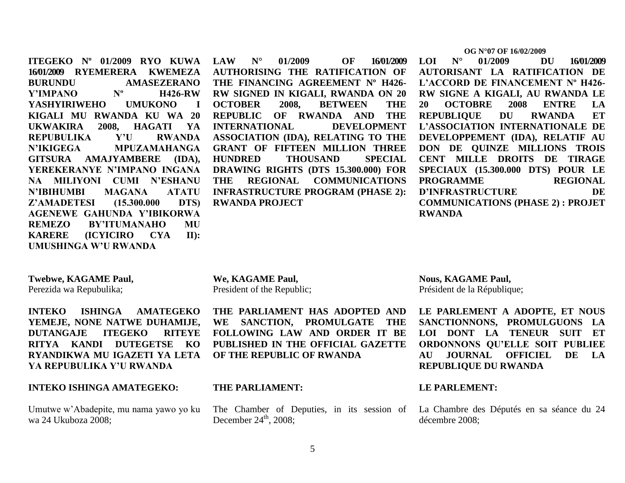**ITEGEKO Nº 01/2009 RYO KUWA 16/01/2009 RYEMERERA KWEMEZA BURUNDU AMASEZERANO Y"IMPANO Nº H426-RW YASHYIRIWEHO UMUKONO I KIGALI MU RWANDA KU WA 20 UKWAKIRA 2008, HAGATI YA REPUBULIKA Y"U RWANDA N"IKIGEGA MPUZAMAHANGA GITSURA AMAJYAMBERE (IDA), YEREKERANYE N"IMPANO INGANA NA MILIYONI CUMI N"ESHANU N"IBIHUMBI MAGANA ATATU Z"AMADETESI (15.300.000 DTS) AGENEWE GAHUNDA Y"IBIKORWA REMEZO BY"ITUMANAHO MU KARERE (ICYICIRO CYA II): UMUSHINGA W"U RWANDA**

**LAW N° 01/2009 OF 16/01/2009 AUTHORISING THE RATIFICATION OF THE FINANCING AGREEMENT Nº H426- RW SIGNED IN KIGALI, RWANDA ON 20 OCTOBER 2008, BETWEEN THE REPUBLIC OF RWANDA AND THE INTERNATIONAL DEVELOPMENT ASSOCIATION (IDA), RELATING TO THE GRANT OF FIFTEEN MILLION THREE HUNDRED THOUSAND SPECIAL DRAWING RIGHTS (DTS 15.300.000) FOR THE REGIONAL COMMUNICATIONS INFRASTRUCTURE PROGRAM (PHASE 2): RWANDA PROJECT**

#### **OG N°07 OF 16/02/2009**

**LOI N° 01/2009 DU 16/01/2009 AUTORISANT LA RATIFICATION DE L"ACCORD DE FINANCEMENT Nº H426- RW SIGNE A KIGALI, AU RWANDA LE 20 OCTOBRE 2008 ENTRE LA REPUBLIQUE DU RWANDA ET L"ASSOCIATION INTERNATIONALE DE DEVELOPPEMENT (IDA), RELATIF AU DON DE QUINZE MILLIONS TROIS CENT MILLE DROITS DE TIRAGE SPECIAUX (15.300.000 DTS) POUR LE PROGRAMME REGIONAL D"INFRASTRUCTURE DE COMMUNICATIONS (PHASE 2) : PROJET RWANDA**

#### **Twebwe, KAGAME Paul,**

Perezida wa Repubulika;

**INTEKO ISHINGA AMATEGEKO YEMEJE, NONE NATWE DUHAMIJE, DUTANGAJE ITEGEKO RITEYE RITYA KANDI DUTEGETSE KO RYANDIKWA MU IGAZETI YA LETA YA REPUBULIKA Y"U RWANDA**

#### **INTEKO ISHINGA AMATEGEKO:**

Umutwe w"Abadepite, mu nama yawo yo ku wa 24 Ukuboza 2008;

**We, KAGAME Paul,** President of the Republic;

**THE PARLIAMENT HAS ADOPTED AND WE SANCTION, PROMULGATE THE FOLLOWING LAW AND ORDER IT BE PUBLISHED IN THE OFFICIAL GAZETTE OF THE REPUBLIC OF RWANDA**

#### **THE PARLIAMENT:**

The Chamber of Deputies, in its session of December  $24<sup>th</sup>$ , 2008;

**Nous, KAGAME Paul,** Président de la République;

**LE PARLEMENT A ADOPTE, ET NOUS SANCTIONNONS, PROMULGUONS LA LOI DONT LA TENEUR SUIT ET ORDONNONS QU"ELLE SOIT PUBLIEE AU JOURNAL OFFICIEL DE LA REPUBLIQUE DU RWANDA**

#### **LE PARLEMENT:**

La Chambre des Députés en sa séance du 24 décembre 2008;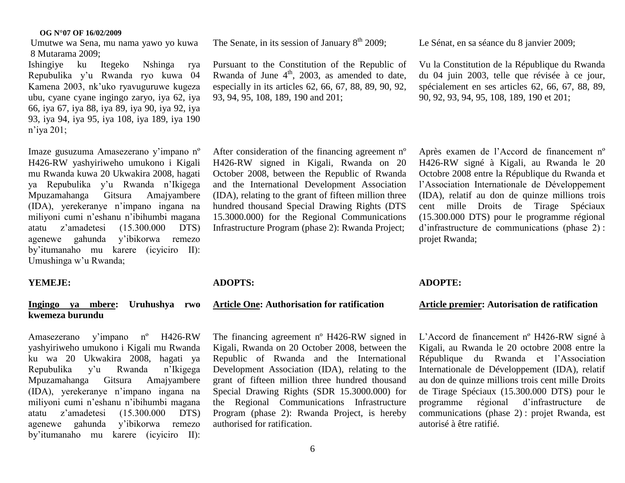Umutwe wa Sena, mu nama yawo yo kuwa 8 Mutarama 2009;

Ishingiye ku Itegeko Nshinga rya Repubulika y"u Rwanda ryo kuwa 04 Kamena 2003, nk"uko ryavuguruwe kugeza ubu, cyane cyane ingingo zaryo, iya 62, iya 66, iya 67, iya 88, iya 89, iya 90, iya 92, iya 93, iya 94, iya 95, iya 108, iya 189, iya 190 n"iya 201;

Imaze gusuzuma Amasezerano y"impano nº H426-RW yashyiriweho umukono i Kigali mu Rwanda kuwa 20 Ukwakira 2008, hagati ya Repubulika y"u Rwanda n"Ikigega Mpuzamahanga Gitsura Amajyambere (IDA), yerekeranye n"impano ingana na miliyoni cumi n"eshanu n"ibihumbi magana atatu z"amadetesi (15.300.000 DTS) agenewe gahunda y"ibikorwa remezo by"itumanaho mu karere (icyiciro II): Umushinga w'u Rwanda;

#### **YEMEJE:**

#### **Ingingo ya mbere: Uruhushya rwo kwemeza burundu**

Amasezerano y"impano nº H426-RW yashyiriweho umukono i Kigali mu Rwanda ku wa 20 Ukwakira 2008, hagati ya Repubulika y"u Rwanda n"Ikigega Mpuzamahanga Gitsura Amajyambere (IDA), yerekeranye n"impano ingana na miliyoni cumi n"eshanu n"ibihumbi magana atatu z"amadetesi (15.300.000 DTS) agenewe gahunda y"ibikorwa remezo by"itumanaho mu karere (icyiciro II):

The Senate, in its session of January  $8<sup>th</sup>$  2009;

Pursuant to the Constitution of the Republic of Rwanda of June  $4<sup>th</sup>$ , 2003, as amended to date, especially in its articles 62, 66, 67, 88, 89, 90, 92, 93, 94, 95, 108, 189, 190 and 201;

Le Sénat, en sa séance du 8 janvier 2009;

Vu la Constitution de la République du Rwanda du 04 juin 2003, telle que révisée à ce jour, spécialement en ses articles 62, 66, 67, 88, 89, 90, 92, 93, 94, 95, 108, 189, 190 et 201;

After consideration of the financing agreement nº H426-RW signed in Kigali, Rwanda on 20 October 2008, between the Republic of Rwanda and the International Development Association (IDA), relating to the grant of fifteen million three hundred thousand Special Drawing Rights (DTS 15.3000.000) for the Regional Communications Infrastructure Program (phase 2): Rwanda Project;

#### **ADOPTS:**

#### **Article One: Authorisation for ratification**

The financing agreement nº H426-RW signed in Kigali, Rwanda on 20 October 2008, between the Republic of Rwanda and the International Development Association (IDA), relating to the grant of fifteen million three hundred thousand Special Drawing Rights (SDR 15.3000.000) for the Regional Communications Infrastructure Program (phase 2): Rwanda Project, is hereby authorised for ratification.

H426-RW signé à Kigali, au Rwanda le 20 Octobre 2008 entre la République du Rwanda et l"Association Internationale de Développement (IDA), relatif au don de quinze millions trois cent mille Droits de Tirage Spéciaux (15.300.000 DTS) pour le programme régional d"infrastructure de communications (phase 2) : projet Rwanda;

Après examen de l"Accord de financement nº

#### **ADOPTE:**

#### **Article premier: Autorisation de ratification**

L"Accord de financement nº H426-RW signé à Kigali, au Rwanda le 20 octobre 2008 entre la République du Rwanda et l"Association Internationale de Développement (IDA), relatif au don de quinze millions trois cent mille Droits de Tirage Spéciaux (15.300.000 DTS) pour le programme régional d"infrastructure de communications (phase 2) : projet Rwanda, est autorisé à être ratifié.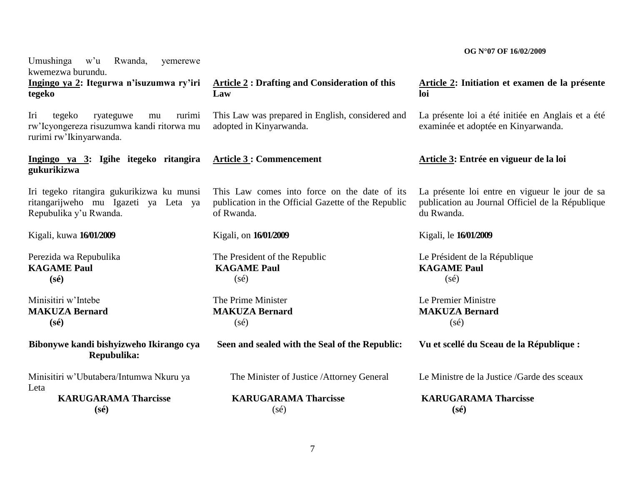Umushinga w"u Rwanda, yemerewe kwemezwa burundu. **Ingingo ya 2: Itegurwa n"isuzumwa ry"iri tegeko**  Iri tegeko ryateguwe mu rurimi rw"Icyongereza risuzumwa kandi ritorwa mu rurimi rw"Ikinyarwanda. **Ingingo ya 3: Igihe itegeko ritangira gukurikizwa** Iri tegeko ritangira gukurikizwa ku munsi ritangarijweho mu Igazeti ya Leta ya Repubulika y"u Rwanda. Kigali, kuwa **16/01/2009** Perezida wa Repubulika **KAGAME Paul (sé)** Minisitiri w"Intebe **MAKUZA Bernard (sé) Bibonywe kandi bishyizweho Ikirango cya Repubulika:** Minisitiri w"Ubutabera/Intumwa Nkuru ya Leta **KARUGARAMA Tharcisse (sé) Article 2 : Drafting and Consideration of this Law** This Law was prepared in English, considered and adopted in Kinyarwanda. **Article 3 : Commencement** This Law comes into force on the date of its publication in the Official Gazette of the Republic of Rwanda. Kigali, on **16/01/2009** The President of the Republic **KAGAME Paul** (sé) The Prime Minister **MAKUZA Bernard**  $(sé)$ **Seen and sealed with the Seal of the Republic:** The Minister of Justice /Attorney General  **KARUGARAMA Tharcisse**  $(sé)$ **Article 2: Initiation et examen de la présente loi** La présente loi a été initiée en Anglais et a été examinée et adoptée en Kinyarwanda. **Article 3: Entrée en vigueur de la loi** La présente loi entre en vigueur le jour de sa publication au Journal Officiel de la République du Rwanda. Kigali, le **16/01/2009** Le Président de la République **KAGAME Paul**  $(s<sub>é</sub>)$ Le Premier Ministre **MAKUZA Bernard**  $(sé)$ **Vu et scellé du Sceau de la République :** Le Ministre de la Justice /Garde des sceaux **KARUGARAMA Tharcisse (sé)**

 **OG N°07 OF 16/02/2009**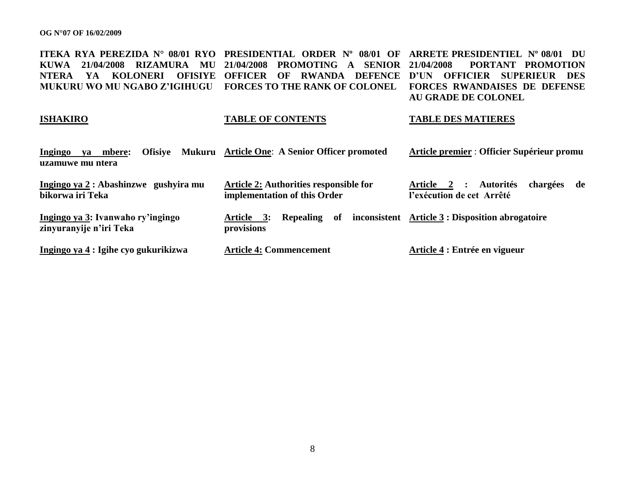**ITEKA RYA PEREZIDA N° 08/01 RYO PRESIDENTIAL ORDER N° 08/01 OF ARRETE PRESIDENTIEL N° 08/01 DU KUWA 21/04/2008 RIZAMURA MU 21/04/2008 PROMOTING A SENIOR NTERA YA KOLONERI OFISIYE OFFICER OF RWANDA DEFENCE D"UN OFFICIER SUPERIEUR DES MUKURU WO MU NGABO Z"IGIHUGU FORCES TO THE RANK OF COLONEL FORCES RWANDAISES DE DEFENSE 21/04/2008 PORTANT PROMOTION AU GRADE DE COLONEL**

#### **ISHAKIRO TABLE OF CONTENTS TABLE DES MATIERES**

| Ingingo<br><b>Ofisive</b><br>va mbere:<br>uzamuwe mu ntera   | Mukuru Article One: A Senior Officer promoted                          | Article premier : Officier Supérieur promu                           |
|--------------------------------------------------------------|------------------------------------------------------------------------|----------------------------------------------------------------------|
| Ingingo ya 2 : Abashinzwe gushyira mu<br>bikorwa iri Teka    | Article 2: Authorities responsible for<br>implementation of this Order | Article 2 : Autorités<br>chargées<br>de<br>l'exécution de cet Arrêté |
| Ingingo ya 3: Ivanwaho ry'ingingo<br>zinyuranyije n'iri Teka | of<br>Article 3:<br><b>Repealing</b><br>provisions                     | inconsistent Article 3 : Disposition abrogatoire                     |
| Ingingo ya 4 : Igihe cyo gukurikizwa                         | <b>Article 4: Commencement</b>                                         | Article 4 : Entrée en vigueur                                        |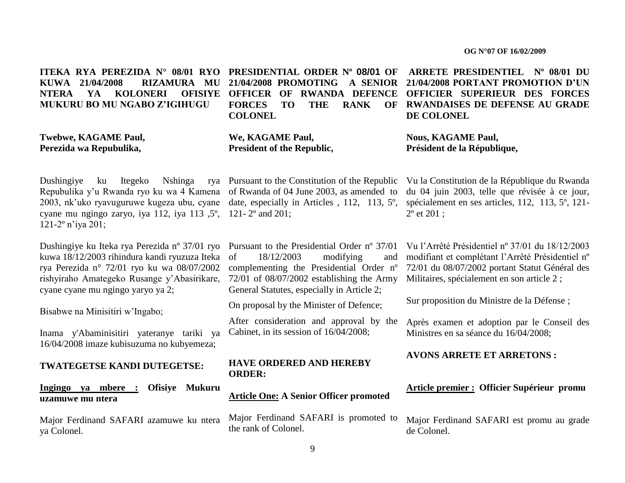**ITEKA RYA PEREZIDA N° 08/01 RYO PRESIDENTIAL ORDER Nº 08/01 OF KUWA 21/04/2008 RIZAMURA MU 21/04/2008 PROMOTING A SENIOR NTERA YA KOLONERI MUKURU BO MU NGABO Z"IGIHUGU**

**Twebwe, KAGAME Paul, Perezida wa Repubulika,**

**FORCES TO THE RANK COLONEL**

**We, KAGAME Paul, President of the Republic,**

Dushingiye ku Itegeko Nshinga Repubulika y"u Rwanda ryo ku wa 4 Kamena of Rwanda of 04 June 2003, as amended to 2003, nk"uko ryavuguruwe kugeza ubu, cyane cyane mu ngingo zaryo, iya 112, iya 113 ,5º, 121- 2º and 201; 121-2º n"iya 201;

Dushingiye ku Iteka rya Perezida nº 37/01 ryo kuwa 18/12/2003 rihindura kandi ryuzuza Iteka rya Perezida n° 72/01 ryo ku wa 08/07/2002 rishyiraho Amategeko Rusange y"Abasirikare, cyane cyane mu ngingo yaryo ya 2;

Bisabwe na Minisitiri w"Ingabo;

Inama y'Abaminisitiri yateranye tariki ya 16/04/2008 imaze kubisuzuma no kubyemeza;

#### **TWATEGETSE KANDI DUTEGETSE:**

#### **Ingingo ya mbere : Ofisiye Mukuru uzamuwe mu ntera**

Major Ferdinand SAFARI azamuwe ku ntera ya Colonel.

Pursuant to the Constitution of the Republic date, especially in Articles , 112, 113, 5º,

> Pursuant to the Presidential Order nº 37/01 of 18/12/2003 modifying and complementing the Presidential Order nº 72/01 of 08/07/2002 establishing the Army General Statutes, especially in Article 2;

On proposal by the Minister of Defence;

After consideration and approval by the Cabinet, in its session of 16/04/2008;

#### **HAVE ORDERED AND HEREBY ORDER:**

#### **Article One: A Senior Officer promoted**

Major Ferdinand SAFARI is promoted to the rank of Colonel.

**OFFICER OF RWANDA DEFENCE OFFICIER SUPERIEUR DES FORCES ARRETE PRESIDENTIEL Nº 08/01 DU 21/04/2008 PORTANT PROMOTION D"UN RWANDAISES DE DEFENSE AU GRADE DE COLONEL**

> **Nous, KAGAME Paul, Président de la République,**

Vu la Constitution de la République du Rwanda du 04 juin 2003, telle que révisée à ce jour, spécialement en ses articles, 112, 113, 5º, 121- 2º et 201 ;

Vu l"Arrêté Présidentiel nº 37/01 du 18/12/2003 modifiant et complétant l"Arrêté Présidentiel nº 72/01 du 08/07/2002 portant Statut Général des Militaires, spécialement en son article 2 ;

Sur proposition du Ministre de la Défense ;

Après examen et adoption par le Conseil des Ministres en sa séance du 16/04/2008;

**AVONS ARRETE ET ARRETONS :**

#### **Article premier : Officier Supérieur promu**

Major Ferdinand SAFARI est promu au grade de Colonel.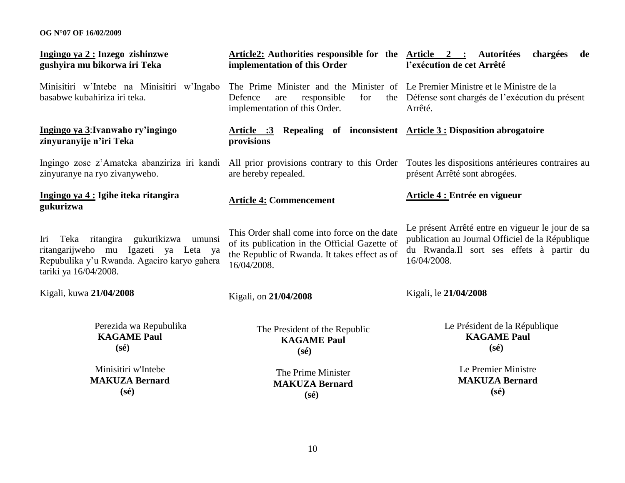| Ingingo ya 2 : Inzego zishinzwe<br>gushyira mu bikorwa iri Teka                                                                                                         | Article2: Authorities responsible for the Article 2 : Autoritées<br>implementation of this Order                                                              | chargées<br>de<br>l'exécution de cet Arrêté                                                                                                                     |
|-------------------------------------------------------------------------------------------------------------------------------------------------------------------------|---------------------------------------------------------------------------------------------------------------------------------------------------------------|-----------------------------------------------------------------------------------------------------------------------------------------------------------------|
| Minisitiri w'Intebe na Minisitiri w'Ingabo<br>basabwe kubahiriza iri teka.                                                                                              | The Prime Minister and the Minister of Le Premier Ministre et le Ministre de la<br>Defence<br>responsible<br>for<br>are<br>implementation of this Order.      | the Défense sont chargés de l'exécution du présent<br>Arrêté.                                                                                                   |
| Ingingo ya 3: Ivanwaho ry'ingingo<br>zinyuranyije n'iri Teka                                                                                                            | <b>Article :3</b> Repealing of inconsistent <b>Article 3 : Disposition abrogatoire</b><br>provisions                                                          |                                                                                                                                                                 |
| Ingingo zose z'Amateka abanziriza iri kandi<br>zinyuranye na ryo zivanyweho.                                                                                            | are hereby repealed.                                                                                                                                          | All prior provisions contrary to this Order Toutes les dispositions antérieures contraires au<br>présent Arrêté sont abrogées.                                  |
| Ingingo ya 4 : Igihe iteka ritangira<br>gukurizwa                                                                                                                       | <b>Article 4: Commencement</b>                                                                                                                                | Article 4 : Entrée en vigueur                                                                                                                                   |
| Teka ritangira<br>gukurikizwa<br>Iri<br>umunsi<br>Igazeti ya<br>ritangarijweho<br>mu<br>Leta ya<br>Repubulika y'u Rwanda. Agaciro karyo gahera<br>tariki ya 16/04/2008. | This Order shall come into force on the date<br>of its publication in the Official Gazette of<br>the Republic of Rwanda. It takes effect as of<br>16/04/2008. | Le présent Arrêté entre en vigueur le jour de sa<br>publication au Journal Officiel de la République<br>du Rwanda.Il sort ses effets à partir du<br>16/04/2008. |
| Kigali, kuwa 21/04/2008                                                                                                                                                 | Kigali, on 21/04/2008                                                                                                                                         | Kigali, le 21/04/2008                                                                                                                                           |
| Perezida wa Repubulika<br><b>KAGAME Paul</b><br>$(s\acute{e})$                                                                                                          | The President of the Republic<br><b>KAGAME Paul</b><br>$(s\acute{e})$                                                                                         | Le Président de la République<br><b>KAGAME Paul</b><br>$(s\acute{e})$                                                                                           |
| Minisitiri w'Intebe<br><b>MAKUZA Bernard</b><br>$(s\acute{e})$                                                                                                          | The Prime Minister<br><b>MAKUZA Bernard</b><br>$(s\acute{e})$                                                                                                 | Le Premier Ministre<br><b>MAKUZA Bernard</b><br>$(s\acute{e})$                                                                                                  |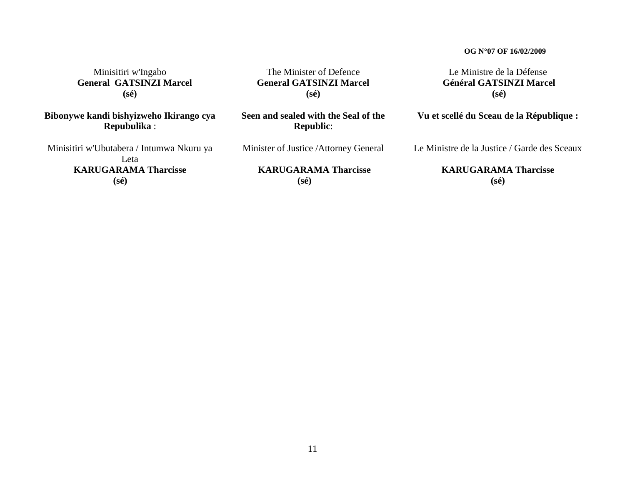Minisitiri w'Ingabo  **General GATSINZI Marcel (sé)**

**Bibonywe kandi bishyizweho Ikirango cya Repubulika** :

Minisitiri w'Ubutabera / Intumwa Nkuru ya Leta **KARUGARAMA Tharcisse (sé)**

The Minister of Defence **General GATSINZI Marcel (sé)**

**Seen and sealed with the Seal of the Republic**:

Minister of Justice /Attorney General

**KARUGARAMA Tharcisse (sé)**

Le Ministre de la Défense **Général GATSINZI Marcel (sé)**

**Vu et scellé du Sceau de la République :**

Le Ministre de la Justice / Garde des Sceaux

**KARUGARAMA Tharcisse (sé)**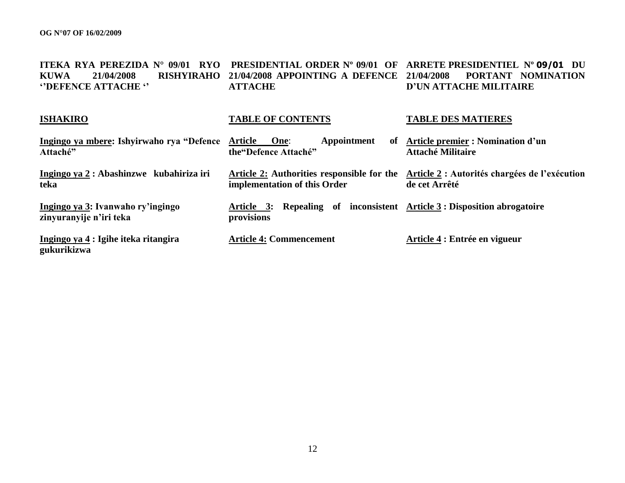| <b>ITEKA RYA PEREZIDA N°</b><br>09/01<br><b>RYO</b><br><b>RISHYIRAHO</b><br><b>KUWA</b><br>21/04/2008<br>"DEFENCE ATTACHE" | PRESIDENTIAL ORDER Nº 09/01 OF<br>21/04/2008 APPOINTING A DEFENCE<br><b>ATTACHE</b>    | ARRETE PRESIDENTIEL Nº 09/01 DU<br>PORTANT NOMINATION<br>21/04/2008<br><b>D'UN ATTACHE MILITAIRE</b> |
|----------------------------------------------------------------------------------------------------------------------------|----------------------------------------------------------------------------------------|------------------------------------------------------------------------------------------------------|
| <b>ISHAKIRO</b>                                                                                                            | <b>TABLE OF CONTENTS</b>                                                               | <b>TABLE DES MATIERES</b>                                                                            |
| Ingingo ya mbere: Ishyirwaho rya "Defence<br>Attaché"                                                                      | Appointment<br>Article<br>One:<br>of<br>the "Defence Attaché"                          | Article premier : Nomination d'un<br><b>Attaché Militaire</b>                                        |
| Ingingo ya 2 : Abashinzwe kubahiriza iri<br>teka                                                                           | Article 2: Authorities responsible for the<br>implementation of this Order             | Article 2 : Autorités chargées de l'exécution<br>de cet Arrêté                                       |
| Ingingo ya 3: Ivanwaho ry'ingingo<br>zinyuranyije n'iri teka                                                               | Article 3: Repealing of inconsistent Article 3 : Disposition abrogatoire<br>provisions |                                                                                                      |
| Ingingo ya 4 : Igihe iteka ritangira<br>gukurikizwa                                                                        | <b>Article 4: Commencement</b>                                                         | Article 4 : Entrée en vigueur                                                                        |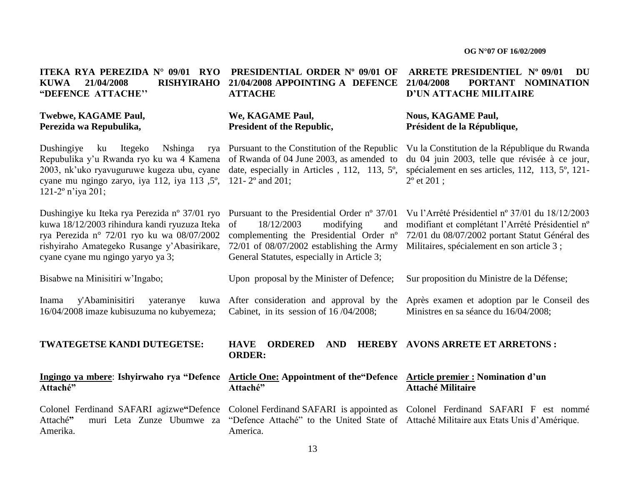#### **ITEKA RYA PEREZIDA N° 09/01 RYO PRESIDENTIAL ORDER Nº 09/01 OF KUWA 21/04/2008 RISHYIRAHO 21/04/2008 APPOINTING A DEFENCE "DEFENCE ATTACHE""**

#### **Twebwe, KAGAME Paul, Perezida wa Repubulika,**

Dushingiye ku Itegeko Nshinga Repubulika y'u Rwanda ryo ku wa 4 Kamena of Rwanda of 04 June 2003, as amended to 2003, nk"uko ryavuguruwe kugeza ubu, cyane cyane mu ngingo zaryo, iya 112, iya 113 ,5º, 121- 2º and 201; 121-2º n"iya 201;

Dushingiye ku Iteka rya Perezida nº 37/01 ryo Pursuant to the Presidential Order nº 37/01 kuwa 18/12/2003 rihindura kandi ryuzuza Iteka rya Perezida n° 72/01 ryo ku wa 08/07/2002 rishyiraho Amategeko Rusange y"Abasirikare, 72/01 of 08/07/2002 establishing the Army cyane cyane mu ngingo yaryo ya 3;

Bisabwe na Minisitiri w"Ingabo;

Inama y'Abaminisitiri yateranye 16/04/2008 imaze kubisuzuma no kubyemeza; After consideration and approval by the

#### **TWATEGETSE KANDI DUTEGETSE:**

**Ingingo ya mbere**: **Ishyirwaho rya "Defence Attaché"**

Attaché**"** muri Leta Zunze Ubumwe za Amerika.

# **ATTACHE**

#### **We, KAGAME Paul, President of the Republic,**

Pursuant to the Constitution of the Republic date, especially in Articles , 112, 113, 5º,

General Statutes, especially in Article 3;

Cabinet, in its session of 16 /04/2008;

Upon proposal by the Minister of Defence;

#### **ARRETE PRESIDENTIEL Nº 09/01 DU 21/04/2008 PORTANT NOMINATION D"UN ATTACHE MILITAIRE**

#### **Nous, KAGAME Paul, Président de la République,**

Vu la Constitution de la République du Rwanda du 04 juin 2003, telle que révisée à ce jour, spécialement en ses articles, 112, 113, 5º, 121- 2º et 201 ;

 $18/12/2003$  modifying and complementing the Presidential Order nº 72/01 du 08/07/2002 portant Statut Général des Vu l"Arrêté Présidentiel nº 37/01 du 18/12/2003 modifiant et complétant l"Arrêté Présidentiel nº Militaires, spécialement en son article 3 ;

Sur proposition du Ministre de la Défense;

Après examen et adoption par le Conseil des Ministres en sa séance du 16/04/2008;

#### **HAVE ORDERED AND ORDER: AVONS ARRETE ET ARRETONS :**

#### **Article One: Appointment of the"Defence Article premier : Nomination d"un Attaché" Attaché Militaire**

Colonel Ferdinand SAFARI agizwe**"**Defence Colonel Ferdinand SAFARI is appointed as Colonel Ferdinand SAFARI F est nommé "Defence Attaché" to the United State of Attaché Militaire aux Etats Unis d"Amérique.America.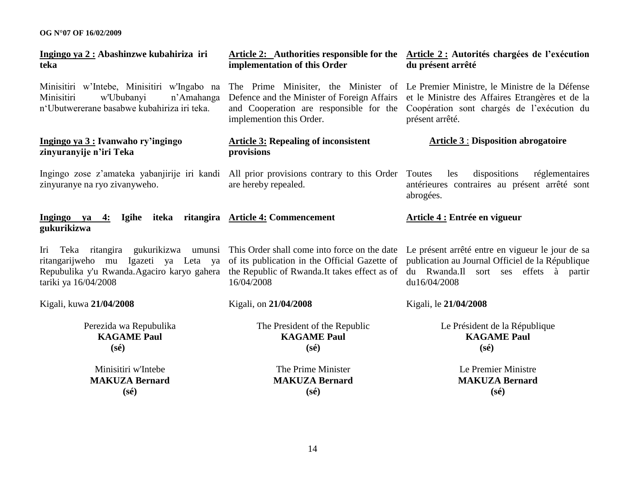| Ingingo ya 2 : Abashinzwe kubahiriza iri<br>teka                                                                                                                                    | implementation of this Order                                                                                       | Article 2: Authorities responsible for the Article 2: Autorités chargées de l'exécution<br>du présent arrêté                                                                                                                  |
|-------------------------------------------------------------------------------------------------------------------------------------------------------------------------------------|--------------------------------------------------------------------------------------------------------------------|-------------------------------------------------------------------------------------------------------------------------------------------------------------------------------------------------------------------------------|
| Minisitiri w'Intebe, Minisitiri w'Ingabo na<br>Minisitiri<br>w'Ububanyi<br>n'Amahanga<br>n'Ubutwererane basabwe kubahiriza iri teka.                                                | Defence and the Minister of Foreign Affairs<br>and Cooperation are responsible for the<br>implemention this Order. | The Prime Minisiter, the Minister of Le Premier Ministre, le Ministre de la Défense<br>et le Ministre des Affaires Etrangères et de la<br>Coopération sont chargés de l'exécution du<br>présent arrêté.                       |
| Ingingo ya 3 : Ivanwaho ry'ingingo<br>zinyuranyije n'iri Teka                                                                                                                       | <b>Article 3: Repealing of inconsistent</b><br>provisions                                                          | <b>Article 3: Disposition abrogatoire</b>                                                                                                                                                                                     |
| Ingingo zose z'amateka yabanjirije iri kandi All prior provisions contrary to this Order Toutes<br>zinyuranye na ryo zivanyweho.                                                    | are hereby repealed.                                                                                               | dispositions<br>réglementaires<br>les<br>antérieures contraires au présent arrêté sont<br>abrogées.                                                                                                                           |
| Ingingo ya 4:<br>gukurikizwa                                                                                                                                                        | Igihe iteka ritangira Article 4: Commencement                                                                      | Article 4 : Entrée en vigueur                                                                                                                                                                                                 |
| Teka ritangira<br>Iri<br>Igazeti ya Leta ya<br>ritangarijweho mu<br>Repubulika y'u Rwanda.Agaciro karyo gahera the Republic of Rwanda.It takes effect as of<br>tariki ya 16/04/2008 | of its publication in the Official Gazette of<br>16/04/2008                                                        | gukurikizwa umunsi This Order shall come into force on the date Le présent arrêté entre en vigueur le jour de sa<br>publication au Journal Officiel de la République<br>du Rwanda.Il sort ses effets à partir<br>du16/04/2008 |
| Kigali, kuwa 21/04/2008                                                                                                                                                             | Kigali, on 21/04/2008                                                                                              | Kigali, le 21/04/2008                                                                                                                                                                                                         |
| Perezida wa Repubulika<br><b>KAGAME Paul</b><br>$(s\acute{e})$                                                                                                                      | The President of the Republic<br><b>KAGAME Paul</b><br>$(s\acute{e})$                                              | Le Président de la République<br><b>KAGAME Paul</b><br>$(s\acute{e})$                                                                                                                                                         |
| Minisitiri w'Intebe<br><b>MAKUZA Bernard</b><br>$(s\acute{e})$                                                                                                                      | The Prime Minister<br><b>MAKUZA Bernard</b><br>$(s\acute{e})$                                                      | Le Premier Ministre<br><b>MAKUZA Bernard</b><br>$(s\acute{e})$                                                                                                                                                                |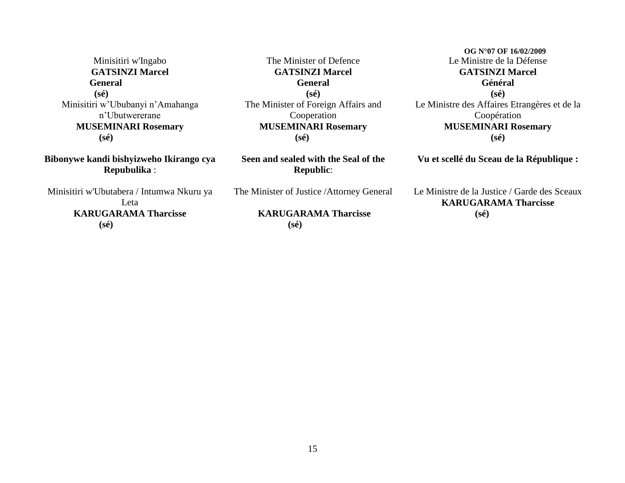Minisitiri w'Ingabo **GATSINZI Marcel General (sé)** Minisitiri w"Ububanyi n"Amahanga n"Ubutwererane **MUSEMINARI Rosemary (sé)**

**Bibonywe kandi bishyizweho Ikirango cya Repubulika** :

Minisitiri w'Ubutabera / Intumwa Nkuru ya Leta **KARUGARAMA Tharcisse (sé)**

The Minister of Defence **GATSINZI Marcel General (sé)** The Minister of Foreign Affairs and Cooperation **MUSEMINARI Rosemary (sé)**

**Seen and sealed with the Seal of the Republic**:

The Minister of Justice /Attorney General

#### **KARUGARAMA Tharcisse (sé)**

 **OG N°07 OF 16/02/2009** Le Ministre de la Défense **GATSINZI Marcel Général (sé)** Le Ministre des Affaires Etrangères et de la Coopération **MUSEMINARI Rosemary (sé)**

**Vu et scellé du Sceau de la République :**

Le Ministre de la Justice / Garde des Sceaux **KARUGARAMA Tharcisse (sé)**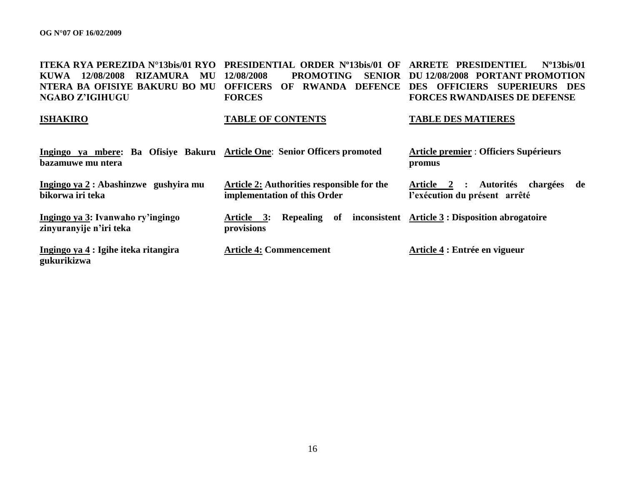| <b>ITEKA RYA PEREZIDA N°13bis/01 RYO</b><br>RIZAMURA<br>MU<br><b>KUWA</b><br>12/08/2008<br>NTERA BA OFISIYE BAKURU BO MU<br><b>NGABO Z'IGIHUGU</b> | PRESIDENTIAL ORDER Nº13bis/01 OF<br>12/08/2008<br><b>PROMOTING</b><br><b>OFFICERS</b><br>RWANDA DEFENCE<br>$\Omega$<br><b>FORCES</b> | <b>ARRETE PRESIDENTIEL</b><br>$No13$ his/01<br>SENIOR DU 12/08/2008 PORTANT PROMOTION<br>DES OFFICIERS SUPERIEURS DES<br><b>FORCES RWANDAISES DE DEFENSE</b> |
|----------------------------------------------------------------------------------------------------------------------------------------------------|--------------------------------------------------------------------------------------------------------------------------------------|--------------------------------------------------------------------------------------------------------------------------------------------------------------|
| <b>ISHAKIRO</b>                                                                                                                                    | <b>TABLE OF CONTENTS</b>                                                                                                             | <b>TABLE DES MATIERES</b>                                                                                                                                    |
| Ingingo ya mbere: Ba Ofisiye Bakuru Article One: Senior Officers promoted<br>bazamuwe mu ntera                                                     |                                                                                                                                      | <b>Article premier : Officiers Supérieurs</b><br>promus                                                                                                      |
| Ingingo ya $2:$ Abashinzwe gushyira mu<br>bikorwa iri teka                                                                                         | Article 2: Authorities responsible for the<br>implementation of this Order                                                           | <b>Autorités</b><br>chargées<br>Article 2 :<br>de<br>l'exécution du présent arrêté                                                                           |
| Ingingo ya 3: Ivanwaho ry'ingingo<br>zinyuranyije n'iri teka                                                                                       | Article 3:<br><b>Repealing</b><br>of<br>provisions                                                                                   | inconsistent Article 3 : Disposition abrogatoire                                                                                                             |

**Ingingo ya 4 : Igihe iteka ritangira gukurikizwa**

**Article 4: Commencement**

**Article 4 : Entrée en vigueur**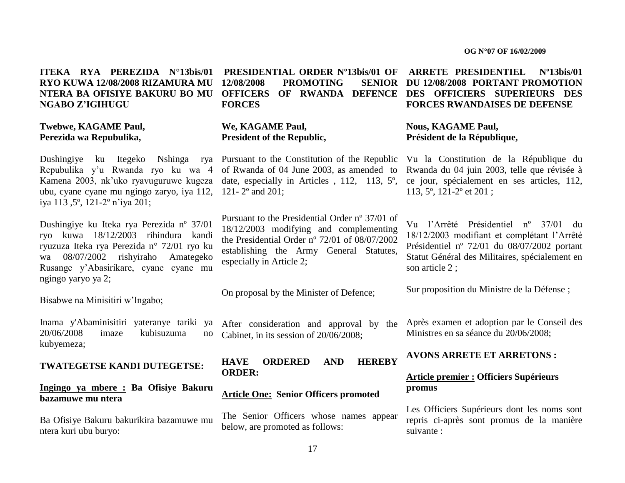#### **ITEKA RYA PEREZIDA N°13bis/01 RYO KUWA 12/08/2008 RIZAMURA MU NTERA BA OFISIYE BAKURU BO MU NGABO Z"IGIHUGU**

#### **Twebwe, KAGAME Paul, Perezida wa Repubulika,**

Dushingiye ku Itegeko Nshinga rya Pursuant to the Constitution of the Republic Repubulika y"u Rwanda ryo ku wa 4 ubu, cyane cyane mu ngingo zaryo, iya 112, 121- 2º and 201; iya 113 ,5º, 121-2º n"iya 201;

Dushingiye ku Iteka rya Perezida nº 37/01 ryo kuwa 18/12/2003 rihindura kandi ryuzuza Iteka rya Perezida n° 72/01 ryo ku wa 08/07/2002 rishyiraho Amategeko Rusange y"Abasirikare, cyane cyane mu ngingo yaryo ya 2;

Bisabwe na Minisitiri w"Ingabo;

Inama y'Abaminisitiri yateranye tariki ya 20/06/2008 imaze kubisuzuma no kubyemeza;

#### **TWATEGETSE KANDI DUTEGETSE:**

#### **Ingingo ya mbere : Ba Ofisiye Bakuru bazamuwe mu ntera**

Ba Ofisiye Bakuru bakurikira bazamuwe mu ntera kuri ubu buryo:

**PRESIDENTIAL ORDER Nº13bis/01 OF 12/08/2008 PROMOTING FORCES**

#### **We, KAGAME Paul, President of the Republic,**

Kamena 2003, nk'uko ryavuguruwe kugeza date, especially in Articles, 112, 113, 5°, of Rwanda of 04 June 2003, as amended to

> Pursuant to the Presidential Order nº 37/01 of 18/12/2003 modifying and complementing the Presidential Order nº 72/01 of 08/07/2002 establishing the Army General Statutes, especially in Article 2;

On proposal by the Minister of Defence;

After consideration and approval by the Cabinet, in its session of 20/06/2008;

**HAVE ORDERED AND HEREBY ORDER:**

#### **Article One: Senior Officers promoted**

The Senior Officers whose names appear below, are promoted as follows:

#### **OFFICERS OF RWANDA DEFENCE DES OFFICIERS SUPERIEURS DES ARRETE PRESIDENTIEL Nº13bis/01 SENIOR DU<sub>12/08/2008 PORTANT PROMOTION**</sub> **FORCES RWANDAISES DE DEFENSE**

#### **Nous, KAGAME Paul, Président de la République,**

Vu la Constitution de la République du Rwanda du 04 juin 2003, telle que révisée à ce jour, spécialement en ses articles, 112, 113, 5º, 121-2º et 201 ;

Vu l"Arrêté Présidentiel nº 37/01 du 18/12/2003 modifiant et complétant l"Arrêté Présidentiel nº 72/01 du 08/07/2002 portant Statut Général des Militaires, spécialement en son article 2 ;

Sur proposition du Ministre de la Défense ;

Après examen et adoption par le Conseil des Ministres en sa séance du 20/06/2008;

#### **AVONS ARRETE ET ARRETONS :**

#### **Article premier : Officiers Supérieurs promus**

Les Officiers Supérieurs dont les noms sont repris ci-après sont promus de la manière suivante :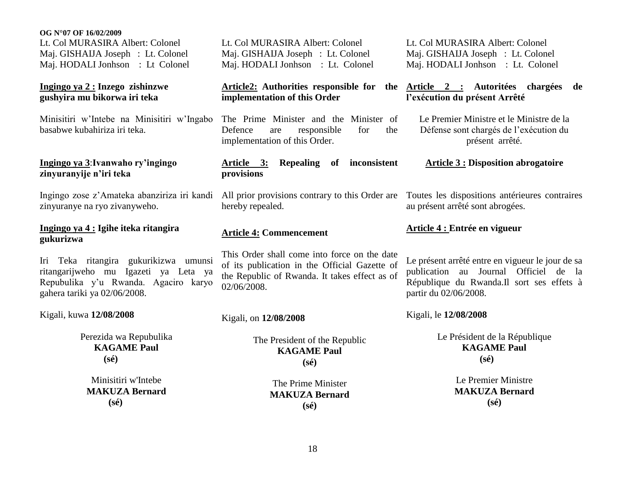Lt. Col MURASIRA Albert: Colonel Maj. GISHAIJA Joseph : Lt. Colonel Maj. HODALI Jonhson : Lt Colonel

#### **Ingingo ya 2 : Inzego zishinzwe gushyira mu bikorwa iri teka**

Minisitiri w"Intebe na Minisitiri w"Ingabo basabwe kubahiriza iri teka.

#### **Ingingo ya 3**:**Ivanwaho ry"ingingo zinyuranyije n"iri teka**

Ingingo zose z"Amateka abanziriza iri kandi zinyuranye na ryo zivanyweho.

#### **Ingingo ya 4 : Igihe iteka ritangira gukurizwa**

Iri Teka ritangira gukurikizwa umunsi ritangarijweho mu Igazeti ya Leta ya Repubulika y"u Rwanda. Agaciro karyo gahera tariki ya 02/06/2008.

Kigali, kuwa **12/08/2008**

Perezida wa Repubulika **KAGAME Paul (sé)**

Minisitiri w'Intebe **MAKUZA Bernard (sé)**

Lt. Col MURASIRA Albert: Colonel Maj. GISHAIJA Joseph : Lt. Colonel Maj. HODALI Jonhson : Lt. Colonel

## **implementation of this Order**

The Prime Minister and the Minister of Defence are responsible for the implementation of this Order.

#### **Article 3: Repealing of inconsistent provisions**

All prior provisions contrary to this Order are hereby repealed.

#### **Article 4: Commencement**

This Order shall come into force on the date of its publication in the Official Gazette of the Republic of Rwanda. It takes effect as of 02/06/2008.

Kigali, on **12/08/2008**

The President of the Republic **KAGAME Paul (sé)**

> The Prime Minister **MAKUZA Bernard (sé)**

Lt. Col MURASIRA Albert: Colonel Maj. GISHAIJA Joseph : Lt. Colonel Maj. HODALI Jonhson : Lt. Colonel

#### **Article2: Authorities responsible for the Article 2 : Autoritées chargées de l"exécution du présent Arrêté**

Le Premier Ministre et le Ministre de la Défense sont chargés de l"exécution du présent arrêté.

#### **Article 3 : Disposition abrogatoire**

Toutes les dispositions antérieures contraires au présent arrêté sont abrogées.

#### **Article 4 : Entrée en vigueur**

Le présent arrêté entre en vigueur le jour de sa publication au Journal Officiel de la République du Rwanda.Il sort ses effets à partir du 02/06/2008.

Kigali, le **12/08/2008**

Le Président de la République **KAGAME Paul (sé)**

> Le Premier Ministre **MAKUZA Bernard (sé)**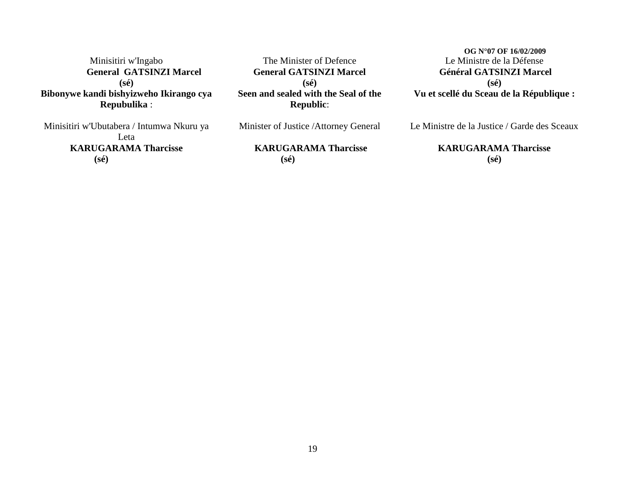Minisitiri w'Ingabo  **General GATSINZI Marcel (sé) Bibonywe kandi bishyizweho Ikirango cya Repubulika** :

Minisitiri w'Ubutabera / Intumwa Nkuru ya Leta **KARUGARAMA Tharcisse (sé)**

The Minister of Defence **General GATSINZI Marcel (sé) Seen and sealed with the Seal of the Republic**:

Minister of Justice /Attorney General

**KARUGARAMA Tharcisse (sé)**

 **OG N°07 OF 16/02/2009** Le Ministre de la Défense **Général GATSINZI Marcel (sé) Vu et scellé du Sceau de la République :**

Le Ministre de la Justice / Garde des Sceaux

#### **KARUGARAMA Tharcisse (sé)**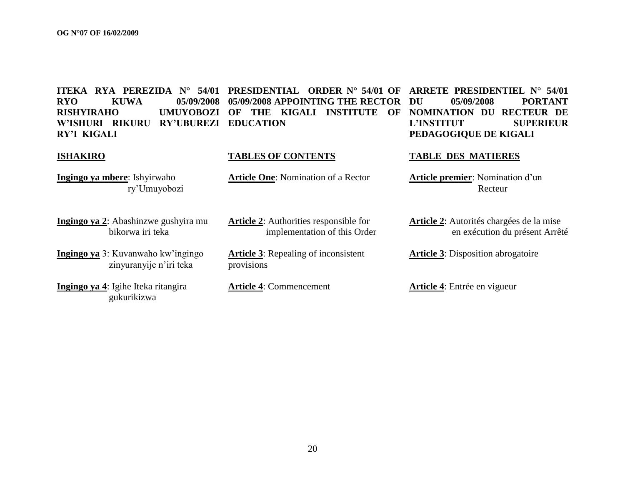**W"ISHURI RIKURU RY"UBUREZI EDUCATION RY"I KIGALI**

**ITEKA RYA PEREZIDA N° 54/01 PRESIDENTIAL ORDER N° 54/01 OF ARRETE PRESIDENTIEL N° 54/01 RYO KUWA 05/09/2008 05/09/2008 APPOINTING THE RECTOR RISHYIRAHO UMUYOBOZI OF THE KIGALI INSTITUTE OF** 

#### **ISHAKIRO TABLES OF CONTENTS TABLE DES MATIERES**

**Ingingo ya mbere**: Ishyirwaho ry"Umuyobozi

**Ingingo ya 2**: Abashinzwe gushyira mu bikorwa iri teka

**Ingingo ya** 3: Kuvanwaho kw"ingingo zinyuranyije n"iri teka

**Ingingo ya 4**: Igihe Iteka ritangira gukurikizwa

**Article 2**: Authorities responsible for implementation of this Order

**Article 3**: Repealing of inconsistent provisions

**Article 4**: Commencement **Article 4**: Entrée en vigueur

**DU 05/09/2008 PORTANT NOMINATION DU RECTEUR DE L"INSTITUT SUPERIEUR PEDAGOGIQUE DE KIGALI**

**Article One**: Nomination of a Rector **Article premier**: Nomination d"un Recteur

> **Article 2**: Autorités chargées de la mise en exécution du présent Arrêté

**Article 3**: Disposition abrogatoire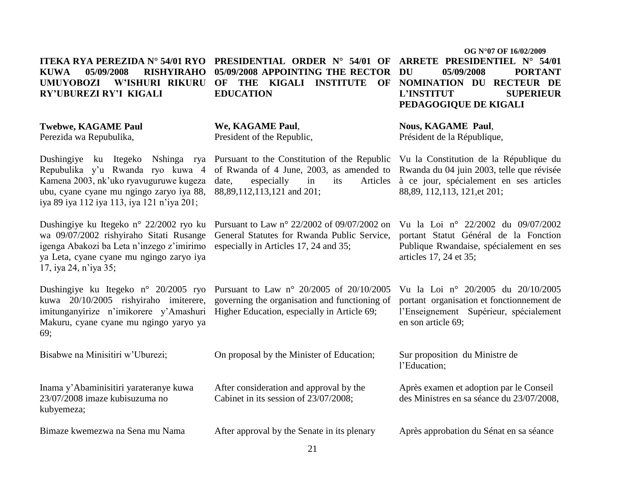**We, KAGAME Paul**, President of the Republic,

**EDUCATION**

Dushingiye ku Itegeko Nshinga rya Pursuant to the Constitution of the Republic Vu la Constitution de la République du of Rwanda of 4 June, 2003, as amended to Rwanda du 04 juin 2003, telle que révisée date, especially in its

> Pursuant to Law n° 22/2002 of 09/07/2002 on General Statutes for Rwanda Public Service, especially in Articles 17, 24 and 35;

Dushingiye ku Itegeko n° 20/2005 ryo Pursuant to Law n° 20/2005 of 20/10/2005 kuwa 20/10/2005 rishyiraho imiterere, governing the organisation and functioning of

Bisabwe na Minisitiri w"Uburezi; On proposal by the Minister of Education; Sur proposition du Ministre de

After consideration and approval by the Cabinet in its session of 23/07/2008;

After approval by the Senate in its plenary

21

 **OG N°07 OF 16/02/2009 ITEKA RYA PEREZIDA N° 54/01 RYO PRESIDENTIAL ORDER N° 54/01 OF ARRETE PRESIDENTIEL N° 54/01 UMUYOBOZI W"ISHURI RIKURU OF THE KIGALI INSTITUTE OF NOMINATION DU RECTEUR DE DU 05/09/2008 PORTANT L"INSTITUT SUPERIEUR PEDAGOGIQUE DE KIGALI**

> **Nous, KAGAME Paul**, Président de la République,

à ce jour, spécialement en ses articles 88,89, 112,113, 121,et 201;

> Vu la Loi n° 22/2002 du 09/07/2002 portant Statut Général de la Fonction Publique Rwandaise, spécialement en ses articles 17, 24 et 35;

> Vu la Loi n° 20/2005 du 20/10/2005 portant organisation et fonctionnement de l"Enseignement Supérieur, spécialement en son article 69;

l"Education;

Après examen et adoption par le Conseil des Ministres en sa séance du 23/07/2008,

Après approbation du Sénat en sa séance

## **KUWA 05/09/2008 RISHYIRAHO 05/09/2008 APPOINTING THE RECTOR RY"UBUREZI RY"I KIGALI**

**Twebwe, KAGAME Paul**

Perezida wa Repubulika,

Repubulika y"u Rwanda ryo kuwa 4 Kamena 2003, nk"uko ryavuguruwe kugeza ubu, cyane cyane mu ngingo zaryo iya 88, 88,89,112,113,121 and 201; iya 89 iya 112 iya 113, iya 121 n"iya 201;

Dushingiye ku Itegeko n° 22/2002 ryo ku wa 09/07/2002 rishyiraho Sitati Rusange igenga Abakozi ba Leta n"inzego z"imirimo ya Leta, cyane cyane mu ngingo zaryo iya 17, iya 24, n"iya 35;

imitunganyirize n'imikorere y'Amashuri Higher Education, especially in Article 69; Makuru, cyane cyane mu ngingo yaryo ya 69;

Inama y"Abaminisitiri yarateranye kuwa 23/07/2008 imaze kubisuzuma no kubyemeza;

Bimaze kwemezwa na Sena mu Nama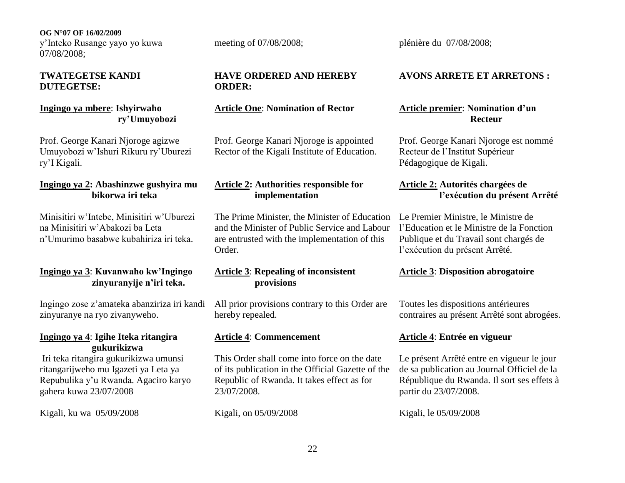**OG N°07 OF 16/02/2009** y"Inteko Rusange yayo yo kuwa 07/08/2008;

#### **TWATEGETSE KANDI DUTEGETSE:**

### **Ingingo ya mbere**: **Ishyirwaho ry"Umuyobozi**

Prof. George Kanari Njoroge agizwe Umuyobozi w"Ishuri Rikuru ry"Uburezi ry"I Kigali.

#### **Ingingo ya 2: Abashinzwe gushyira mu bikorwa iri teka**

Minisitiri w"Intebe, Minisitiri w"Uburezi na Minisitiri w"Abakozi ba Leta n"Umurimo basabwe kubahiriza iri teka.

#### **Ingingo ya 3**: **Kuvanwaho kw"Ingingo zinyuranyije n"iri teka.**

Ingingo zose z"amateka abanziriza iri kandi zinyuranye na ryo zivanyweho.

#### **Ingingo ya 4**: **Igihe Iteka ritangira gukurikizwa**

Iri teka ritangira gukurikizwa umunsi ritangarijweho mu Igazeti ya Leta ya Repubulika y"u Rwanda. Agaciro karyo gahera kuwa 23/07/2008

Kigali, ku wa 05/09/2008

### **HAVE ORDERED AND HEREBY ORDER:**

#### **Article One**: **Nomination of Rector**

Prof. George Kanari Njoroge is appointed Rector of the Kigali Institute of Education.

#### **Article 2: Authorities responsible for implementation**

The Prime Minister, the Minister of Education and the Minister of Public Service and Labour are entrusted with the implementation of this Order.

#### **Article 3**: **Repealing of inconsistent provisions**

All prior provisions contrary to this Order are hereby repealed.

This Order shall come into force on the date of its publication in the Official Gazette of the Republic of Rwanda. It takes effect as for 23/07/2008.

Kigali, on 05/09/2008

meeting of 07/08/2008; plénière du 07/08/2008;

#### **AVONS ARRETE ET ARRETONS :**

### **Article premier**: **Nomination d"un Recteur**

Prof. George Kanari Njoroge est nommé Recteur de l"Institut Supérieur Pédagogique de Kigali.

#### **Article 2: Autorités chargées de l"exécution du présent Arrêté**

Le Premier Ministre, le Ministre de l"Education et le Ministre de la Fonction Publique et du Travail sont chargés de l"exécution du présent Arrêté.

#### **Article 3**: **Disposition abrogatoire**

Toutes les dispositions antérieures contraires au présent Arrêté sont abrogées.

#### **Article 4**: **Commencement Article 4**: **Entrée en vigueur**

Le présent Arrêté entre en vigueur le jour de sa publication au Journal Officiel de la République du Rwanda. Il sort ses effets à partir du 23/07/2008.

Kigali, le 05/09/2008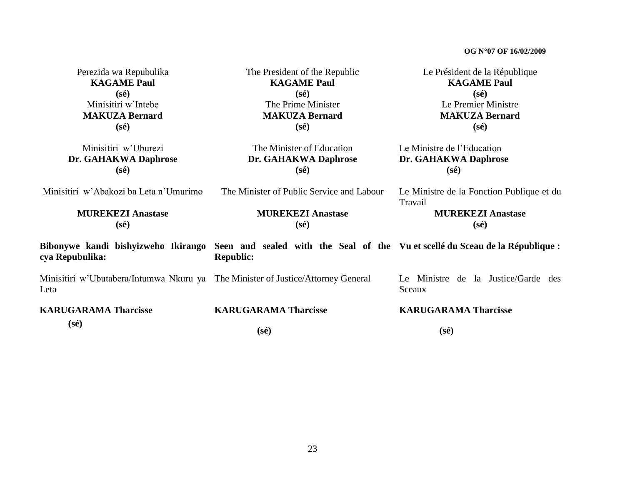| Perezida wa Repubulika<br><b>KAGAME Paul</b><br>$(s\acute{e})$                           | The President of the Republic<br><b>KAGAME Paul</b><br>$(s\acute{e})$                                                               | Le Président de la République<br><b>KAGAME Paul</b><br>$(s\acute{e})$ |
|------------------------------------------------------------------------------------------|-------------------------------------------------------------------------------------------------------------------------------------|-----------------------------------------------------------------------|
| Minisitiri w'Intebe<br><b>MAKUZA Bernard</b><br>$(s\acute{e})$                           | The Prime Minister<br><b>MAKUZA Bernard</b><br>$(s\acute{e})$                                                                       | Le Premier Ministre<br><b>MAKUZA Bernard</b><br>$(s\acute{e})$        |
| Minisitiri w'Uburezi<br>Dr. GAHAKWA Daphrose<br>$(s\acute{e})$                           | The Minister of Education<br>Dr. GAHAKWA Daphrose<br>$(s\acute{e})$                                                                 | Le Ministre de l'Education<br>Dr. GAHAKWA Daphrose<br>$(s\acute{e})$  |
| Minisitiri w'Abakozi ba Leta n'Umurimo                                                   | The Minister of Public Service and Labour                                                                                           | Le Ministre de la Fonction Publique et du<br>Travail                  |
| <b>MUREKEZI Anastase</b><br>(sé)                                                         | <b>MUREKEZI Anastase</b><br>$(s\acute{e})$                                                                                          | <b>MUREKEZI Anastase</b><br>$(s\acute{e})$                            |
| cya Repubulika:                                                                          | Bibonywe kandi bishyizweho Ikirango Seen and sealed with the Seal of the Vuet scellé du Sceau de la République:<br><b>Republic:</b> |                                                                       |
| Minisitiri w'Ubutabera/Intumwa Nkuru ya The Minister of Justice/Attorney General<br>Leta |                                                                                                                                     | Le Ministre de la Justice/Garde des<br>Sceaux                         |
| <b>KARUGARAMA Tharcisse</b>                                                              | <b>KARUGARAMA Tharcisse</b>                                                                                                         | <b>KARUGARAMA Tharcisse</b>                                           |
| $(s\acute{e})$                                                                           | $(s\acute{e})$                                                                                                                      | $(s\acute{e})$                                                        |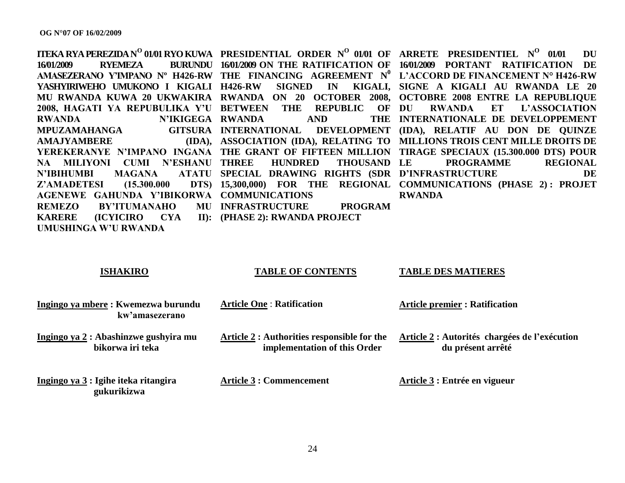**ITEKA RYA PEREZIDA N O 01/01 RYO KUWA PRESIDENTIAL ORDER N<sup>O</sup> 01/01 OF ARRETE PRESIDENTIEL N<sup>O</sup> 01/01 DU 16/01/2009 RYEMEZA BURUNDU 16/01/2009 ON THE RATIFICATION OF 16/01/2009 PORTANT RATIFICATION DE AMASEZERANO Y"IMPANO Nº H426-RW THE FINANCING AGREEMENT N<sup>0</sup> L"ACCORD DE FINANCEMENT N° H426-RW YASHYIRIWEHO UMUKONO I KIGALI H426-RW SIGNED IN KIGALI, SIGNE A KIGALI AU RWANDA LE 20**  MU RWANDA KUWA 20 UKWAKIRA RWANDA ON 20 OCTOBER 2008, OCTOBRE 2008 ENTRE LA REPUBLIQUE **2008, HAGATI YA REPUBULIKA Y"U BETWEEN THE REPUBLIC OF RWANDA N"IKIGEGA RWANDA AND THE MPUZAMAHANGA AMAJYAMBERE YEREKERANYE N"IMPANO INGANA THE GRANT OF FIFTEEN MILLION TIRAGE SPECIAUX (15.300.000 DTS) POUR**  NA MILIYONI CUMI N'ESHANU THREE HUNDRED THOUSAND **N'IBIHUMBI MAGANA Z'AMADETESI** (15.300.000) **AGENEWE GAHUNDA Y"IBIKORWA COMMUNICATIONS REMEZO BY"ITUMANAHO MU INFRASTRUCTURE PROGRAM KARERE (ICYICIRO CYA II): (PHASE 2): RWANDA PROJECT UMUSHINGA W"U RWANDA INTERNATIONAL DEVELOPMENT (IDA), RELATIF AU DON DE QUINZE ASSOCIATION (IDA), RELATING TO MILLIONS TROIS CENT MILLE DROITS DE SPECIAL DRAWING RIGHTS (SDR D"INFRASTRUCTURE DE 15,300,000) FOR THE REGIONAL COMMUNICATIONS (PHASE 2) : PROJET**  RWANDA ET L'ASSOCIATION **INTERNATIONALE DE DEVELOPPEMENT**  THOUSAND LE PROGRAMME REGIONAL **RWANDA**

#### **ISHAKIRO**

#### **TABLE OF CONTENTS**

**TABLE DES MATIERES**

| Ingingo ya mbere: Kwemezwa burundu<br>kw'amasezerano             | <b>Article One: Ratification</b>                                            | <b>Article premier : Ratification</b>                              |
|------------------------------------------------------------------|-----------------------------------------------------------------------------|--------------------------------------------------------------------|
| <u>Ingingo ya 2</u> : Abashinzwe gushyira mu<br>bikorwa iri teka | Article 2 : Authorities responsible for the<br>implementation of this Order | Article 2 : Autorités chargées de l'exécution<br>du présent arrêté |
| Ingingo ya 3 : Igihe iteka ritangira<br>gukurikizwa              | <b>Article 3 : Commencement</b>                                             | Article 3 : Entrée en vigueur                                      |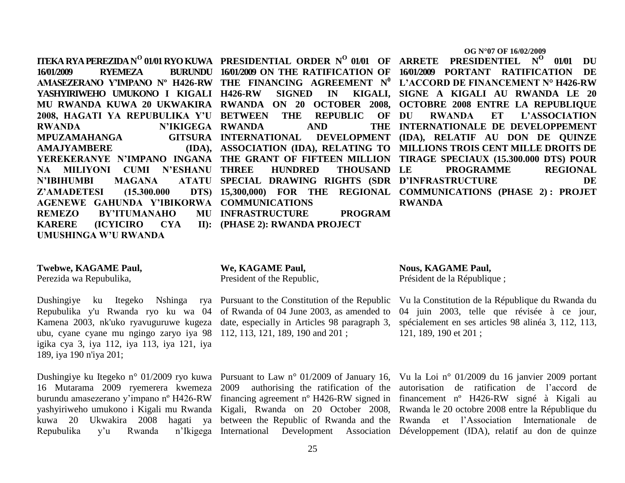$\Pi$ **EKA RYA PEREZIDA N** $^{\text{O}}$  **01/01 RYO KUWA PRESIDENTIAL ORDER N** $^{\text{O}}$  **01/01 OF ARRETE PRESIDENTIEL N** $^{\text{O}}$  **01/01 DU 16/01/2009 RYEMEZA AMASEZERANO Y"IMPANO Nº H426-RW THE FINANCING AGREEMENT N<sup>0</sup> L"ACCORD DE FINANCEMENT N° H426-RW YASHYIRIWEHO UMUKONO I KIGALI 2008, HAGATI YA REPUBULIKA Y"U BETWEEN THE REPUBLIC OF RWANDA N"IKIGEGA RWANDA AND THE MPUZAMAHANGA GITSURA AMAJYAMBERE NA MILIYONI CUMI N"ESHANU N'IBIHUMBI MAGANA Z'AMADETESI** (15.300.000 **AGENEWE GAHUNDA Y"IBIKORWA COMMUNICATIONS REMEZO BY'ITUMANAHO KARERE (ICYICIRO CYA) UMUSHINGA W"U RWANDA INFRASTRUCTURE PROGRAM (PHASE 2): RWANDA PROJECT**

#### **Twebwe, KAGAME Paul,**

Perezida wa Repubulika,

Dushingiye ku Itegeko Nshinga rya Pursuant to the Constitution of the Republic Repubulika y'u Rwanda ryo ku wa 04 of Rwanda of 04 June 2003, as amended to Kamena 2003, nk'uko ryavuguruwe kugeza date, especially in Articles 98 paragraph 3, ubu, cyane cyane mu ngingo zaryo iya 98 112, 113, 121, 189, 190 and 201 ; igika cya 3, iya 112, iya 113, iya 121, iya 189, iya 190 n'iya 201;

Repubulika y'u Rwanda

#### **We, KAGAME Paul,**

President of the Republic,

MU RWANDA KUWA 20 UKWAKIRA RWANDA ON 20 OCTOBER 2008, OCTOBRE 2008 ENTRE LA REPUBLIQUE **YEREKERANYE N"IMPANO INGANA THE GRANT OF FIFTEEN MILLION TIRAGE SPECIAUX (15.300.000 DTS) POUR H426-RW SIGNED IN KIGALI, SIGNE A KIGALI AU RWANDA LE 20 INTERNATIONAL DEVELOPMENT (IDA), RELATIF AU DON DE QUINZE ASSOCIATION (IDA), RELATING TO MILLIONS TROIS CENT MILLE DROITS DE HUNDRED THOUSAND LE SPECIAL DRAWING RIGHTS (SDR D"INFRASTRUCTURE DE 15,300,000) FOR THE REGIONAL COMMUNICATIONS (PHASE 2) : PROJET**  RWANDA ET L'ASSOCIATION **INTERNATIONALE DE DEVELOPPEMENT LE PROGRAMME REGIONAL RWANDA**

**Nous, KAGAME Paul,**

**16/01/2009 ON THE RATIFICATION OF 16/01/2009 PORTANT RATIFICATION DE** 

Président de la République ;

Vu la Constitution de la République du Rwanda du 04 juin 2003, telle que révisée à ce jour, spécialement en ses articles 98 alinéa 3, 112, 113, 121, 189, 190 et 201 ;

Dushingiye ku Itegeko n° 01/2009 ryo kuwa Pursuant to Law n° 01/2009 of January 16, Vu la Loi n° 01/2009 du 16 janvier 2009 portant 16 Mutarama 2009 ryemerera kwemeza 2009 authorising the ratification of the autorisation de ratification de l"accord de burundu amasezerano y'impano nº H426-RW financing agreement nº H426-RW signed in financement nº H426-RW signé à Kigali au yashyiriweho umukono i Kigali mu Rwanda Kigali, Rwanda on 20 October 2008, Rwanda le 20 octobre 2008 entre la République du kuwa 20 Ukwakira 2008 hagati ya between the Republic of Rwanda and the Rwanda et l"Association Internationale de International Development Association Développement (IDA), relatif au don de quinze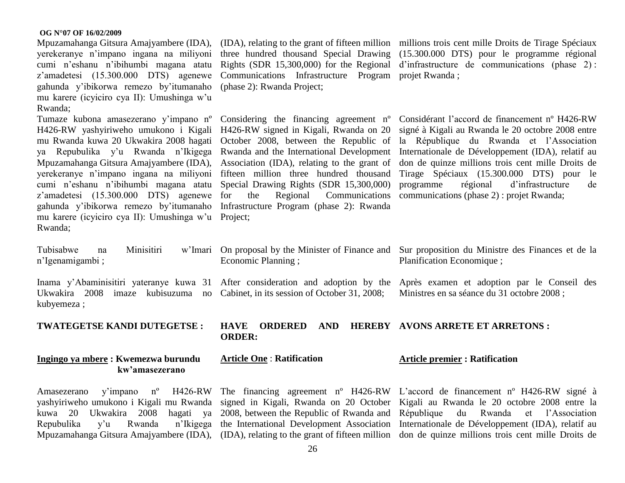Mpuzamahanga Gitsura Amajyambere (IDA), yerekeranye n"impano ingana na miliyoni cumi n"eshanu n"ibihumbi magana atatu z'amadetesi (15.300.000 DTS) agenewe gahunda y"ibikorwa remezo by"itumanaho mu karere (icyiciro cya II): Umushinga w"u Rwanda;

Tumaze kubona amasezerano y'impano nº Considering the financing agreement nº H426-RW yashyiriweho umukono i Kigali H426-RW signed in Kigali, Rwanda on 20 mu Rwanda kuwa 20 Ukwakira 2008 hagati October 2008, between the Republic of ya Repubulika y"u Rwanda n"Ikigega Rwanda and the International Development Mpuzamahanga Gitsura Amajyambere (IDA), Association (IDA), relating to the grant of yerekeranye n"impano ingana na miliyoni fifteen million three hundred thousand cumi n"eshanu n"ibihumbi magana atatu Special Drawing Rights (SDR 15,300,000) z'amadetesi (15.300.000 DTS) agenewe for gahunda y"ibikorwa remezo by"itumanaho Infrastructure Program (phase 2): Rwanda mu karere (icyiciro cya II): Umushinga w"u Project; Rwanda;

n"Igenamigambi ;

Ukwakira 2008 imaze kubisuzuma no Cabinet, in its session of October 31, 2008; kubyemeza ;

**TWATEGETSE KANDI DUTEGETSE :**

#### **Ingingo ya mbere : Kwemezwa burundu kw"amasezerano**

Amasezerano y'impano  $n^{\circ}$ 

three hundred thousand Special Drawing Rights (SDR 15,300,000) for the Regional Communications Infrastructure Program projet Rwanda ; (phase 2): Rwanda Project;

the Regional Communications

Economic Planning ;

(IDA), relating to the grant of fifteen million millions trois cent mille Droits de Tirage Spéciaux (15.300.000 DTS) pour le programme régional d"infrastructure de communications (phase 2) :

> Considérant l"accord de financement nº H426-RW signé à Kigali au Rwanda le 20 octobre 2008 entre la République du Rwanda et l"Association Internationale de Développement (IDA), relatif au don de quinze millions trois cent mille Droits de Tirage Spéciaux (15.300.000 DTS) pour le programme régional d"infrastructure de communications (phase 2) : projet Rwanda;

Tubisabwe na Minisitiri w'Imari On proposal by the Minister of Finance and Sur proposition du Ministre des Finances et de la Planification Economique ;

Inama y'Abaminisitiri yateranye kuwa 31 After consideration and adoption by the Après examen et adoption par le Conseil des Ministres en sa séance du 31 octobre 2008 ;

#### **HAVE ORDERED AND HEREBY AVONS ARRETE ET ARRETONS : ORDER:**

#### **Article One** : **Ratification**

#### **Article premier : Ratification**

yashyiriweho umukono i Kigali mu Rwanda signed in Kigali, Rwanda on 20 October Kigali au Rwanda le 20 octobre 2008 entre la kuwa 20 Ukwakira 2008 hagati ya 2008, between the Republic of Rwanda and République du Rwanda et l"Association Repubulika y'u Rwanda n'Ikigega the International Development Association Internationale de Développement (IDA), relatif au Mpuzamahanga Gitsura Amajyambere (IDA), (IDA), relating to the grant of fifteen million don de quinze millions trois cent mille Droits de The financing agreement nº H426-RW L"accord de financement nº H426-RW signé à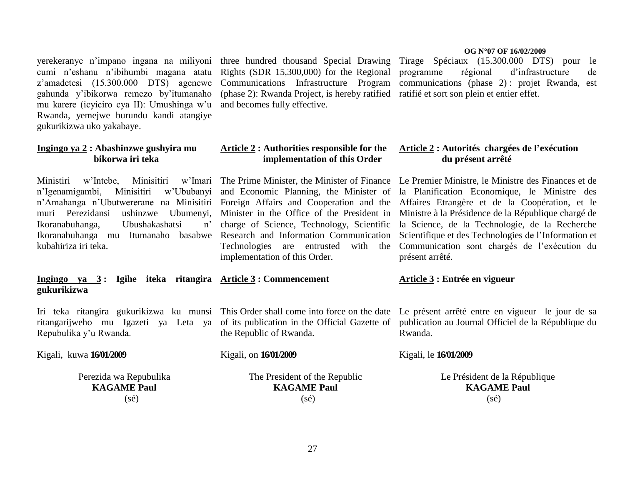cumi n"eshanu n"ibihumbi magana atatu Rights (SDR 15,300,000) for the Regional z"amadetesi (15.300.000 DTS) agenewe Communications Infrastructure Program gahunda y"ibikorwa remezo by"itumanaho mu karere (icyiciro cya II): Umushinga w"u and becomes fully effective. Rwanda, yemejwe burundu kandi atangiye gukurikizwa uko yakabaye.

#### **Ingingo ya 2 : Abashinzwe gushyira mu bikorwa iri teka**

Ministiri w'Intebe, Minisitiri Ikoranabuhanga, Ubushakashatsi Ikoranabuhanga mu Itumanaho basabwe Research and Information Communication kubahiriza iri teka.

#### **Ingingo ya 3 : Igihe iteka ritangira Article 3 : Commencement gukurikizwa**

Repubulika y"u Rwanda.

#### Kigali, kuwa **16/01/2009**

Perezida wa Repubulika **KAGAME Paul** (sé)

(phase 2): Rwanda Project, is hereby ratified ratifié et sort son plein et entier effet.

#### **Article 2 : Authorities responsible for the implementation of this Order**

implementation of this Order.

the Republic of Rwanda.

#### Kigali, on **16/01/2009**

The President of the Republic **KAGAME Paul**  $(sé)$ 

#### **OG N°07 OF 16/02/2009**

yerekeranye n"impano ingana na miliyoni three hundred thousand Special Drawing Tirage Spéciaux (15.300.000 DTS) pour le programme régional d"infrastructure de communications (phase 2) : projet Rwanda, est

#### **Article 2 : Autorités chargées de l"exécution du présent arrêté**

n'Igenamigambi, Minisitiri w'Ububanyi and Economic Planning, the Minister of la Planification Economique, le Ministre des n"Amahanga n"Ubutwererane na Minisitiri Foreign Affairs and Cooperation and the Affaires Etrangère et de la Coopération, et le muri Perezidansi ushinzwe Ubumenyi, Minister in the Office of the President in Ministre à la Présidence de la République chargé de The Prime Minister, the Minister of Finance Le Premier Ministre, le Ministre des Finances et de charge of Science, Technology, Scientific la Science, de la Technologie, de la Recherche Technologies are entrusted with the Communication sont chargés de l"exécution du Scientifique et des Technologies de l"Information et présent arrêté.

#### **Article 3 : Entrée en vigueur**

Iri teka ritangira gukurikizwa ku munsi This Order shall come into force on the date Le présent arrêté entre en vigueur le jour de sa ritangarijweho mu Igazeti ya Leta ya of its publication in the Official Gazette of publication au Journal Officiel de la République du Rwanda.

#### Kigali, le **16/01/2009**

Le Président de la République **KAGAME Paul** (sé)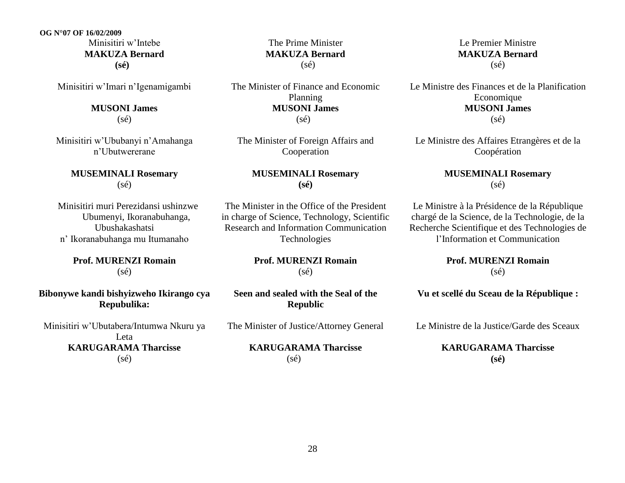**OG N°07 OF 16/02/2009** Minisitiri w"Intebe **MAKUZA Bernard (sé)**

Minisitiri w"Imari n"Igenamigambi

**MUSONI James** (sé)

Minisitiri w"Ububanyi n"Amahanga n"Ubutwererane

> **MUSEMINALI Rosemary**  (sé)

 Minisitiri muri Perezidansi ushinzwe Ubumenyi, Ikoranabuhanga, Ubushakashatsi n" Ikoranabuhanga mu Itumanaho

> **Prof. MURENZI Romain** (sé)

**Bibonywe kandi bishyizweho Ikirango cya Repubulika:**

Minisitiri w"Ubutabera/Intumwa Nkuru ya Leta **KARUGARAMA Tharcisse** (sé)

The Prime Minister **MAKUZA Bernard** (sé)

The Minister of Finance and Economic Planning **MUSONI James**  $(s\acute{e})$ 

The Minister of Foreign Affairs and Cooperation

> **MUSEMINALI Rosemary (sé)**

The Minister in the Office of the President in charge of Science, Technology, Scientific Research and Information Communication Technologies

> **Prof. MURENZI Romain**  $(s\acute{e})$

**Seen and sealed with the Seal of the Republic**

The Minister of Justice/Attorney General

**KARUGARAMA Tharcisse** (sé)

Le Premier Ministre **MAKUZA Bernard** (sé)

Le Ministre des Finances et de la Planification **Economique MUSONI James** (sé)

Le Ministre des Affaires Etrangères et de la Coopération

#### **MUSEMINALI Rosemary**  (sé)

Le Ministre à la Présidence de la République chargé de la Science, de la Technologie, de la Recherche Scientifique et des Technologies de l"Information et Communication

> **Prof. MURENZI Romain** (sé)

**Vu et scellé du Sceau de la République :**

Le Ministre de la Justice/Garde des Sceaux

**KARUGARAMA Tharcisse (sé)**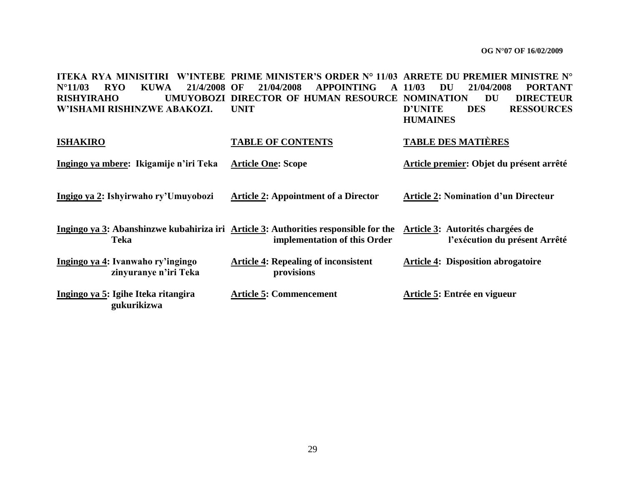**ITEKA RYA MINISITIRI W"INTEBE PRIME MINISTER"S ORDER N° 11/03 ARRETE DU PREMIER MINISTRE N° N°11/03 RYO KUWA 21/4/2008 OF 21/04/2008 APPOINTING A 11/03 DU 21/04/2008 PORTANT RISHYIRAHO UMUYOBOZI DIRECTOR OF HUMAN RESOURCE NOMINATION DU DIRECTEUR W"ISHAMI RISHINZWE ABAKOZI. UNIT D"UNITE DES RESSOURCES HUMAINES**

| <b>ISHAKIRO</b> |                                                            |                           | <b>TABLE OF CONTENTS</b>                                                                                            | <b>TABLE DES MATIÈRES</b>                                         |
|-----------------|------------------------------------------------------------|---------------------------|---------------------------------------------------------------------------------------------------------------------|-------------------------------------------------------------------|
|                 | Ingingo ya mbere: Ikigamije n'iri Teka                     | <b>Article One: Scope</b> |                                                                                                                     | Article premier: Objet du présent arrêté                          |
|                 | Ingigo ya 2: Ishyirwaho ry'Umuyobozi                       |                           | <b>Article 2: Appointment of a Director</b>                                                                         | <b>Article 2: Nomination d'un Directeur</b>                       |
|                 | Teka                                                       |                           | Ingingo ya 3: Abanshinzwe kubahiriza iri Article 3: Authorities responsible for the<br>implementation of this Order | Article 3: Autorités chargées de<br>l'exécution du présent Arrêté |
|                 | Ingingo ya 4: Ivanwaho ry'ingingo<br>zinyuranye n'iri Teka |                           | <b>Article 4: Repealing of inconsistent</b><br>provisions                                                           | <b>Article 4: Disposition abrogatoire</b>                         |
|                 | Ingingo ya 5: Igihe Iteka ritangira<br>gukurikizwa         |                           | <b>Article 5: Commencement</b>                                                                                      | Article 5: Entrée en vigueur                                      |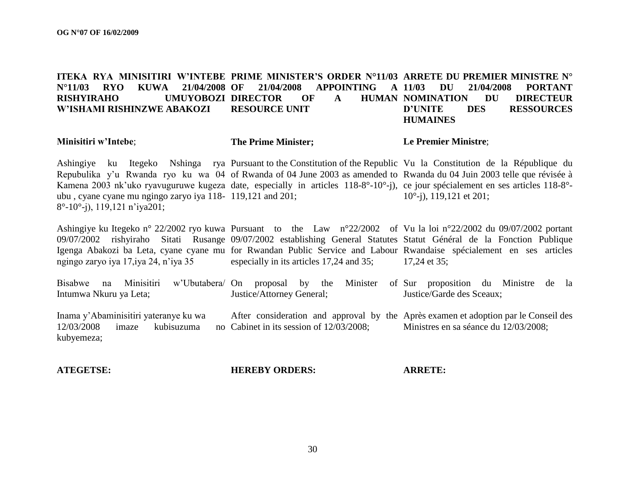#### **ITEKA RYA MINISITIRI W"INTEBE PRIME MINISTER"S ORDER N°11/03 ARRETE DU PREMIER MINISTRE N° N°11/03 RYO KUWA 21/04/2008 RISHYIRAHO W"ISHAMI RISHINZWE ABAKOZI OF 21/04/2008 APPOINTING A UMUYOBOZI DIRECTOR OF A HUMAN NOMINATION RESOURCE UNIT 11/03 DU 21/04/2008 PORTANT DU DIRECTEUR D"UNITE DES RESSOURCES HUMAINES**

**Minisitiri w"Intebe**;

#### **The Prime Minister;**

#### **Le Premier Ministre**;

Ashingiye ku Itegeko Nshinga rya Pursuant to the Constitution of the Republic Vu la Constitution de la République du Repubulika y'u Rwanda ryo ku wa 04 of Rwanda of 04 June 2003 as amended to Rwanda du 04 Juin 2003 telle que révisée à Kamena 2003 nk'uko ryavuguruwe kugeza date, especially in articles 118-8°-10°-j), ce jour spécialement en ses articles 118-8°ubu , cyane cyane mu ngingo zaryo iya 118- 119,121 and 201; 8°-10°-j), 119,121 n"iya201; 10°-j), 119,121 et 201;

Ashingiye ku Itegeko n° 22/2002 ryo kuwa Pursuant to the Law n°22/2002 of Vu la loi n°22/2002 du 09/07/2002 portant 09/07/2002 rishyiraho Sitati Rusange 09/07/2002 establishing General Statutes Statut Général de la Fonction Publique Igenga Abakozi ba Leta, cyane cyane mu for Rwandan Public Service and Labour Rwandaise spécialement en ses articles ngingo zaryo iya 17,iya 24, n"iya 35 especially in its articles 17,24 and 35; 17,24 et 35;

Bisabwe na Minisitiri Intumwa Nkuru ya Leta; On proposal by the Minister of Sur proposition du Ministre de la Justice/Attorney General; Justice/Garde des Sceaux;

Inama y"Abaminisitiri yateranye ku wa  $12/03/2008$  imaze kubisuzuma kubyemeza; After consideration and approval by the Après examen et adoption par le Conseil des no Cabinet in its session of  $12/03/2008$ ; Ministres en sa séance du 12/03/2008;

**ATEGETSE:**

**HEREBY ORDERS:**

**ARRETE:**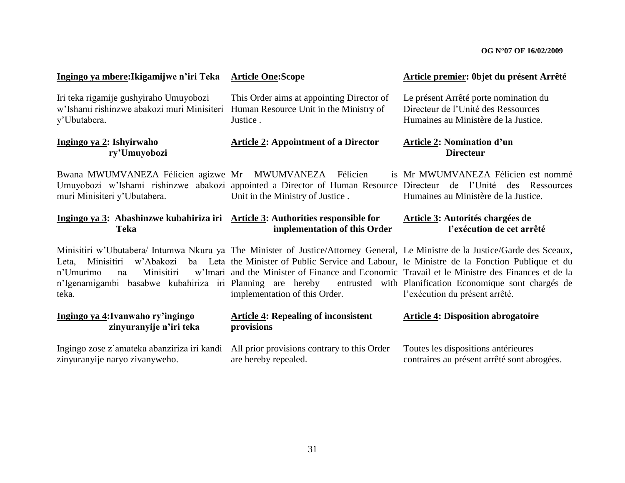| Ingingo ya mbere: Ikigamijwe n'iri Teka                                                              | <b>Article One:Scope</b>                                                                        | Article premier: Objet du présent Arrêté                                                                                                                                                                                                                                                                                                                                                                                                                                               |  |
|------------------------------------------------------------------------------------------------------|-------------------------------------------------------------------------------------------------|----------------------------------------------------------------------------------------------------------------------------------------------------------------------------------------------------------------------------------------------------------------------------------------------------------------------------------------------------------------------------------------------------------------------------------------------------------------------------------------|--|
| Iri teka rigamije gushyiraho Umuyobozi<br>w'Ishami rishinzwe abakozi muri Minisiteri<br>y'Ubutabera. | This Order aims at appointing Director of<br>Human Resource Unit in the Ministry of<br>Justice. | Le présent Arrêté porte nomination du<br>Directeur de l'Unité des Ressources<br>Humaines au Ministère de la Justice.                                                                                                                                                                                                                                                                                                                                                                   |  |
| Ingingo ya 2: Ishyirwaho<br>ry'Umuyobozi                                                             | <b>Article 2: Appointment of a Director</b>                                                     | <b>Article 2: Nomination d'un</b><br><b>Directeur</b>                                                                                                                                                                                                                                                                                                                                                                                                                                  |  |
| Bwana MWUMVANEZA Félicien agizwe Mr MWUMVANEZA Félicien<br>muri Minisiteri y'Ubutabera.              | Unit in the Ministry of Justice.                                                                | is Mr MWUMVANEZA Félicien est nommé<br>Umuyobozi w'Ishami rishinzwe abakozi appointed a Director of Human Resource Directeur de l'Unité des Ressources<br>Humaines au Ministère de la Justice.                                                                                                                                                                                                                                                                                         |  |
| Ingingo ya 3: Abashinzwe kubahiriza iri Article 3: Authorities responsible for<br><b>Teka</b>        | implementation of this Order                                                                    | <b>Article 3: Autorités chargées de</b><br>l'exécution de cet arrêté                                                                                                                                                                                                                                                                                                                                                                                                                   |  |
| w'Abakozi<br>Minisitiri<br>Leta,<br>Minisitiri<br>n'Umurimo<br>na<br>teka.                           | implementation of this Order.                                                                   | Minisitiri w'Ubutabera/ Intumwa Nkuru ya The Minister of Justice/Attorney General, Le Ministre de la Justice/Garde des Sceaux,<br>ba Leta the Minister of Public Service and Labour, le Ministre de la Fonction Publique et du<br>w'Imari and the Minister of Finance and Economic Travail et le Ministre des Finances et de la<br>n'Igenamigambi basabwe kubahiriza iri Planning are hereby entrusted with Planification Economique sont chargés de<br>l'exécution du présent arrêté. |  |
| Ingingo ya 4: Ivanwaho ry'ingingo<br>zinyuranyije n'iri teka                                         | <b>Article 4: Repealing of inconsistent</b><br>provisions                                       | <b>Article 4: Disposition abrogatoire</b>                                                                                                                                                                                                                                                                                                                                                                                                                                              |  |
| Ingingo zose z'amateka abanziriza iri kandi<br>zinyuranyije naryo zivanyweho.                        | All prior provisions contrary to this Order<br>are hereby repealed.                             | Toutes les dispositions antérieures<br>contraires au présent arrêté sont abrogées.                                                                                                                                                                                                                                                                                                                                                                                                     |  |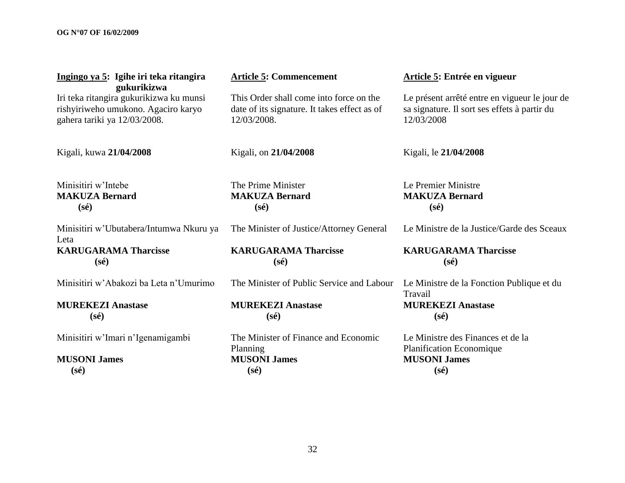| Ingingo ya 5: Igihe iri teka ritangira<br>gukurikizwa                                                          | <b>Article 5: Commencement</b>                                                                         | Article 5: Entrée en vigueur                                                                                |  |
|----------------------------------------------------------------------------------------------------------------|--------------------------------------------------------------------------------------------------------|-------------------------------------------------------------------------------------------------------------|--|
| Iri teka ritangira gukurikizwa ku munsi<br>rishyiriweho umukono. Agaciro karyo<br>gahera tariki ya 12/03/2008. | This Order shall come into force on the<br>date of its signature. It takes effect as of<br>12/03/2008. | Le présent arrêté entre en vigueur le jour de<br>sa signature. Il sort ses effets à partir du<br>12/03/2008 |  |
| Kigali, kuwa 21/04/2008                                                                                        | Kigali, on 21/04/2008                                                                                  | Kigali, le 21/04/2008                                                                                       |  |
| Minisitiri w'Intebe<br><b>MAKUZA Bernard</b><br>$(s\acute{e})$                                                 | The Prime Minister<br><b>MAKUZA Bernard</b><br>$(s\acute{e})$                                          | Le Premier Ministre<br><b>MAKUZA Bernard</b><br>$(s\acute{e})$                                              |  |
| Minisitiri w'Ubutabera/Intumwa Nkuru ya<br>Leta                                                                | The Minister of Justice/Attorney General                                                               | Le Ministre de la Justice/Garde des Sceaux                                                                  |  |
| <b>KARUGARAMA Tharcisse</b><br>$(s\acute{e})$                                                                  | <b>KARUGARAMA Tharcisse</b><br>$(s\acute{e})$                                                          | <b>KARUGARAMA Tharcisse</b><br>$(s\acute{e})$                                                               |  |
| Minisitiri w'Abakozi ba Leta n'Umurimo                                                                         | The Minister of Public Service and Labour                                                              | Le Ministre de la Fonction Publique et du<br>Travail                                                        |  |
| <b>MUREKEZI Anastase</b><br>$(s\acute{e})$                                                                     | <b>MUREKEZI Anastase</b><br>$(s\acute{e})$                                                             | <b>MUREKEZI Anastase</b><br>$(s\acute{e})$                                                                  |  |
| Minisitiri w'Imari n'Igenamigambi                                                                              | The Minister of Finance and Economic<br>Planning                                                       | Le Ministre des Finances et de la<br>Planification Economique                                               |  |
| <b>MUSONI</b> James                                                                                            | <b>MUSONI James</b>                                                                                    | <b>MUSONI</b> James                                                                                         |  |
| $(s\acute{e})$                                                                                                 | $(s\acute{e})$                                                                                         | $(s\acute{e})$                                                                                              |  |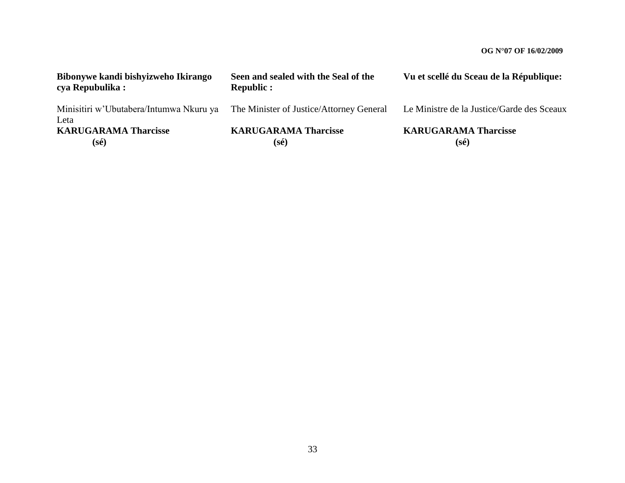| Bibonywe kandi bishyizweho Ikirango<br>cya Repubulika: | Seen and sealed with the Seal of the<br><b>Republic:</b> | Vu et scellé du Sceau de la République:       |
|--------------------------------------------------------|----------------------------------------------------------|-----------------------------------------------|
| Minisitiri w'Ubutabera/Intumwa Nkuru ya<br>Leta        | The Minister of Justice/Attorney General                 | Le Ministre de la Justice/Garde des Sceaux    |
| <b>KARUGARAMA Tharcisse</b><br>$(s\acute{e})$          | <b>KARUGARAMA Tharcisse</b><br>$(s\acute{e})$            | <b>KARUGARAMA Tharcisse</b><br>$(s\acute{e})$ |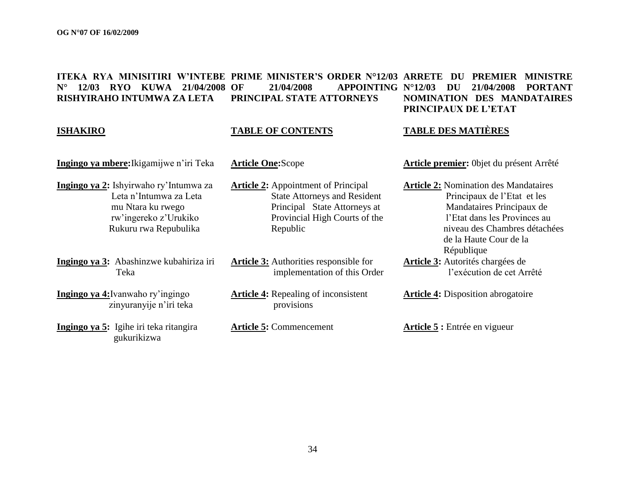#### **ITEKA RYA MINISITIRI W"INTEBE PRIME MINISTER"S ORDER N°12/03 ARRETE DU PREMIER MINISTRE N° 12/03 RYO KUWA 21/04/2008 RISHYIRAHO INTUMWA ZA LETA OF 21/04/2008 APPOINTING N°12/03 DU 21/04/2008 PORTANT PRINCIPAL STATE ATTORNEYS NOMINATION DES MANDATAIRES PRINCIPAUX DE L"ETAT**

#### **ISHAKIRO**

#### **TABLE OF CONTENTS**

#### **TABLE DES MATIÈRES**

**Ingingo ya mbere:**Ikigamijwe n"iri Teka

**Ingingo ya 2:** Ishyirwaho ry"Intumwa za Leta n"Intumwa za Leta mu Ntara ku rwego rw"ingereko z"Urukiko Rukuru rwa Repubulika

**Ingingo ya 3:** Abashinzwe kubahiriza iri Teka

**Ingingo ya 4:**Ivanwaho ry"ingingo zinyuranyije n"iri teka

**Ingingo ya 5:** Igihe iri teka ritangira gukurikizwa

**Article One:**Scope

**Article 2:** Appointment of Principal State Attorneys and Resident Principal State Attorneys at Provincial High Courts of the Republic

**Article 3:** Authorities responsible for implementation of this Order

**Article 4:** Repealing of inconsistent provisions

**Article 5:** Commencement

**Article premier:** 0bjet du présent Arrêté

**Article 2:** Nomination des Mandataires Principaux de l"Etat et les Mandataires Principaux de l"Etat dans les Provinces au niveau des Chambres détachées de la Haute Cour de la République **Article 3:** Autorités chargées de

l"exécution de cet Arrêté

**Article 4:** Disposition abrogatoire

**Article 5 :** Entrée en vigueur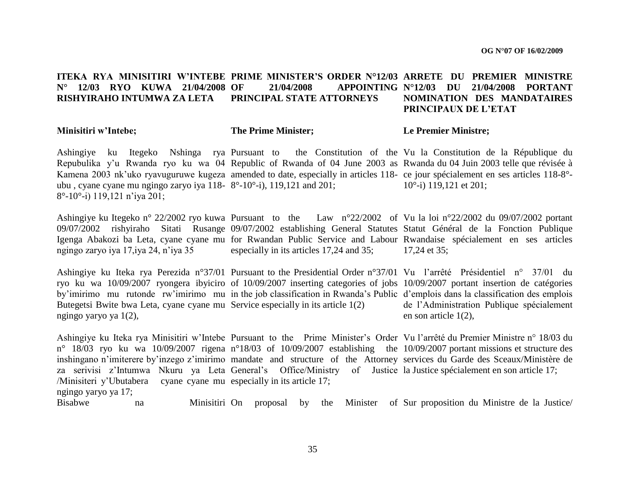#### **ITEKA RYA MINISITIRI W"INTEBE PRIME MINISTER"S ORDER N°12/03 ARRETE DU PREMIER MINISTRE N° 12/03 RYO KUWA 21/04/2008 RISHYIRAHO INTUMWA ZA LETA OF 21/04/2008 APPOINTING N°12/03 DU 21/04/2008 PORTANT PRINCIPAL STATE ATTORNEYS NOMINATION DES MANDATAIRES PRINCIPAUX DE L"ETAT**

#### **Minisitiri w"Intebe;**

#### **The Prime Minister;**

#### **Le Premier Ministre;**

Ashingiye ku Itegeko Nshinga rya Pursuant to the Constitution of the Vu la Constitution de la République du Repubulika y'u Rwanda ryo ku wa 04 Republic of Rwanda of 04 June 2003 as Rwanda du 04 Juin 2003 telle que révisée à Kamena 2003 nk'uko ryavuguruwe kugeza amended to date, especially in articles 118- ce jour spécialement en ses articles 118-8°ubu , cyane cyane mu ngingo zaryo iya 118- 8°-10°-i), 119,121 and 201; 8°-10°-i) 119,121 n"iya 201;

10°-i) 119,121 et 201;

Ashingiye ku Itegeko n° 22/2002 ryo kuwa Pursuant to the Law n°22/2002 of Vu la loi n°22/2002 du 09/07/2002 portant 09/07/2002 rishyiraho Sitati Rusange 09/07/2002 establishing General Statutes Statut Général de la Fonction Publique Igenga Abakozi ba Leta, cyane cyane mu for Rwandan Public Service and Labour Rwandaise spécialement en ses articles ngingo zaryo iya 17,iya 24, n"iya 35 especially in its articles 17,24 and 35; 17,24 et 35;

Ashingiye ku Iteka rya Perezida n°37/01 Pursuant to the Presidential Order n°37/01 Vu l'arrêté Présidentiel n° 37/01 du ryo ku wa 10/09/2007 ryongera ibyiciro of 10/09/2007 inserting categories of jobs 10/09/2007 portant insertion de catégories by'imirimo mu rutonde rw'imirimo mu in the job classification in Rwanda's Public d'emplois dans la classification des emplois Butegetsi Bwite bwa Leta, cyane cyane mu Service especially in its article 1(2) ngingo yaryo ya 1(2),

de l"Administration Publique spécialement en son article 1(2),

Ashingiye ku Iteka rya Minisitiri w'Intebe Pursuant to the Prime Minister's Order Vu l'arrêté du Premier Ministre n° 18/03 du n<sup>o</sup> 18/03 ryo ku wa 10/09/2007 rigena n<sup>o</sup>18/03 of 10/09/2007 establishing the 10/09/2007 portant missions et structure des inshingano n'imiterere by'inzego z'imirimo mandate and structure of the Attorney services du Garde des Sceaux/Ministère de za serivisi z'Intumwa Nkuru ya Leta General's Office/Ministry of Justice la Justice spécialement en son article 17; /Minisiteri y"Ubutabera cyane cyane mu especially in its article 17; ngingo yaryo ya 17; Bisabwe na Minisitiri On proposal On proposal by the Minister of Sur proposition du Ministre de la Justice/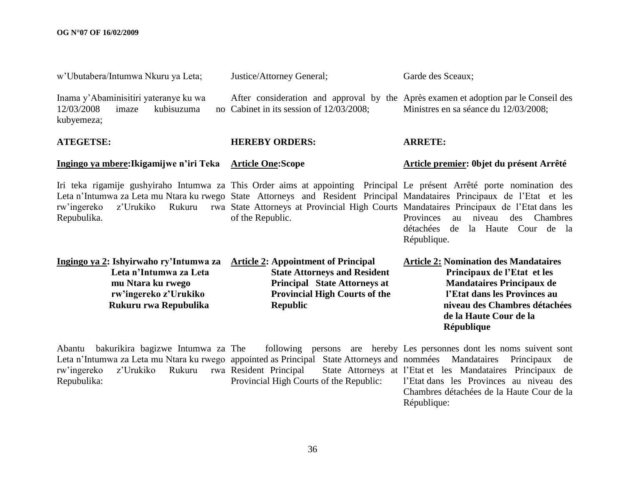| w'Ubutabera/Intumwa Nkuru ya Leta;                                                                                                                                                                          | Justice/Attorney General;                                                                                                                                                           | Garde des Sceaux;                                                                                                                                                                                                                                                                                                                                                                                                                                     |
|-------------------------------------------------------------------------------------------------------------------------------------------------------------------------------------------------------------|-------------------------------------------------------------------------------------------------------------------------------------------------------------------------------------|-------------------------------------------------------------------------------------------------------------------------------------------------------------------------------------------------------------------------------------------------------------------------------------------------------------------------------------------------------------------------------------------------------------------------------------------------------|
| Inama y'Abaminisitiri yateranye ku wa<br>12/03/2008<br>imaze<br>kubisuzuma<br>kubyemeza;                                                                                                                    | no Cabinet in its session of 12/03/2008;                                                                                                                                            | After consideration and approval by the Après examen et adoption par le Conseil des<br>Ministres en sa séance du 12/03/2008;                                                                                                                                                                                                                                                                                                                          |
| <b>ATEGETSE:</b>                                                                                                                                                                                            | <b>HEREBY ORDERS:</b>                                                                                                                                                               | <b>ARRETE:</b>                                                                                                                                                                                                                                                                                                                                                                                                                                        |
| Ingingo ya mbere: Ikigamijwe n'iri Teka                                                                                                                                                                     | <b>Article One:Scope</b>                                                                                                                                                            | Article premier: Objet du présent Arrêté                                                                                                                                                                                                                                                                                                                                                                                                              |
| z'Urukiko<br>rw'ingereko<br>Rukuru<br>Repubulika.                                                                                                                                                           | of the Republic.                                                                                                                                                                    | Iri teka rigamije gushyiraho Intumwa za This Order aims at appointing Principal Le présent Arrêté porte nomination des<br>Leta n'Intumwa za Leta mu Ntara ku rwego State Attorneys and Resident Principal Mandataires Principaux de l'Etat et les<br>rwa State Attorneys at Provincial High Courts Mandataires Principaux de l'Etat dans les<br>Provinces<br>Chambres<br>niveau<br>des<br>au<br>détachées<br>la Haute Cour de la<br>de<br>République. |
| Ingingo ya 2: Ishyirwaho ry'Intumwa za<br>Leta n'Intumwa za Leta<br>mu Ntara ku rwego<br>rw'ingereko z'Urukiko<br>Rukuru rwa Repubulika                                                                     | <b>Article 2: Appointment of Principal</b><br><b>State Attorneys and Resident</b><br><b>Principal State Attorneys at</b><br><b>Provincial High Courts of the</b><br><b>Republic</b> | <b>Article 2: Nomination des Mandataires</b><br>Principaux de l'Etat et les<br><b>Mandataires Principaux de</b><br>l'Etat dans les Provinces au<br>niveau des Chambres détachées<br>de la Haute Cour de la<br><b>République</b>                                                                                                                                                                                                                       |
| bakurikira bagizwe Intumwa za The<br>Abantu<br>Leta n'Intumwa za Leta mu Ntara ku rwego appointed as Principal State Attorneys and nommées Mandataires<br>rw'ingereko<br>z'Urukiko<br>Rukuru<br>Repubulika: | rwa Resident Principal<br>Provincial High Courts of the Republic:                                                                                                                   | following persons are hereby Les personnes dont les noms suivent sont<br>Principaux<br>de<br>State Attorneys at l'Etat et les Mandataires Principaux de<br>l'Etat dans les Provinces au niveau des                                                                                                                                                                                                                                                    |

36

Chambres détachées de la Haute Cour de la

République: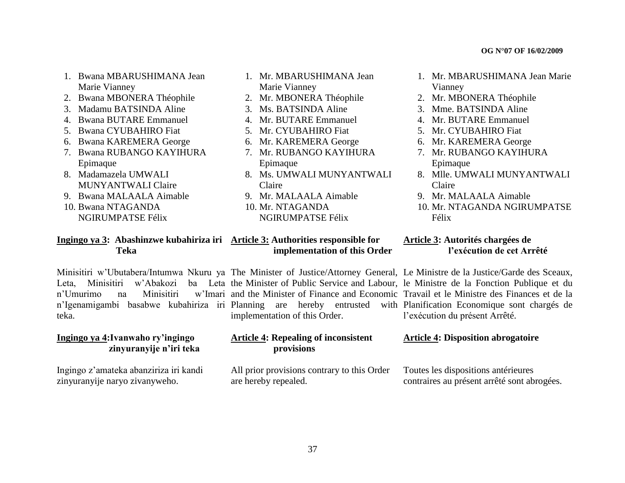- 1. Bwana MBARUSHIMANA Jean Marie Vianney
- 2. Bwana MBONERA Théophile
- 3. Madamu BATSINDA Aline
- 4. Bwana BUTARE Emmanuel
- 5. Bwana CYUBAHIRO Fiat
- 6. Bwana KAREMERA George
- 7. Bwana RUBANGO KAYIHURA Epimaque
- 8. Madamazela UMWALI MUNYANTWALI Claire
- 9. Bwana MALAALA Aimable
- 10. Bwana NTAGANDA NGIRUMPATSE Félix
- 1. Mr. MBARUSHIMANA Jean Marie Vianney
- 2. Mr. MBONERA Théophile
- 3. Ms. BATSINDA Aline
- 4. Mr. BUTARE Emmanuel
- 5. Mr. CYUBAHIRO Fiat
- 6. Mr. KAREMERA George
- 7. Mr. RUBANGO KAYIHURA Epimaque
- 8. Ms. UMWALI MUNYANTWALI Claire
- 9. Mr. MALAALA Aimable
- 10. Mr. NTAGANDA
- NGIRUMPATSE Félix
- 1. Mr. MBARUSHIMANA Jean Marie Vianney
- 2. Mr. MBONERA Théophile
- 3. Mme. BATSINDA Aline
- 4. Mr. BUTARE Emmanuel
- 5. Mr. CYUBAHIRO Fiat
- 6. Mr. KAREMERA George
- 7. Mr. RUBANGO KAYIHURA Epimaque
- 8. Mlle. UMWALI MUNYANTWALI Claire
- 9. Mr. MALAALA Aimable
- 10. Mr. NTAGANDA NGIRUMPATSE Félix

 **l"exécution de cet Arrêté** 

#### **Ingingo ya 3: Abashinzwe kubahiriza iri Article 3: Authorities responsible for Teka implementation of this Order Article 3: Autorités chargées de**

n'I Imurimo na Minisitiri teka.

#### **Ingingo ya 4:Ivanwaho ry"ingingo zinyuranyije n"iri teka**

Ingingo z"amateka abanziriza iri kandi zinyuranyije naryo zivanyweho.

Minisitiri w'Ubutabera/Intumwa Nkuru ya The Minister of Justice/Attorney General, Le Ministre de la Justice/Garde des Sceaux, Leta, Minisitiri w'Abakozi ba Leta the Minister of Public Service and Labour, le Ministre de la Fonction Publique et du n"Igenamigambi basabwe kubahiriza iri Planning are hereby entrusted with and the Minister of Finance and Economic Travail et le Ministre des Finances et de la implementation of this Order.

#### **Article 4: Repealing of inconsistent provisions**

All prior provisions contrary to this Order are hereby repealed.

with Planification Economique sont chargés de l'exécution du présent Arrêté.

#### **Article 4: Disposition abrogatoire**

Toutes les dispositions antérieures contraires au présent arrêté sont abrogées.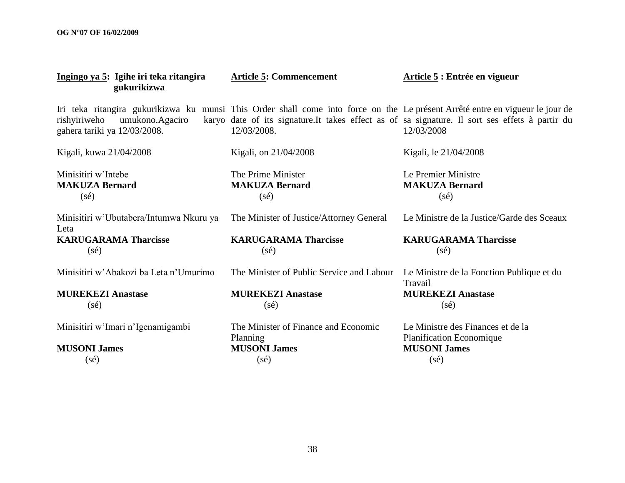| Ingingo ya 5: Igihe iri teka ritangira<br>gukurikizwa           | <b>Article 5: Commencement</b>                                | Article 5 : Entrée en vigueur                                                                                                                                                                                                                  |
|-----------------------------------------------------------------|---------------------------------------------------------------|------------------------------------------------------------------------------------------------------------------------------------------------------------------------------------------------------------------------------------------------|
| rishyiriweho<br>umukono.Agaciro<br>gahera tariki ya 12/03/2008. | 12/03/2008.                                                   | Iri teka ritangira gukurikizwa ku munsi This Order shall come into force on the Le présent Arrêté entre en vigueur le jour de<br>karyo date of its signature. It takes effect as of sa signature. Il sort ses effets à partir du<br>12/03/2008 |
| Kigali, kuwa 21/04/2008                                         | Kigali, on 21/04/2008                                         | Kigali, le 21/04/2008                                                                                                                                                                                                                          |
| Minisitiri w'Intebe<br><b>MAKUZA Bernard</b><br>$(s\acute{e})$  | The Prime Minister<br><b>MAKUZA Bernard</b><br>$(s\acute{e})$ | Le Premier Ministre<br><b>MAKUZA Bernard</b><br>$(s\acute{e})$                                                                                                                                                                                 |
| Minisitiri w'Ubutabera/Intumwa Nkuru ya<br>Leta                 | The Minister of Justice/Attorney General                      | Le Ministre de la Justice/Garde des Sceaux                                                                                                                                                                                                     |
| <b>KARUGARAMA Tharcisse</b><br>$(s\acute{e})$                   | <b>KARUGARAMA Tharcisse</b><br>$(s\acute{e})$                 | <b>KARUGARAMA Tharcisse</b><br>$(s\acute{e})$                                                                                                                                                                                                  |
| Minisitiri w'Abakozi ba Leta n'Umurimo                          | The Minister of Public Service and Labour                     | Le Ministre de la Fonction Publique et du<br>Travail                                                                                                                                                                                           |
| <b>MUREKEZI Anastase</b><br>$(s\acute{e})$                      | <b>MUREKEZI Anastase</b><br>$(s\acute{e})$                    | <b>MUREKEZI Anastase</b><br>$(s\acute{e})$                                                                                                                                                                                                     |
| Minisitiri w'Imari n'Igenamigambi                               | The Minister of Finance and Economic<br>Planning              | Le Ministre des Finances et de la<br><b>Planification Economique</b>                                                                                                                                                                           |
| <b>MUSONI James</b>                                             | <b>MUSONI James</b>                                           | <b>MUSONI James</b>                                                                                                                                                                                                                            |
| $(s\acute{e})$                                                  | $(s\acute{e})$                                                | $(s\acute{e})$                                                                                                                                                                                                                                 |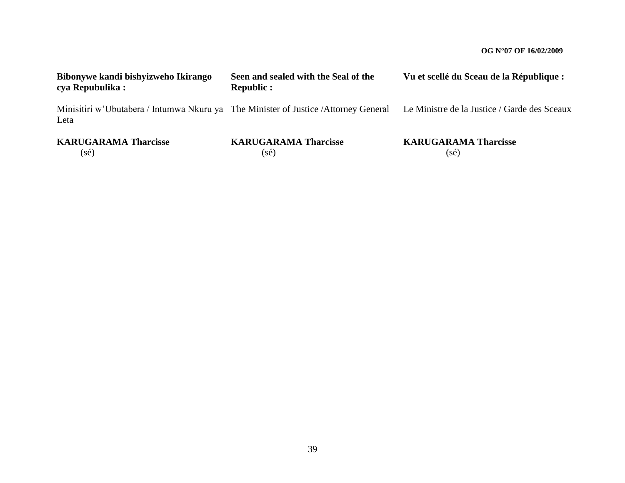| Bibonywe kandi bishyizweho Ikirango<br>cya Repubulika : | Seen and sealed with the Seal of the<br><b>Republic:</b> | Vu et scellé du Sceau de la République :                                                                                         |
|---------------------------------------------------------|----------------------------------------------------------|----------------------------------------------------------------------------------------------------------------------------------|
| Leta                                                    |                                                          | Minisitiri w'Ubutabera / Intumwa Nkuru ya The Minister of Justice /Attorney General Le Ministre de la Justice / Garde des Sceaux |
| <b>KARUGARAMA Tharcisse</b><br>$(s\acute{e})$           | <b>KARUGARAMA Tharcisse</b><br>(sé)                      | <b>KARUGARAMA Tharcisse</b><br>(sé)                                                                                              |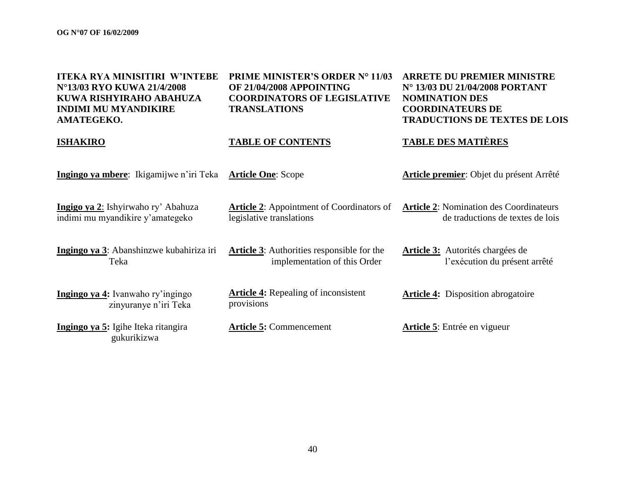| <b>ITEKA RYA MINISITIRI W'INTEBE</b><br>N°13/03 RYO KUWA 21/4/2008<br>KUWA RISHYIRAHO ABAHUZA<br><b>INDIMI MU MYANDIKIRE</b><br>AMATEGEKO. | PRIME MINISTER'S ORDER Nº 11/03<br>OF 21/04/2008 APPOINTING<br><b>COORDINATORS OF LEGISLATIVE</b><br><b>TRANSLATIONS</b> | <b>ARRETE DU PREMIER MINISTRE</b><br>N° 13/03 DU 21/04/2008 PORTANT<br><b>NOMINATION DES</b><br><b>COORDINATEURS DE</b><br><b>TRADUCTIONS DE TEXTES DE LOIS</b> |
|--------------------------------------------------------------------------------------------------------------------------------------------|--------------------------------------------------------------------------------------------------------------------------|-----------------------------------------------------------------------------------------------------------------------------------------------------------------|
| <b>ISHAKIRO</b>                                                                                                                            | <b>TABLE OF CONTENTS</b>                                                                                                 | <b>TABLE DES MATIÈRES</b>                                                                                                                                       |
| Ingingo ya mbere: Ikigamijwe n'iri Teka                                                                                                    | <b>Article One: Scope</b>                                                                                                | <b>Article premier</b> : Objet du présent Arrêté                                                                                                                |
| Ingigo ya 2: Ishyirwaho ry' Abahuza<br>indimi mu myandikire y'amategeko                                                                    | <b>Article 2:</b> Appointment of Coordinators of<br>legislative translations                                             | <b>Article 2: Nomination des Coordinateurs</b><br>de traductions de textes de lois                                                                              |
| Ingingo ya 3: Abanshinzwe kubahiriza iri<br>Teka                                                                                           | <b>Article 3:</b> Authorities responsible for the<br>implementation of this Order                                        | Article 3: Autorités chargées de<br>l'exécution du présent arrêté                                                                                               |
| Ingingo ya 4: Ivanwaho ry'ingingo<br>zinyuranye n'iri Teka                                                                                 | <b>Article 4:</b> Repealing of inconsistent<br>provisions                                                                | <b>Article 4:</b> Disposition abrogatoire                                                                                                                       |
| Ingingo ya 5: Igihe Iteka ritangira<br>gukurikizwa                                                                                         | <b>Article 5: Commencement</b>                                                                                           | <b>Article 5:</b> Entrée en vigueur                                                                                                                             |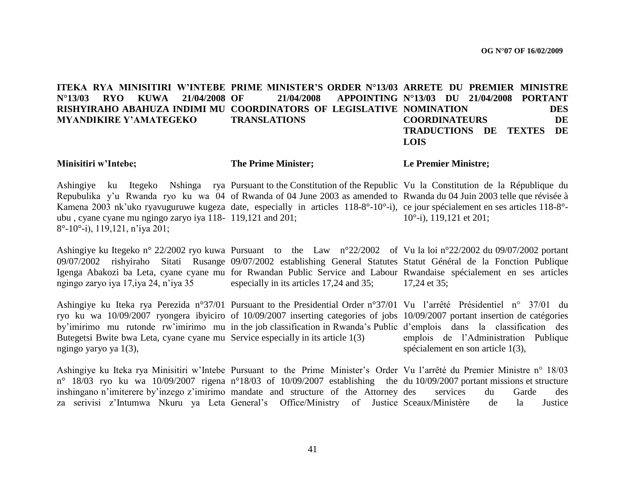ITEKA RYA MINISITIRI W'INTEBE PRIME MINISTER'S ORDER N°13/03 ARRETE DU PREMIER MINISTRE **N°13/03 RYO KUWA 21/04/2008 RISHYIRAHO ABAHUZA INDIMI MU COORDINATORS OF LEGISLATIVE NOMINATION DES MYANDIKIRE Y"AMATEGEKO OF 21/04/2008 APPOINTING N°13/03 DU 21/04/2008 PORTANT TRANSLATIONS COORDINATEURS DE TRADUCTIONS DE TEXTES DE LOIS**

#### **Minisitiri w"Intebe;**

**The Prime Minister;**

**Le Premier Ministre;**

Ashingiye ku Itegeko Nshinga rya Pursuant to the Constitution of the Republic Vu la Constitution de la République du Repubulika y'u Rwanda ryo ku wa 04 of Rwanda of 04 June 2003 as amended to Rwanda du 04 Juin 2003 telle que révisée à Kamena 2003 nk'uko ryavuguruwe kugeza date, especially in articles 118-8°-10°-i), ce jour spécialement en ses articles 118-8°ubu , cyane cyane mu ngingo zaryo iya 118- 119,121 and 201; 8°-10°-i), 119,121, n"iya 201; 10°-i), 119,121 et 201;

Ashingiye ku Itegeko n° 22/2002 ryo kuwa Pursuant to the Law n°22/2002 of Vu la loi n°22/2002 du 09/07/2002 portant 09/07/2002 rishyiraho Sitati Rusange 09/07/2002 establishing General Statutes Statut Général de la Fonction Publique Igenga Abakozi ba Leta, cyane cyane mu for Rwandan Public Service and Labour Rwandaise spécialement en ses articles ngingo zaryo iya 17,iya 24, n"iya 35 especially in its articles 17,24 and 35; 17,24 et 35;

Ashingiye ku Iteka rya Perezida n°37/01 Pursuant to the Presidential Order n°37/01 Vu l"arrêté Présidentiel n° 37/01 du ryo ku wa 10/09/2007 ryongera ibyiciro of 10/09/2007 inserting categories of jobs 10/09/2007 portant insertion de catégories by"imirimo mu rutonde rw"imirimo mu in the job classification in Rwanda"s Public d"emplois dans la classification des Butegetsi Bwite bwa Leta, cyane cyane mu Service especially in its article 1(3) ngingo yaryo ya 1(3), emplois de l"Administration Publique spécialement en son article 1(3),

Ashingiye ku Iteka rya Minisitiri w'Intebe Pursuant to the Prime Minister's Order Vu l'arrêté du Premier Ministre n° 18/03 n<sup>o</sup> 18/03 ryo ku wa 10/09/2007 rigena n<sup>o</sup>18/03 of 10/09/2007 establishing the du 10/09/2007 portant missions et structure inshingano n'imiterere by inzego z'imirimo mandate and structure of the Attorney za serivisi z"Intumwa Nkuru ya Leta General"s Office/Ministry of Justice Sceaux/Ministère de la Justice services du Garde des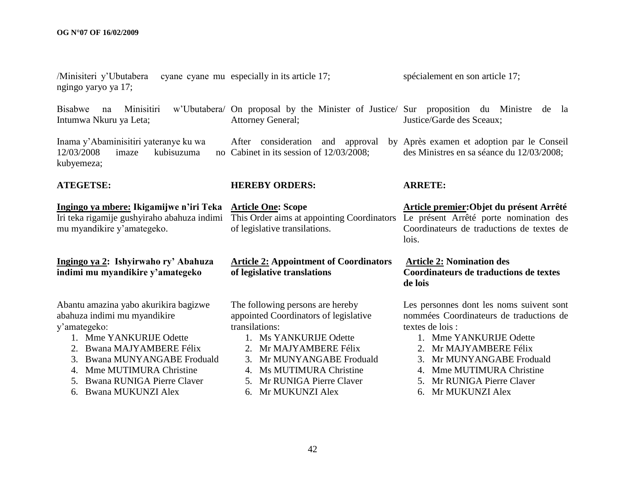| /Minisiteri y'Ubutabera<br>ngingo yaryo ya 17;                                                                                                                                                                                                                                   | cyane cyane mu especially in its article 17;                                                                                                                                                                                                                 | spécialement en son article 17;                                                                                                                                                                                                                                                     |
|----------------------------------------------------------------------------------------------------------------------------------------------------------------------------------------------------------------------------------------------------------------------------------|--------------------------------------------------------------------------------------------------------------------------------------------------------------------------------------------------------------------------------------------------------------|-------------------------------------------------------------------------------------------------------------------------------------------------------------------------------------------------------------------------------------------------------------------------------------|
| <b>Bisabwe</b><br>Minisitiri<br>na<br>Intumwa Nkuru ya Leta;                                                                                                                                                                                                                     | w'Ubutabera/ On proposal by the Minister of Justice/ Sur proposition du Ministre<br><b>Attorney General;</b>                                                                                                                                                 | de<br>-la<br>Justice/Garde des Sceaux;                                                                                                                                                                                                                                              |
| Inama y'Abaminisitiri yateranye ku wa<br>12/03/2008<br>kubisuzuma<br>imaze<br>kubyemeza;                                                                                                                                                                                         | After consideration and<br>approval<br>no Cabinet in its session of 12/03/2008;                                                                                                                                                                              | by Après examen et adoption par le Conseil<br>des Ministres en sa séance du 12/03/2008;                                                                                                                                                                                             |
| <b>ATEGETSE:</b>                                                                                                                                                                                                                                                                 | <b>HEREBY ORDERS:</b>                                                                                                                                                                                                                                        | <b>ARRETE:</b>                                                                                                                                                                                                                                                                      |
| Ingingo ya mbere: Ikigamijwe n'iri Teka<br>Iri teka rigamije gushyiraho abahuza indimi<br>mu myandikire y'amategeko.                                                                                                                                                             | <b>Article One: Scope</b><br>This Order aims at appointing Coordinators<br>of legislative transilations.                                                                                                                                                     | Article premier: Objet du présent Arrêté<br>Le présent Arrêté porte nomination des<br>Coordinateurs de traductions de textes de<br>lois.                                                                                                                                            |
| Ingingo ya 2: Ishyirwaho ry' Abahuza<br>indimi mu myandikire y'amategeko                                                                                                                                                                                                         | <b>Article 2: Appointment of Coordinators</b><br>of legislative translations                                                                                                                                                                                 | <b>Article 2: Nomination des</b><br>Coordinateurs de traductions de textes<br>de lois                                                                                                                                                                                               |
| Abantu amazina yabo akurikira bagizwe<br>abahuza indimi mu myandikire<br>y'amategeko:<br>1. Mme YANKURIJE Odette<br>Bwana MAJYAMBERE Félix<br>2.<br>Bwana MUNYANGABE Froduald<br>3.<br>Mme MUTIMURA Christine<br>4.<br>Bwana RUNIGA Pierre Claver<br>5.<br>6. Bwana MUKUNZI Alex | The following persons are hereby<br>appointed Coordinators of legislative<br>transilations:<br>1. Ms YANKURIJE Odette<br>2. Mr MAJYAMBERE Félix<br>3. Mr MUNYANGABE Froduald<br>Ms MUTIMURA Christine<br>5. Mr RUNIGA Pierre Claver<br>Mr MUKUNZI Alex<br>6. | Les personnes dont les noms suivent sont<br>nommées Coordinateurs de traductions de<br>textes de lois :<br>1. Mme YANKURIJE Odette<br>2. Mr MAJYAMBERE Félix<br>3. Mr MUNYANGABE Froduald<br>Mme MUTIMURA Christine<br>4.<br>Mr RUNIGA Pierre Claver<br>5.<br>Mr MUKUNZI Alex<br>6. |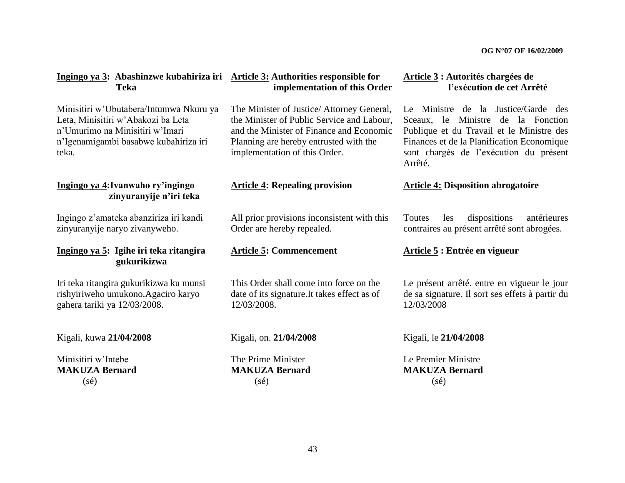| Ingingo ya 3: Abashinzwe kubahiriza iri Article 3: Authorities responsible for<br><b>Teka</b>                                                                      | implementation of this Order                                                                                                                                                                                    | Article 3 : Autorités chargées de<br>l'exécution de cet Arrêté                                                                                                                                                            |
|--------------------------------------------------------------------------------------------------------------------------------------------------------------------|-----------------------------------------------------------------------------------------------------------------------------------------------------------------------------------------------------------------|---------------------------------------------------------------------------------------------------------------------------------------------------------------------------------------------------------------------------|
| Minisitiri w'Ubutabera/Intumwa Nkuru ya<br>Leta, Minisitiri w'Abakozi ba Leta<br>n'Umurimo na Minisitiri w'Imari<br>n'Igenamigambi basabwe kubahiriza iri<br>teka. | The Minister of Justice/ Attorney General,<br>the Minister of Public Service and Labour,<br>and the Minister of Finance and Economic<br>Planning are hereby entrusted with the<br>implementation of this Order. | Le Ministre de la Justice/Garde des<br>Sceaux, le Ministre de la Fonction<br>Publique et du Travail et le Ministre des<br>Finances et de la Planification Economique<br>sont chargés de l'exécution du présent<br>Arrêté. |
| Ingingo ya 4: Ivanwaho ry'ingingo<br>zinyuranyije n'iri teka                                                                                                       | <b>Article 4: Repealing provision</b>                                                                                                                                                                           | <b>Article 4: Disposition abrogatoire</b>                                                                                                                                                                                 |
| Ingingo z'amateka abanziriza iri kandi<br>zinyuranyije naryo zivanyweho.                                                                                           | All prior provisions inconsistent with this<br>Order are hereby repealed.                                                                                                                                       | dispositions<br>antérieures<br>Toutes<br>les<br>contraires au présent arrêté sont abrogées.                                                                                                                               |
| Ingingo ya 5: Igihe iri teka ritangira<br>gukurikizwa                                                                                                              | <b>Article 5: Commencement</b>                                                                                                                                                                                  | Article 5 : Entrée en vigueur                                                                                                                                                                                             |
| Iri teka ritangira gukurikizwa ku munsi<br>rishyiriweho umukono.Agaciro karyo<br>gahera tariki ya 12/03/2008.                                                      | This Order shall come into force on the<br>date of its signature. It takes effect as of<br>12/03/2008.                                                                                                          | Le présent arrêté, entre en vigueur le jour<br>de sa signature. Il sort ses effets à partir du<br>12/03/2008                                                                                                              |
| Kigali, kuwa 21/04/2008                                                                                                                                            | Kigali, on. 21/04/2008                                                                                                                                                                                          | Kigali, le 21/04/2008                                                                                                                                                                                                     |
| Minisitiri w'Intebe<br><b>MAKUZA Bernard</b><br>$(s\acute{e})$                                                                                                     | The Prime Minister<br><b>MAKUZA Bernard</b><br>$(s\acute{e})$                                                                                                                                                   | Le Premier Ministre<br><b>MAKUZA Bernard</b><br>$(s\acute{e})$                                                                                                                                                            |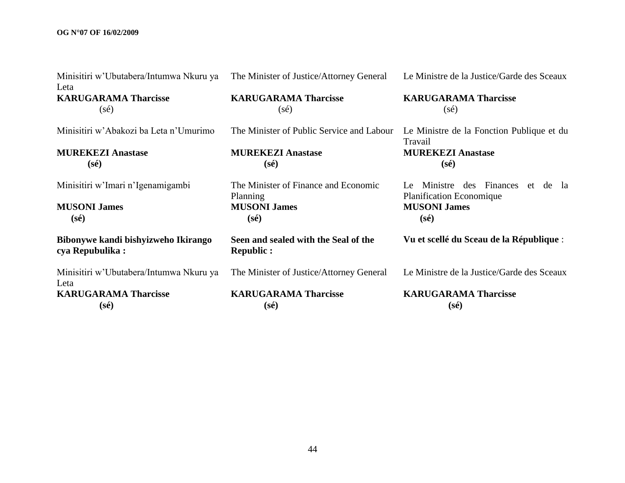#### **OG N°07 OF 16/02/2009**

| Minisitiri w'Ubutabera/Intumwa Nkuru ya<br>Leta        | The Minister of Justice/Attorney General                 | Le Ministre de la Justice/Garde des Sceaux                                      |
|--------------------------------------------------------|----------------------------------------------------------|---------------------------------------------------------------------------------|
| <b>KARUGARAMA Tharcisse</b><br>$(s\acute{e})$          | <b>KARUGARAMA Tharcisse</b><br>$(s\acute{e})$            | <b>KARUGARAMA Tharcisse</b><br>$(s\acute{e})$                                   |
| Minisitiri w'Abakozi ba Leta n'Umurimo                 | The Minister of Public Service and Labour                | Le Ministre de la Fonction Publique et du<br>Travail                            |
| <b>MUREKEZI Anastase</b>                               | <b>MUREKEZI Anastase</b>                                 | <b>MUREKEZI Anastase</b>                                                        |
| $(s\acute{e})$                                         | $(s\acute{e})$                                           | $(s\acute{e})$                                                                  |
| Minisitiri w'Imari n'Igenamigambi                      | The Minister of Finance and Economic<br>Planning         | Ministre des Finances<br>de la<br>et<br>Le -<br><b>Planification Economique</b> |
| <b>MUSONI James</b>                                    | <b>MUSONI James</b>                                      | <b>MUSONI James</b>                                                             |
| $(s\acute{e})$                                         | $(s\acute{e})$                                           | $(s\acute{e})$                                                                  |
| Bibonywe kandi bishyizweho Ikirango<br>cya Repubulika: | Seen and sealed with the Seal of the<br><b>Republic:</b> | Vu et scellé du Sceau de la République :                                        |
| Minisitiri w'Ubutabera/Intumwa Nkuru ya<br>Leta        | The Minister of Justice/Attorney General                 | Le Ministre de la Justice/Garde des Sceaux                                      |
| <b>KARUGARAMA Tharcisse</b>                            | <b>KARUGARAMA Tharcisse</b>                              | <b>KARUGARAMA Tharcisse</b>                                                     |
| $(s\acute{e})$                                         | $(s\acute{e})$                                           | $(s\acute{e})$                                                                  |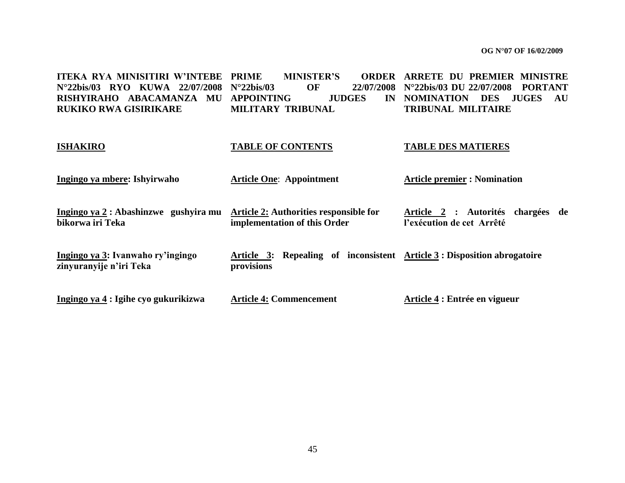**ITEKA RYA MINISITIRI W"INTEBE N°22bis/03 RYO KUWA 22/07/2008 RISHYIRAHO ABACAMANZA MU APPOINTING JUDGES IN RUKIKO RWA GISIRIKARE PRIME MINISTER"S ORDER ARRETE DU PREMIER MINISTRE N°22bis/03 OF 22/07/2008 N°22bis/03 DU 22/07/2008 PORTANT MILITARY TRIBUNAL** IN NOMINATION DES JUGES AU **TRIBUNAL MILITAIRE**

# **ISHAKIRO TABLE OF CONTENTS TABLE DES MATIERES**

| Ingingo ya mbere: Ishyirwaho                                 | <b>Article One: Appointment</b>                                                               | <b>Article premier : Nomination</b>                               |
|--------------------------------------------------------------|-----------------------------------------------------------------------------------------------|-------------------------------------------------------------------|
| Ingingo ya 2 : Abashinzwe gushyira mu<br>bikorwa iri Teka    | Article 2: Authorities responsible for<br>implementation of this Order                        | : Autorités chargées de<br>Article 2<br>l'exécution de cet Arrêté |
| Ingingo ya 3: Ivanwaho ry'ingingo<br>zinyuranyije n'iri Teka | Article 3: Repealing of inconsistent $\Delta$ rticle 3: Disposition abrogatoire<br>provisions |                                                                   |
| Ingingo ya 4 : Igihe cyo gukurikizwa                         | <b>Article 4: Commencement</b>                                                                | Article 4 : Entrée en vigueur                                     |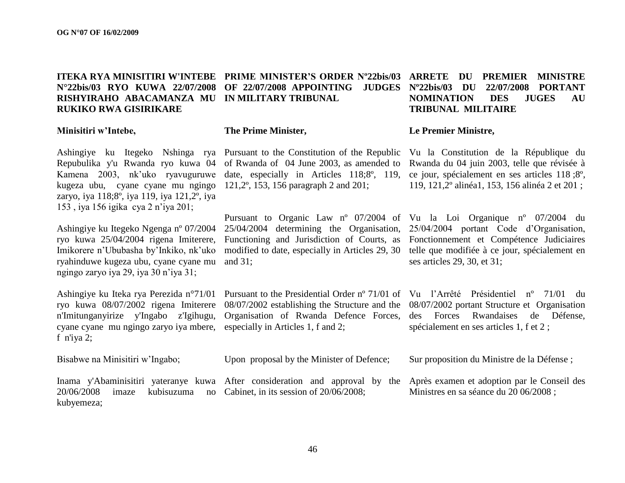#### **ITEKA RYA MINISITIRI W'INTEBE PRIME MINISTER"S ORDER Nº22bis/03 ARRETE DU PREMIER MINISTRE N°22bis/03 RYO KUWA 22/07/2008 OF 22/07/2008 APPOINTING JUDGES RISHYIRAHO ABACAMANZA MU IN MILITARY TRIBUNAL RUKIKO RWA GISIRIKARE TRIBUNAL MILITAIRE**

#### **Minisitiri w"Intebe,**

Ashingiye ku Itegeko Nshinga rya Repubulika y'u Rwanda ryo kuwa 04 Kamena 2003, nk"uko ryavuguruwe kugeza ubu, cyane cyane mu ngingo zaryo, iya 118;8º, iya 119, iya 121,2º, iya 153 , iya 156 igika cya 2 n"iya 201;

Ashingiye ku Itegeko Ngenga nº 07/2004 ryo kuwa 25/04/2004 rigena Imiterere, Imikorere n"Ububasha by"Inkiko, nk"uko ryahinduwe kugeza ubu, cyane cyane mu ngingo zaryo iya 29, iya 30 n"iya 31;

Ashingiye ku Iteka rya Perezida n°71/01 ryo kuwa 08/07/2002 rigena Imiterere n'Imitunganyirize y'Ingabo z'Igihugu, cyane cyane mu ngingo zaryo iya mbere, especially in Articles 1, f and 2; f n'iya 2;

Bisabwe na Minisitiri w"Ingabo;

20/06/2008 imaze kubisuzuma no Cabinet, in its session of 20/06/2008; kubyemeza;

#### **The Prime Minister,**

Pursuant to the Constitution of the Republic of Rwanda of 04 June 2003, as amended to date, especially in Articles 118;8º, 119, 121,2º, 153, 156 paragraph 2 and 201;

Pursuant to Organic Law nº 07/2004 of 25/04/2004 determining the Organisation, Functioning and Jurisdiction of Courts, as modified to date, especially in Articles 29, 30 and 31;

08/07/2002 establishing the Structure and the Organisation of Rwanda Defence Forces,

Upon proposal by the Minister of Defence;

Inama y'Abaminisitiri yateranye kuwa After consideration and approval by the Après examen et adoption par le Conseil des

## **Nº22bis/03 DU 22/07/2008 PORTANT NOMINATION DES JUGES AU**

#### **Le Premier Ministre,**

Vu la Constitution de la République du Rwanda du 04 juin 2003, telle que révisée à ce jour, spécialement en ses articles 118 ;8º, 119, 121,2º alinéa1, 153, 156 alinéa 2 et 201 ;

Vu la Loi Organique nº 07/2004 du 25/04/2004 portant Code d"Organisation, Fonctionnement et Compétence Judiciaires telle que modifiée à ce jour, spécialement en ses articles 29, 30, et 31;

Pursuant to the Presidential Order nº 71/01 of Vu l"Arrêté Présidentiel nº 71/01 du 08/07/2002 portant Structure et Organisation des Forces Rwandaises de Défense, spécialement en ses articles 1, f et 2 ;

Sur proposition du Ministre de la Défense ;

Ministres en sa séance du 20 06/2008 ;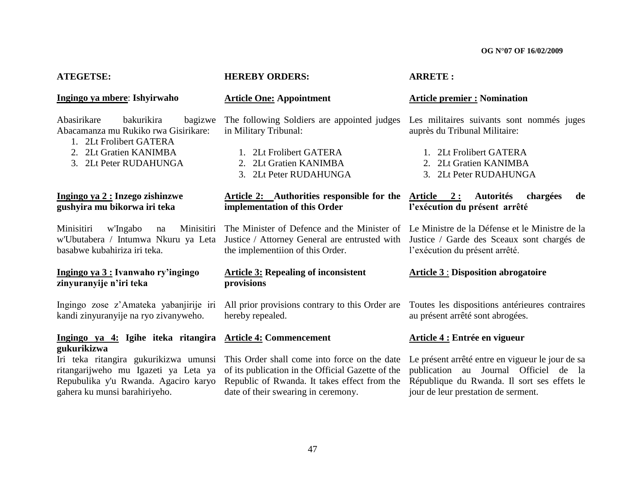| <b>ATEGETSE:</b>                                                                                                                                            | <b>HEREBY ORDERS:</b>                                                                                                                                                                    | <b>ARRETE:</b>                                                                                                                                                                  |
|-------------------------------------------------------------------------------------------------------------------------------------------------------------|------------------------------------------------------------------------------------------------------------------------------------------------------------------------------------------|---------------------------------------------------------------------------------------------------------------------------------------------------------------------------------|
| Ingingo ya mbere: Ishyirwaho                                                                                                                                | <b>Article One: Appointment</b>                                                                                                                                                          | <b>Article premier : Nomination</b>                                                                                                                                             |
| Abasirikare<br>bakurikira<br>bagizwe<br>Abacamanza mu Rukiko rwa Gisirikare:<br>1. 2Lt Frolibert GATERA<br>2. 2Lt Gratien KANIMBA<br>3. 2Lt Peter RUDAHUNGA | The following Soldiers are appointed judges<br>in Military Tribunal:<br>1. 2Lt Frolibert GATERA<br>2. 2Lt Gratien KANIMBA<br>3. 2Lt Peter RUDAHUNGA                                      | Les militaires suivants sont nommés juges<br>auprès du Tribunal Militaire:<br>1. 2Lt Frolibert GATERA<br>2Lt Gratien KANIMBA<br>2.<br>3. 2Lt Peter RUDAHUNGA                    |
| Ingingo ya 2 : Inzego zishinzwe<br>gushyira mu bikorwa iri teka                                                                                             | Article 2: Authorities responsible for the Article 2:<br>implementation of this Order                                                                                                    | <b>Autorités</b><br>chargées<br>de<br>l'exécution du présent arrêté                                                                                                             |
| Minisitiri<br>w'Ingabo<br>Minisitiri<br>na<br>w'Ubutabera / Intumwa Nkuru ya Leta<br>basabwe kubahiriza iri teka.                                           | The Minister of Defence and the Minister of Le Ministre de la Défense et le Ministre de la<br>Justice / Attorney General are entrusted with<br>the implementiion of this Order.          | Justice / Garde des Sceaux sont chargés de<br>l'exécution du présent arrêté.                                                                                                    |
| Ingingo ya 3 : Ivanwaho ry'ingingo<br>zinyuranyije n'iri teka                                                                                               | <b>Article 3: Repealing of inconsistent</b><br>provisions                                                                                                                                | <b>Article 3: Disposition abrogatoire</b>                                                                                                                                       |
| Ingingo zose z'Amateka yabanjirije iri<br>kandi zinyuranyije na ryo zivanyweho.                                                                             | All prior provisions contrary to this Order are<br>hereby repealed.                                                                                                                      | Toutes les dispositions antérieures contraires<br>au présent arrêté sont abrogées.                                                                                              |
| Ingingo ya 4: Igihe iteka ritangira<br>gukurikizwa                                                                                                          | <b>Article 4: Commencement</b>                                                                                                                                                           | Article 4 : Entrée en vigueur                                                                                                                                                   |
| Iri teka ritangira gukurikizwa umunsi<br>ritangarijweho mu Igazeti ya Leta ya<br>Repubulika y'u Rwanda. Agaciro karyo<br>gahera ku munsi barahiriyeho.      | This Order shall come into force on the date<br>of its publication in the Official Gazette of the<br>Republic of Rwanda. It takes effect from the<br>date of their swearing in ceremony. | Le présent arrêté entre en vigueur le jour de sa<br>publication au Journal Officiel de la<br>République du Rwanda. Il sort ses effets le<br>jour de leur prestation de serment. |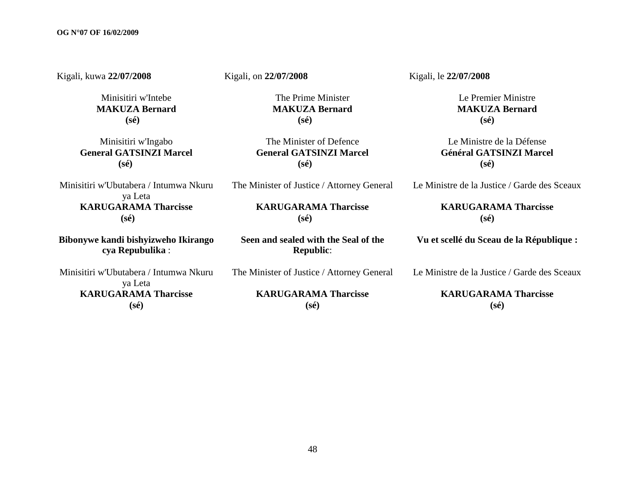Kigali, kuwa **22/07/2008**  Minisitiri w'Intebe **MAKUZA Bernard (sé)** Minisitiri w'Ingabo **General GATSINZI Marcel (sé)** Minisitiri w'Ubutabera / Intumwa Nkuru ya Leta **KARUGARAMA Tharcisse (sé) Bibonywe kandi bishyizweho Ikirango cya Repubulika** : Minisitiri w'Ubutabera / Intumwa Nkuru ya Leta **KARUGARAMA Tharcisse (sé)** Kigali, on **22/07/2008**  The Prime Minister **MAKUZA Bernard (sé)** The Minister of Defence **General GATSINZI Marcel (sé)** The Minister of Justice / Attorney General **KARUGARAMA Tharcisse (sé) Seen and sealed with the Seal of the Republic**: The Minister of Justice / Attorney General **KARUGARAMA Tharcisse (sé)** Kigali, le **22/07/2008**  Le Premier Ministre **MAKUZA Bernard (sé)** Le Ministre de la Défense **Général GATSINZI Marcel (sé)** Le Ministre de la Justice / Garde des Sceaux **KARUGARAMA Tharcisse (sé) Vu et scellé du Sceau de la République :** Le Ministre de la Justice / Garde des Sceaux **KARUGARAMA Tharcisse (sé)**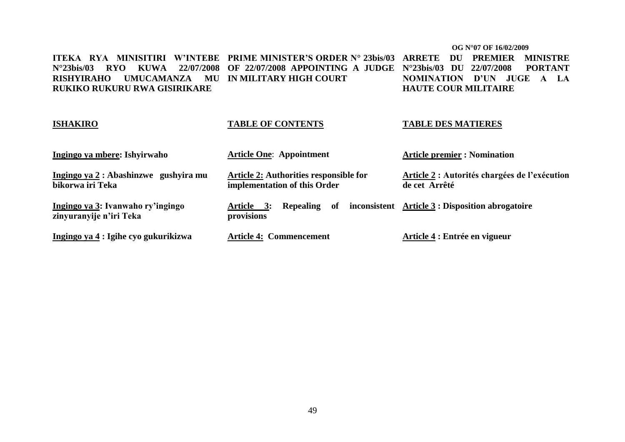#### **OG N°07 OF 16/02/2009**

**ITEKA RYA MINISITIRI W"INTEBE PRIME MINISTER"S ORDER N° 23bis/03 ARRETE DU PREMIER MINISTRE N°23bis/03 RYO KUWA 22/07/2008 OF 22/07/2008 APPOINTING A JUDGE N°23bis/03 DU 22/07/2008 PORTANT RISHYIRAHO UMUCAMANZA MU IN MILITARY HIGH COURT RUKIKO RUKURU RWA GISIRIKARE NOMINATION D"UN JUGE A LA HAUTE COUR MILITAIRE**

| <b>ISHAKIRO</b>                                              | <b>TABLE OF CONTENTS</b>                                               | <b>TABLE DES MATIERES</b>                                      |
|--------------------------------------------------------------|------------------------------------------------------------------------|----------------------------------------------------------------|
| Ingingo ya mbere: Ishyirwaho                                 | <b>Article One: Appointment</b>                                        | <b>Article premier : Nomination</b>                            |
| Ingingo ya 2 : Abashinzwe gushyira mu<br>bikorwa iri Teka    | Article 2: Authorities responsible for<br>implementation of this Order | Article 2 : Autorités chargées de l'exécution<br>de cet Arrêté |
| Ingingo ya 3: Ivanwaho ry'ingingo<br>zinyuranyije n'iri Teka | Repealing of<br>Article 3:<br>provisions                               | inconsistent Article 3 : Disposition abrogatoire               |
| Ingingo ya 4 : Igihe cyo gukurikizwa                         | <b>Article 4: Commencement</b>                                         | Article 4 : Entrée en vigueur                                  |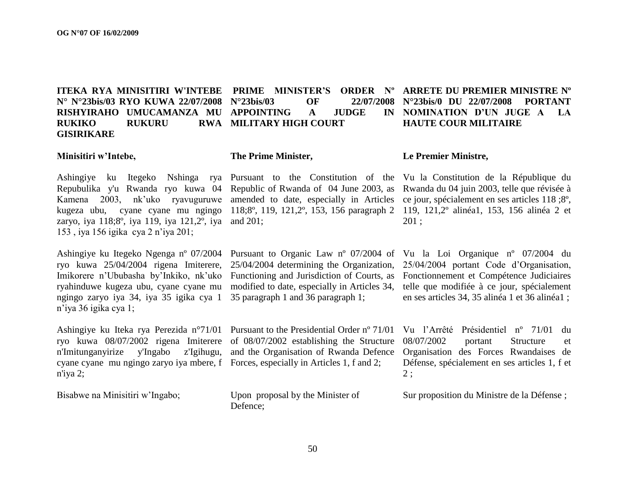**ITEKA RYA MINISITIRI W'INTEBE PRIME MINISTER"S ORDER Nº ARRETE DU PREMIER MINISTRE Nº N° N°23bis/03 RYO KUWA 22/07/2008 N°23bis/03 OF 22/07/2008 RISHYIRAHO UMUCAMANZA MU APPOINTING A JUDGE IN RUKIKO RUKURU GISIRIKARE RWA MILITARY HIGH COURT** 

### **N°23bis/0 DU 22/07/2008 PORTANT NOMINATION D"UN JUGE A LA HAUTE COUR MILITAIRE**

#### **Minisitiri w"Intebe,**

**The Prime Minister,**

Repubulika y'u Rwanda ryo kuwa 04 Kamena 2003, nk"uko ryavuguruwe zaryo, iya 118;8º, iya 119, iya 121,2º, iya and 201; 153 , iya 156 igika cya 2 n"iya 201;

ryo kuwa 25/04/2004 rigena Imiterere, ryahinduwe kugeza ubu, cyane cyane mu ngingo zaryo iya 34, iya 35 igika cya 1 n"iya 36 igika cya 1;

Ashingiye ku Iteka rya Perezida n°71/01 Pursuant to the Presidential Order nº 71/01 n'Imitunganyirize y'Ingabo z'Igihugu, and the Organisation of Rwanda Defence cyane cyane mu ngingo zaryo iya mbere, f Forces, especially in Articles 1, f and 2; n'iya 2;

Bisabwe na Minisitiri w"Ingabo;

modified to date, especially in Articles 34, 35 paragraph 1 and 36 paragraph 1;

Upon proposal by the Minister of Defence;

#### **Le Premier Ministre,**

Ashingiye ku Itegeko Nshinga rya Pursuant to the Constitution of the Vu la Constitution de la République du kugeza ubu, cyane cyane mu ngingo 118;8º, 119, 121,2º, 153, 156 paragraph 2 119, 121,2º alinéa1, 153, 156 alinéa 2 et Republic of Rwanda of 04 June 2003, as Rwanda du 04 juin 2003, telle que révisée à amended to date, especially in Articles ce jour, spécialement en ses articles 118 ;8º, 201 ;

Ashingiye ku Itegeko Ngenga nº 07/2004 Pursuant to Organic Law nº 07/2004 of Vu la Loi Organique nº 07/2004 du Imikorere n'Ububasha by'Inkiko, nk'uko Functioning and Jurisdiction of Courts, as Fonctionnement et Compétence Judiciaires 25/04/2004 determining the Organization, 25/04/2004 portant Code d"Organisation, telle que modifiée à ce jour, spécialement en ses articles 34, 35 alinéa 1 et 36 alinéa1 ;

ryo kuwa 08/07/2002 rigena Imiterere of 08/07/2002 establishing the Structure 08/07/2002 portant Structure et Vu l"Arrêté Présidentiel nº 71/01 du Organisation des Forces Rwandaises de Défense, spécialement en ses articles 1, f et 2 ;

Sur proposition du Ministre de la Défense ;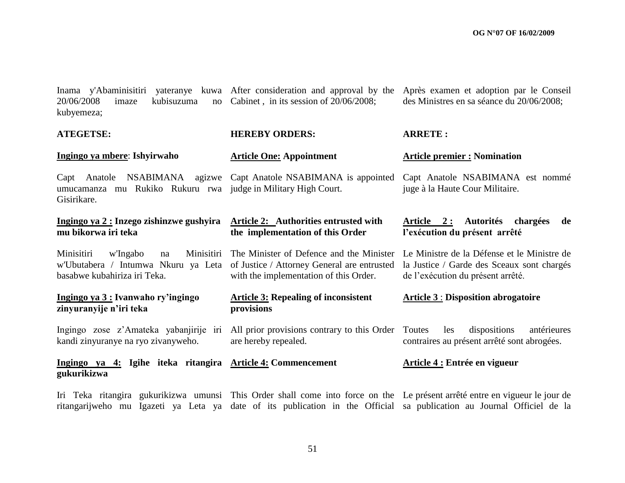| Inama y'Abaminisitiri<br>20/06/2008<br>kubisuzuma<br>imaze<br>no<br>kubyemeza;                                    | yateranye kuwa After consideration and approval by the<br>Cabinet, in its session of 20/06/2008;                                  | Après examen et adoption par le Conseil<br>des Ministres en sa séance du 20/06/2008;                                           |
|-------------------------------------------------------------------------------------------------------------------|-----------------------------------------------------------------------------------------------------------------------------------|--------------------------------------------------------------------------------------------------------------------------------|
| <b>ATEGETSE:</b>                                                                                                  | <b>HEREBY ORDERS:</b>                                                                                                             | <b>ARRETE:</b>                                                                                                                 |
| Ingingo ya mbere: Ishyirwaho                                                                                      | <b>Article One: Appointment</b>                                                                                                   | <b>Article premier : Nomination</b>                                                                                            |
| Capt<br>umucamanza mu Rukiko Rukuru rwa judge in Military High Court.<br>Gisirikare.                              | Anatole NSABIMANA agizwe Capt Anatole NSABIMANA is appointed                                                                      | Capt Anatole NSABIMANA est nommé<br>juge à la Haute Cour Militaire.                                                            |
| Ingingo ya 2 : Inzego zishinzwe gushyira<br>mu bikorwa iri teka                                                   | Article 2: Authorities entrusted with<br>the implementation of this Order                                                         | Article 2: Autorités chargées<br>de<br>l'exécution du présent arrêté                                                           |
| Minisitiri<br>Minisitiri<br>w'Ingabo<br>na<br>w'Ubutabera / Intumwa Nkuru ya Leta<br>basabwe kubahiriza iri Teka. | The Minister of Defence and the Minister<br>of Justice / Attorney General are entrusted<br>with the implementation of this Order. | Le Ministre de la Défense et le Ministre de<br>la Justice / Garde des Sceaux sont chargés<br>de l'exécution du présent arrêté. |
| Ingingo ya 3 : Ivanwaho ry'ingingo<br>zinyuranyije n'iri teka                                                     | <b>Article 3: Repealing of inconsistent</b><br>provisions                                                                         | <b>Article 3: Disposition abrogatoire</b>                                                                                      |
| Ingingo zose z'Amateka yabanjirije iri<br>kandi zinyuranye na ryo zivanyweho.                                     | All prior provisions contrary to this Order Toutes<br>are hereby repealed.                                                        | dispositions<br>antérieures<br>les<br>contraires au présent arrêté sont abrogées.                                              |
| Ingingo ya 4: Igihe iteka ritangira Article 4: Commencement<br>gukurikizwa                                        |                                                                                                                                   | Article 4 : Entrée en vigueur                                                                                                  |

Iri Teka ritangira gukurikizwa umunsi This Order shall come into force on the Le présent arrêté entre en vigueur le jour de ritangarijweho mu Igazeti ya Leta ya date of its publication in the Official sa publication au Journal Officiel de la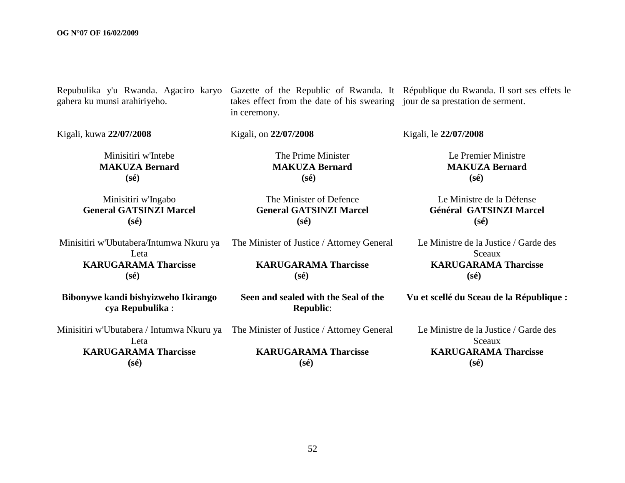| Repubulika y'u Rwanda. Agaciro karyo<br>gahera ku munsi arahiriyeho.                         | takes effect from the date of his swearing jour de sa prestation de serment.<br>in ceremony. | Gazette of the Republic of Rwanda. It République du Rwanda. Il sort ses effets le |
|----------------------------------------------------------------------------------------------|----------------------------------------------------------------------------------------------|-----------------------------------------------------------------------------------|
| Kigali, kuwa 22/07/2008                                                                      | Kigali, on 22/07/2008                                                                        | Kigali, le 22/07/2008                                                             |
| Minisitiri w'Intebe<br><b>MAKUZA Bernard</b><br>$(s\acute{e})$                               | The Prime Minister<br><b>MAKUZA Bernard</b><br>$(s\acute{e})$                                | Le Premier Ministre<br><b>MAKUZA Bernard</b><br>$(s\acute{e})$                    |
| Minisitiri w'Ingabo<br><b>General GATSINZI Marcel</b><br>$(s\acute{e})$                      | The Minister of Defence<br><b>General GATSINZI Marcel</b><br>$(s\acute{e})$                  | Le Ministre de la Défense<br>Général GATSINZI Marcel<br>$(s\acute{e})$            |
| Minisitiri w'Ubutabera/Intumwa Nkuru ya<br>Leta                                              | The Minister of Justice / Attorney General                                                   | Le Ministre de la Justice / Garde des<br>Sceaux                                   |
| <b>KARUGARAMA Tharcisse</b><br>$(s\acute{e})$                                                | <b>KARUGARAMA Tharcisse</b><br>$(s\acute{e})$                                                | <b>KARUGARAMA Tharcisse</b><br>$(s\acute{e})$                                     |
| Bibonywe kandi bishyizweho Ikirango<br>cya Repubulika:                                       | Seen and sealed with the Seal of the<br><b>Republic:</b>                                     | Vu et scellé du Sceau de la République :                                          |
| Minisitiri w'Ubutabera / Intumwa Nkuru ya The Minister of Justice / Attorney General<br>Leta |                                                                                              | Le Ministre de la Justice / Garde des<br>Sceaux                                   |
| <b>KARUGARAMA Tharcisse</b><br>$(s\acute{e})$                                                | <b>KARUGARAMA Tharcisse</b><br>$(s\acute{e})$                                                | <b>KARUGARAMA Tharcisse</b><br>$(s\acute{e})$                                     |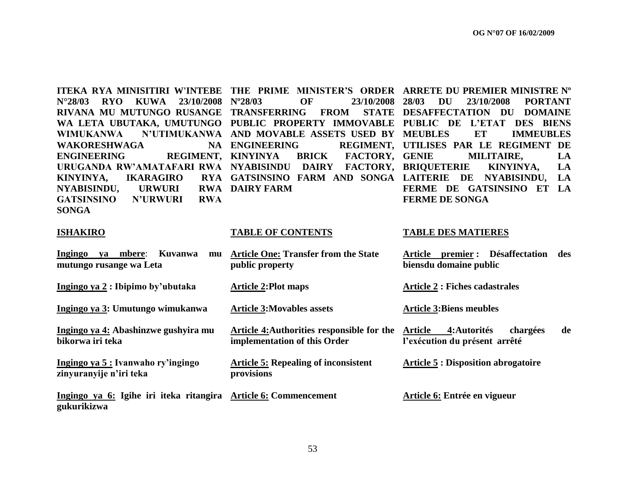|                                   |                                                                              | ITEKA RYA MINISITIRI W'INTEBE THE PRIME MINISTER'S ORDER ARRETE DU PREMIER MINISTRE N° |
|-----------------------------------|------------------------------------------------------------------------------|----------------------------------------------------------------------------------------|
|                                   |                                                                              | N°28/03 RYO KUWA 23/10/2008 N°28/03 OF 23/10/2008 28/03 DU 23/10/2008 PORTANT          |
|                                   |                                                                              | RIVANA MU MUTUNGO RUSANGE TRANSFERRING FROM STATE DESAFFECTATION DU DOMAINE            |
|                                   |                                                                              | WA LETA UBUTAKA, UMUTUNGO PUBLIC PROPERTY IMMOVABLE PUBLIC DE L'ETAT DES BIENS         |
|                                   |                                                                              | WIMUKANWA N'UTIMUKANWA AND MOVABLE ASSETS USED BY MEUBLES ET IMMEUBLES                 |
|                                   |                                                                              | WAKORESHWAGA NA ENGINEERING REGIMENT, UTILISES PAR LE REGIMENT DE                      |
|                                   | ENGINEERING REGIMENT, KINYINYA BRICK FACTORY, GENIE MILITAIRE, LA            |                                                                                        |
|                                   | URUGANDA RW'AMATAFARI RWA NYABISINDU DAIRY FACTORY, BRIQUETERIE KINYINYA, LA |                                                                                        |
|                                   | KINYINYA, IKARAGIRO RYA GATSINSINO FARM AND SONGA LAITERIE DE NYABISINDU, LA |                                                                                        |
| NYABISINDU, URWURI RWA DAIRY FARM |                                                                              | FERME DE GATSINSINO ET LA                                                              |
| GATSINSINO N'URWURI RWA           |                                                                              | <b>FERME DE SONGA</b>                                                                  |
| <b>SONGA</b>                      |                                                                              |                                                                                        |

#### **ISHAKIRO TABLE OF CONTENTS TABLE DES MATIERES**

| Ingingo<br>Kuvanwa<br>mbere:<br>va<br>mu<br>mutungo rusange wa Leta            | <b>Article One: Transfer from the State</b><br>public property             | <b>Désaffectation</b><br>premier :<br>Article<br>biensdu domaine public | des |
|--------------------------------------------------------------------------------|----------------------------------------------------------------------------|-------------------------------------------------------------------------|-----|
| Ingingo ya 2 : Ibipimo by'ubutaka                                              | <b>Article 2:Plot maps</b>                                                 | <b>Article 2 : Fiches cadastrales</b>                                   |     |
| Ingingo ya 3: Umutungo wimukanwa                                               | <b>Article 3: Movables assets</b>                                          | <b>Article 3:Biens meubles</b>                                          |     |
| Ingingo ya 4: Abashinzwe gushyira mu<br>bikorwa iri teka                       | Article 4: Authorities responsible for the<br>implementation of this Order | 4: Autorités<br>chargées<br>Article<br>l'exécution du présent arrêté    | de  |
| Ingingo ya 5 : Ivanwaho ry'ingingo<br>zinyuranyije n'iri teka                  | <b>Article 5: Repealing of inconsistent</b><br>provisions                  | <b>Article 5 : Disposition abrogatoire</b>                              |     |
| Ingingo ya 6: Igihe iri iteka ritangira Article 6: Commencement<br>gukurikizwa |                                                                            | Article 6: Entrée en vigueur                                            |     |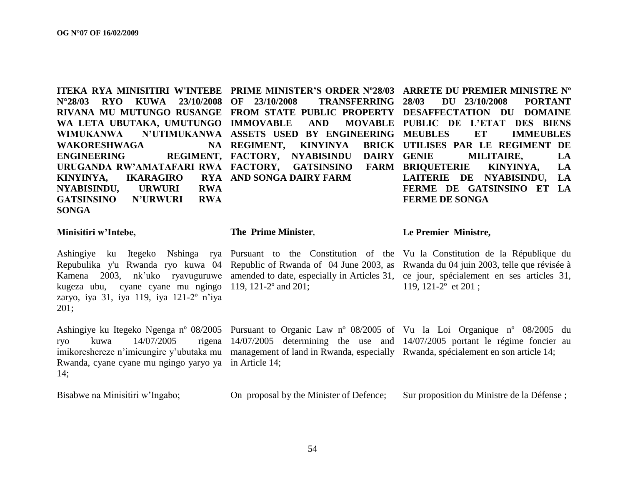|                         |                                                               | <b>ITEKA RYA MINISITIRI W'INTEBE PRIME MINISTER'S ORDER N°28/03 ARRETE DU PREMIER MINISTRE N°</b> |
|-------------------------|---------------------------------------------------------------|---------------------------------------------------------------------------------------------------|
|                         |                                                               | N°28/03 RYO KUWA 23/10/2008 OF 23/10/2008 TRANSFERRING 28/03 DU 23/10/2008 PORTANT                |
|                         |                                                               | RIVANA MU MUTUNGO RUSANGE FROM STATE PUBLIC PROPERTY DESAFFECTATION DU DOMAINE                    |
|                         |                                                               | WA LETA UBUTAKA, UMUTUNGO IMMOVABLE AND MOVABLE PUBLIC DE L'ETAT DES BIENS                        |
|                         |                                                               | WIMUKANWA N'UTIMUKANWA ASSETS USED BY ENGINEERING MEUBLES ET IMMEUBLES                            |
|                         |                                                               | WAKORESHWAGA NA REGIMENT, KINYINYA BRICK UTILISES PAR LE REGIMENT DE                              |
|                         |                                                               | ENGINEERING REGIMENT, FACTORY, NYABISINDU DAIRY GENIE MILITAIRE, LA                               |
|                         |                                                               | URUGANDA RW'AMATAFARI RWA FACTORY, GATSINSINO FARM BRIOUETERIE KINYINYA, LA                       |
| KINYINYA,               |                                                               | IKARAGIRO     RYA   AND SONGA DAIRY FARM               LAITERIE   DE   NYABISINDU,   LA           |
| NYABISINDU, URWURI RWA  |                                                               | FERME DE GATSINSINO ET LA                                                                         |
| GATSINSINO N'URWURI RWA |                                                               | <b>FERME DE SONGA</b>                                                                             |
| <b>SONGA</b>            |                                                               |                                                                                                   |
| Minisitiri w'Intoho     | The Prime Minister <b>State State In the Premier Ministre</b> |                                                                                                   |

#### **Minisitiri w"Intebe,**

#### **The Prime Minister**,

kugeza ubu, cyane cyane mu ngingo 119, 121-2º and 201; zaryo, iya 31, iya 119, iya 121-2º n"iya 201;

#### **Le Premier Ministre,**

Ashingiye ku Itegeko Nshinga rya Pursuant to the Constitution of the Vu la Constitution de la République du Repubulika y'u Rwanda ryo kuwa 04 Republic of Rwanda of 04 June 2003, as Rwanda du 04 juin 2003, telle que révisée à Kamena 2003, nk'uko ryavuguruwe amended to date, especially in Articles 31, ce jour, spécialement en ses articles 31, 119, 121-2º et 201 ;

Ashingiye ku Itegeko Ngenga nº 08/2005 Pursuant to Organic Law nº 08/2005 of Vu la Loi Organique nº 08/2005 du ryo kuwa 14/07/2005 imikoreshereze n'imicungire y'ubutaka mu management of land in Rwanda, especially Rwanda, spécialement en son article 14; Rwanda, cyane cyane mu ngingo yaryo ya in Article 14; 14; 14/07/2005 determining the use and 14/07/2005 portant le régime foncier au

Bisabwe na Minisitiri w"Ingabo;

On proposal by the Minister of Defence; Sur proposition du Ministre de la Défense ;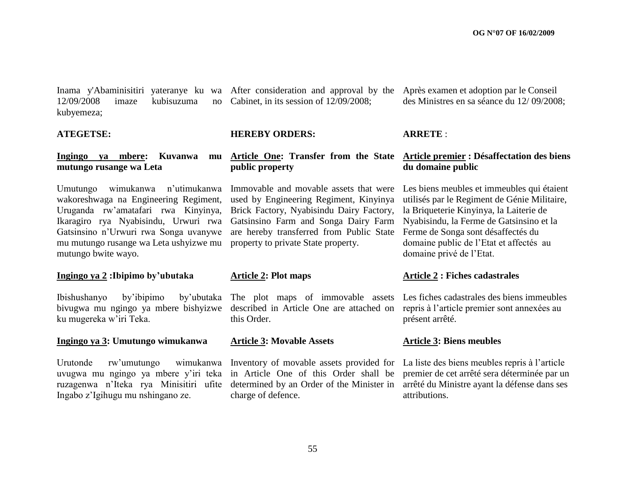$12/09/2008$  imaze kubisuzuma kubyemeza;

#### **ATEGETSE:**

#### **Ingingo ya mbere: Kuvanwa mutungo rusange wa Leta**

Umutungo wimukanwa n"utimukanwa wakoreshwaga na Engineering Regiment, Uruganda rw"amatafari rwa Kinyinya, Ikaragiro rya Nyabisindu, Urwuri rwa Gatsinsino n"Urwuri rwa Songa uvanywe mu mutungo rusange wa Leta ushyizwe mu mutungo bwite wayo.

#### **Ingingo ya 2 :Ibipimo by"ubutaka**

Ibishushanyo by"ibipimo by"ubutaka bivugwa mu ngingo ya mbere bishyizwe ku mugereka w"iri Teka.

#### **Ingingo ya 3: Umutungo wimukanwa**

Urutonde rw'umutungo wimukanwa Inventory of movable assets provided for La liste des biens meubles repris à l'article uvugwa mu ngingo ya mbere y"iri teka in Article One of this Order shall be ruzagenwa n"Iteka rya Minisitiri ufite Ingabo z"Igihugu mu nshingano ze.

no Cabinet, in its session of  $12/09/2008$ ;

#### **HEREBY ORDERS:**

#### **Article One: Transfer from the State public property**

Immovable and movable assets that were used by Engineering Regiment, Kinyinya Brick Factory, Nyabisindu Dairy Factory, Gatsinsino Farm and Songa Dairy Farm are hereby transferred from Public State property to private State property.

#### **Article 2: Plot maps**

The plot maps of immovable assets Les fiches cadastrales des biens immeubles described in Article One are attached on repris à l"article premier sont annexées au this Order.

#### **Article 3: Movable Assets**

determined by an Order of the Minister in charge of defence.

Inama y'Abaminisitiri yateranye ku wa After consideration and approval by the Après examen et adoption par le Conseil des Ministres en sa séance du 12/ 09/2008;

#### **ARRETE** :

#### **Article premier : Désaffectation des biens du domaine public**

Les biens meubles et immeubles qui étaient utilisés par le Regiment de Génie Militaire, la Briqueterie Kinyinya, la Laiterie de Nyabisindu, la Ferme de Gatsinsino et la Ferme de Songa sont désaffectés du domaine public de l"Etat et affectés au domaine privé de l"Etat.

#### **Article 2 : Fiches cadastrales**

présent arrêté.

#### **Article 3: Biens meubles**

premier de cet arrêté sera déterminée par un arrêté du Ministre ayant la défense dans ses attributions.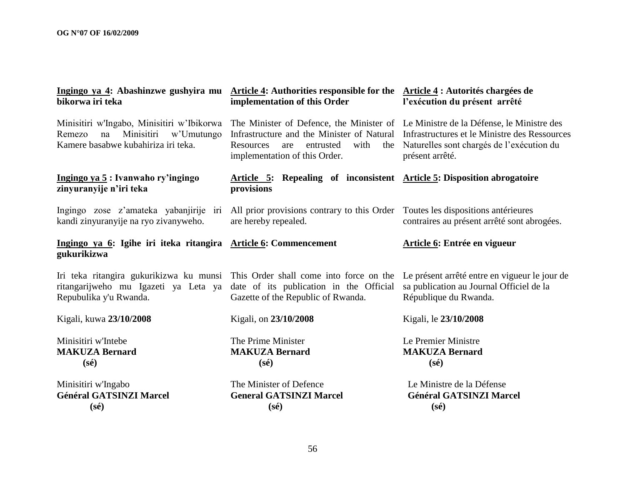| bikorwa iri teka                                                                                                           | Ingingo ya 4: Abashinzwe gushyira mu Article 4: Authorities responsible for the Article 4: Autorités chargées de<br>implementation of this Order                     | l'exécution du présent arrêté                                                                                                                            |  |  |
|----------------------------------------------------------------------------------------------------------------------------|----------------------------------------------------------------------------------------------------------------------------------------------------------------------|----------------------------------------------------------------------------------------------------------------------------------------------------------|--|--|
| Minisitiri w'Ingabo, Minisitiri w'Ibikorwa<br>Minisitiri w'Umutungo<br>Remezo<br>na<br>Kamere basabwe kubahiriza iri teka. | The Minister of Defence, the Minister of Le Ministre de la Défense, le Ministre des<br>with<br>entrusted<br>the<br>Resources<br>are<br>implementation of this Order. | Infrastructure and the Minister of Natural Infrastructures et le Ministre des Ressources<br>Naturelles sont chargés de l'exécution du<br>présent arrêté. |  |  |
| Ingingo ya 5: Ivanwaho ry'ingingo<br>zinyuranyije n'iri teka                                                               | Article 5: Repealing of inconsistent Article 5: Disposition abrogatoire<br>provisions                                                                                |                                                                                                                                                          |  |  |
| kandi zinyuranyije na ryo zivanyweho.                                                                                      | Ingingo zose z'amateka yabanjirije iri All prior provisions contrary to this Order Toutes les dispositions antérieures<br>are hereby repealed.                       | contraires au présent arrêté sont abrogées.                                                                                                              |  |  |
| Ingingo ya 6: Igihe iri iteka ritangira Article 6: Commencement<br>gukurikizwa                                             |                                                                                                                                                                      | <b>Article 6: Entrée en vigueur</b>                                                                                                                      |  |  |
| ritangarijweho mu Igazeti ya Leta ya<br>Repubulika y'u Rwanda.                                                             | Iri teka ritangira gukurikizwa ku munsi This Order shall come into force on the<br>date of its publication in the Official<br>Gazette of the Republic of Rwanda.     | Le présent arrêté entre en vigueur le jour de<br>sa publication au Journal Officiel de la<br>République du Rwanda.                                       |  |  |
| Kigali, kuwa 23/10/2008                                                                                                    | Kigali, on 23/10/2008                                                                                                                                                | Kigali, le 23/10/2008                                                                                                                                    |  |  |
| Minisitiri w'Intebe<br><b>MAKUZA Bernard</b><br>$(s\acute{e})$                                                             | The Prime Minister<br><b>MAKUZA Bernard</b><br>$(s\acute{e})$                                                                                                        | Le Premier Ministre<br><b>MAKUZA Bernard</b><br>$(s\acute{e})$                                                                                           |  |  |
| Minisitiri w'Ingabo<br><b>Général GATSINZI Marcel</b><br>$(s\acute{e})$                                                    | The Minister of Defence<br><b>General GATSINZI Marcel</b><br>$(s\acute{e})$                                                                                          | Le Ministre de la Défense<br><b>Général GATSINZI Marcel</b><br>$(s\acute{e})$                                                                            |  |  |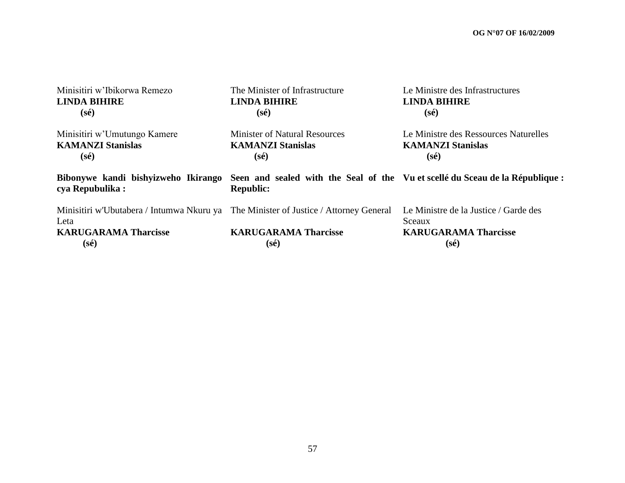| Minisitiri w'Ibikorwa Remezo                                                                                                                  | The Minister of Infrastructure       | Le Ministre des Infrastructures                                                                  |
|-----------------------------------------------------------------------------------------------------------------------------------------------|--------------------------------------|--------------------------------------------------------------------------------------------------|
| <b>LINDA BIHIRE</b>                                                                                                                           | <b>LINDA BIHIRE</b>                  | <b>LINDA BIHIRE</b>                                                                              |
| $(s\acute{e})$                                                                                                                                | $(s\acute{e})$                       | $(s\acute{e})$                                                                                   |
| Minisitiri w'Umutungo Kamere                                                                                                                  | <b>Minister of Natural Resources</b> | Le Ministre des Ressources Naturelles                                                            |
| <b>KAMANZI Stanislas</b>                                                                                                                      | <b>KAMANZI Stanislas</b>             | <b>KAMANZI Stanislas</b>                                                                         |
| $(s\acute{e})$                                                                                                                                | $(s\acute{e})$                       | (sé)                                                                                             |
| Bibonywe kandi bishyizweho Ikirango Seen and sealed with the Seal of the Vuet scellé du Sceau de la République:<br>cya Repubulika:            | <b>Republic:</b>                     |                                                                                                  |
| Minisitiri w'Ubutabera / Intumwa Nkuru ya The Minister of Justice / Attorney General<br>Leta<br><b>KARUGARAMA Tharcisse</b><br>$(s\acute{e})$ | <b>KARUGARAMA Tharcisse</b><br>(sé)  | Le Ministre de la Justice / Garde des<br>Sceaux<br><b>KARUGARAMA Tharcisse</b><br>$(s\acute{e})$ |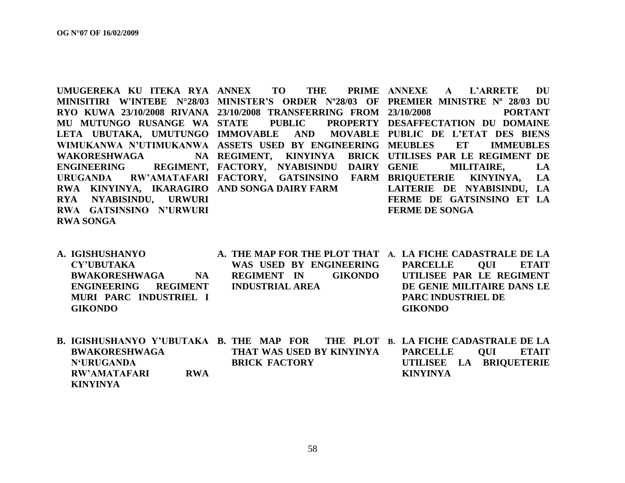|                         | UMUGEREKA KU ITEKA RYA ANNEX TO THE PRIME ANNEXE A L'ARRETE DU                       |                                  |
|-------------------------|--------------------------------------------------------------------------------------|----------------------------------|
|                         | MINISITIRI W'INTEBE N°28/03 MINISTER'S ORDER N°28/03 OF PREMIER MINISTRE N° 28/03 DU |                                  |
|                         | RYO KUWA 23/10/2008 RIVANA 23/10/2008 TRANSFERRING FROM 23/10/2008 PORTANT           |                                  |
|                         | MU MUTUNGO RUSANGE WA STATE PUBLIC PROPERTY DESAFFECTATION DU DOMAINE                |                                  |
|                         | LETA UBUTAKA, UMUTUNGO IMMOVABLE AND MOVABLE PUBLIC DE L'ETAT DES BIENS              |                                  |
|                         | WIMUKANWA N'UTIMUKANWA ASSETS USED BY ENGINEERING MEUBLES ET IMMEUBLES               |                                  |
|                         | WAKORESHWAGA NA REGIMENT, KINYINYA BRICK UTILISES PAR LE REGIMENT DE                 |                                  |
|                         | ENGINEERING REGIMENT, FACTORY, NYABISINDU DAIRY GENIE MILITAIRE, LA                  |                                  |
|                         | URUGANDA RW'AMATAFARI FACTORY, GATSINSINO FARM BRIQUETERIE KINYINYA, LA              |                                  |
|                         | RWA KINYINYA, IKARAGIRO AND SONGA DAIRY FARM LAITERIE DE NYABISINDU, LA              |                                  |
| RYA NYABISINDU, URWURI  |                                                                                      | <b>FERME DE GATSINSINO ET LA</b> |
| RWA GATSINSINO N'URWURI | <b>FERME DE SONGA</b>                                                                |                                  |
| <b>RWA SONGA</b>        |                                                                                      |                                  |

| A. IGISHUSHANYO                   |                         |                | A. THE MAP FOR THE PLOT THAT A. LA FICHE CADASTRALE DE LA |           |
|-----------------------------------|-------------------------|----------------|-----------------------------------------------------------|-----------|
| CY'UBUTAKA                        | WAS USED BY ENGINEERING |                | PARCELLE                                                  | OUI ETAIT |
| <b>BWAKORESHWAGA</b><br><b>NA</b> | <b>REGIMENT IN</b>      | <b>GIKONDO</b> | UTILISEE PAR LE REGIMENT                                  |           |
| ENGINEERING REGIMENT              | <b>INDUSTRIAL AREA</b>  |                | DE GENIE MILITAIRE DANS LE                                |           |
| MURI PARC INDUSTRIEL I            |                         |                | <b>PARC INDUSTRIEL DE</b>                                 |           |
| <b>GIKONDO</b>                    |                         |                | <b>GIKONDO</b>                                            |           |

| B. IGISHUSHANYO Y'UBUTAKA B. THE MAP FOR THE PLOT B. LA FICHE CADASTRALE DE LA |            |                           |  |  |                         |     |       |
|--------------------------------------------------------------------------------|------------|---------------------------|--|--|-------------------------|-----|-------|
| <b>BWAKORESHWAGA</b>                                                           |            | THAT WAS USED BY KINYINYA |  |  | <b>PARCELLE</b>         | OUL | ETAIT |
| N'URUGANDA                                                                     |            | <b>BRICK FACTORY</b>      |  |  | UTILISEE LA BRIOUETERIE |     |       |
| RW'AMATAFARI                                                                   | <b>RWA</b> |                           |  |  | <b>KINYINYA</b>         |     |       |
| <b>KINYINYA</b>                                                                |            |                           |  |  |                         |     |       |

58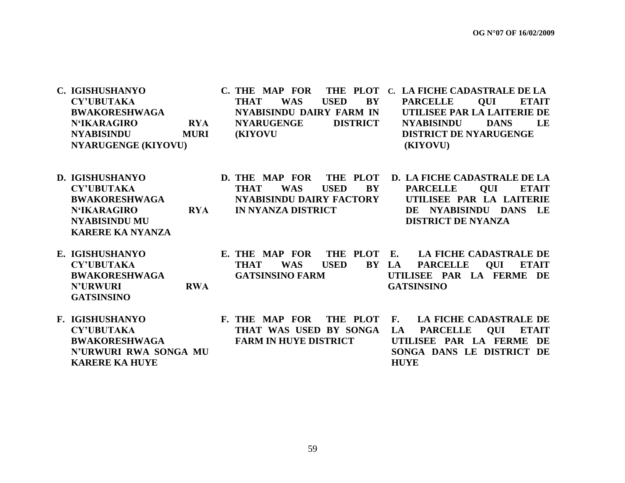| C. IGISHUSHANYO<br><b>CY'UBUTAKA</b><br><b>BWAKORESHWAGA</b><br><b>N'IKARAGIRO</b><br><b>RYA</b><br><b>NYABISINDU</b><br><b>MURI</b><br><b>NYARUGENGE (KIYOVU)</b> | <b>C. THE MAP FOR</b><br>THE PLOT<br><b>USED</b><br><b>BY</b><br><b>THAT</b><br><b>WAS</b><br>NYABISINDU DAIRY FARM IN<br><b>NYARUGENGE</b><br><b>DISTRICT</b><br><b>(KIYOVU)</b> |                 | C. LA FICHE CADASTRALE DE LA<br>QUI<br><b>PARCELLE</b><br><b>ETAIT</b><br>UTILISEE PAR LA LAITERIE DE<br><b>NYABISINDU</b><br><b>DANS</b><br>LE<br><b>DISTRICT DE NYARUGENGE</b><br>(KIYOVU) |
|--------------------------------------------------------------------------------------------------------------------------------------------------------------------|-----------------------------------------------------------------------------------------------------------------------------------------------------------------------------------|-----------------|----------------------------------------------------------------------------------------------------------------------------------------------------------------------------------------------|
| <b>D. IGISHUSHANYO</b><br><b>CY'UBUTAKA</b><br><b>BWAKORESHWAGA</b><br><b>N'IKARAGIRO</b><br><b>RYA</b><br><b>NYABISINDU MU</b><br><b>KARERE KA NYANZA</b>         | D. THE MAP FOR<br>THE PLOT<br><b>USED</b><br>BY<br><b>THAT</b><br><b>WAS</b><br>NYABISINDU DAIRY FACTORY<br><b>IN NYANZA DISTRICT</b>                                             |                 | D. LA FICHE CADASTRALE DE LA<br><b>OUI</b><br><b>PARCELLE</b><br><b>ETAIT</b><br>UTILISEE PAR LA LAITERIE<br>DE NYABISINDU DANS LE<br><b>DISTRICT DE NYANZA</b>                              |
| E. IGISHUSHANYO<br><b>CY'UBUTAKA</b><br><b>BWAKORESHWAGA</b><br><b>N'URWURI</b><br><b>RWA</b><br><b>GATSINSINO</b>                                                 | E. THE MAP FOR<br>THE PLOT<br><b>THAT</b><br><b>WAS</b><br><b>USED</b><br>BY LA<br><b>GATSINSINO FARM</b>                                                                         | E.              | <b>LA FICHE CADASTRALE DE</b><br><b>QUI</b><br><b>ETAIT</b><br><b>PARCELLE</b><br>UTILISEE PAR LA FERME DE<br><b>GATSINSINO</b>                                                              |
| F. IGISHUSHANYO<br><b>CY'UBUTAKA</b><br><b>BWAKORESHWAGA</b><br>N'URWURI RWA SONGA MU<br><b>KARERE KA HUYE</b>                                                     | THE PLOT<br><b>F. THE MAP FOR</b><br>THAT WAS USED BY SONGA<br><b>FARM IN HUYE DISTRICT</b>                                                                                       | <b>F.</b><br>LA | <b>LA FICHE CADASTRALE DE</b><br>PARCELLE QUI<br><b>ETAIT</b><br>UTILISEE PAR LA FERME DE<br>SONGA DANS LE DISTRICT DE<br><b>HUYE</b>                                                        |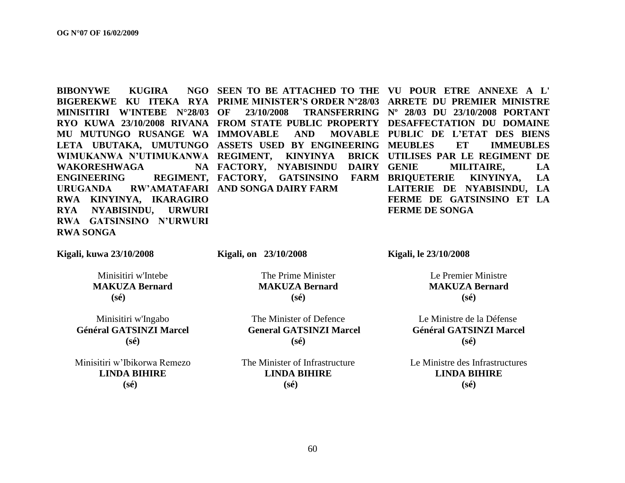**BIBONYWE KUGIRA MINISITIRI W'INTEBE N°28/03 LETA UBUTAKA, UMUTUNGO ASSETS USED BY ENGINEERING WAKORESHWAGA ENGINEERING URUGANDA RW"AMATAFARI AND SONGA DAIRY FARM RWA KINYINYA, IKARAGIRO RYA NYABISINDU, URWURI RWA GATSINSINO N"URWURI RWA SONGA**

NA FACTORY, NYABISINDU DAIRY GENIE

**BIGEREKWE KU ITEKA RYA PRIME MINISTER"S ORDER Nº28/03 ARRETE DU PREMIER MINISTRE RYO KUWA 23/10/2008 RIVANA FROM STATE PUBLIC PROPERTY DESAFFECTATION DU DOMAINE MU MUTUNGO RUSANGE WA IMMOVABLE AND MOVABLE PUBLIC DE L"ETAT DES BIENS WIMUKANWA N"UTIMUKANWA REGIMENT, KINYINYA BRICK UTILISES PAR LE REGIMENT DE SEEN TO BE ATTACHED TO THE VU POUR ETRE ANNEXE A L' OF 23/10/2008 TRANSFERRING Nº 28/03 DU 23/10/2008 PORTANT FACTORY, GATSINSINO FARM BRIQUETERIE KINYINYA, LA MEUBLES ET IMMEUBLES MILITAIRE, LA LAITERIE DE NYABISINDU, LA FERME DE GATSINSINO ET LA FERME DE SONGA**

**Kigali, kuwa 23/10/2008**

**Kigali, on 23/10/2008** 

Minisitiri w'Intebe **MAKUZA Bernard (sé)**

Minisitiri w'Ingabo **Général GATSINZI Marcel (sé)**

Minisitiri w"Ibikorwa Remezo **LINDA BIHIRE (sé)**

The Prime Minister **MAKUZA Bernard (sé)**

The Minister of Defence  **General GATSINZI Marcel (sé)**

The Minister of Infrastructure **LINDA BIHIRE (sé)**

**Kigali, le 23/10/2008** 

Le Premier Ministre **MAKUZA Bernard (sé)**

 Le Ministre de la Défense **Général GATSINZI Marcel (sé)**

Le Ministre des Infrastructures **LINDA BIHIRE (sé)**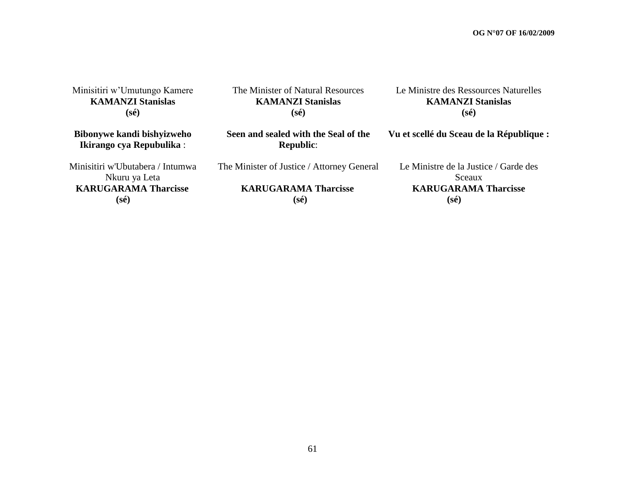Minisitiri w"Umutungo Kamere **KAMANZI Stanislas (sé)**

The Minister of Natural Resources **KAMANZI Stanislas (sé)**

Le Ministre des Ressources Naturelles **KAMANZI Stanislas (sé)**

**Bibonywe kandi bishyizweho Ikirango cya Repubulika** :

**Seen and sealed with the Seal of the Republic**:

The Minister of Justice / Attorney General

Minisitiri w'Ubutabera / Intumwa Nkuru ya Leta  **KARUGARAMA Tharcisse (sé)**

 **KARUGARAMA Tharcisse (sé)**

**Vu et scellé du Sceau de la République :** Le Ministre de la Justice / Garde des Sceaux

#### **KARUGARAMA Tharcisse**

 **(sé)**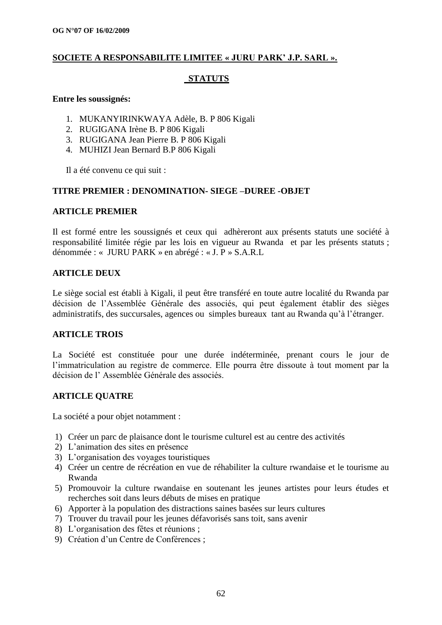#### **SOCIETE A RESPONSABILITE LIMITEE « JURU PARK" J.P. SARL ».**

#### **STATUTS**

#### **Entre les soussignés:**

- 1. MUKANYIRINKWAYA Adèle, B. P 806 Kigali
- 2. RUGIGANA Irène B. P 806 Kigali
- 3. RUGIGANA Jean Pierre B. P 806 Kigali
- 4. MUHIZI Jean Bernard B.P 806 Kigali

Il a été convenu ce qui suit :

#### **TITRE PREMIER : DENOMINATION- SIEGE –DUREE -OBJET**

#### **ARTICLE PREMIER**

Il est formé entre les soussignés et ceux qui adhèreront aux présents statuts une société à responsabilité limitée régie par les lois en vigueur au Rwanda et par les présents statuts ; dénommée : « JURU PARK » en abrégé : « J. P » S.A.R.L

#### **ARTICLE DEUX**

Le siège social est établi à Kigali, il peut être transféré en toute autre localité du Rwanda par décision de l"Assemblée Générale des associés, qui peut également établir des sièges administratifs, des succursales, agences ou simples bureaux tant au Rwanda qu"à l"étranger.

#### **ARTICLE TROIS**

La Société est constituée pour une durée indéterminée, prenant cours le jour de l'immatriculation au registre de commerce. Elle pourra être dissoute à tout moment par la décision de l" Assemblée Générale des associés.

#### **ARTICLE QUATRE**

La société a pour objet notamment :

- 1) Créer un parc de plaisance dont le tourisme culturel est au centre des activités
- 2) L"animation des sites en présence
- 3) L"organisation des voyages touristiques
- 4) Créer un centre de récréation en vue de réhabiliter la culture rwandaise et le tourisme au Rwanda
- 5) Promouvoir la culture rwandaise en soutenant les jeunes artistes pour leurs études et recherches soit dans leurs débuts de mises en pratique
- 6) Apporter à la population des distractions saines basées sur leurs cultures
- 7) Trouver du travail pour les jeunes défavorisés sans toit, sans avenir
- 8) L"organisation des fêtes et réunions ;
- 9) Création d"un Centre de Conférences ;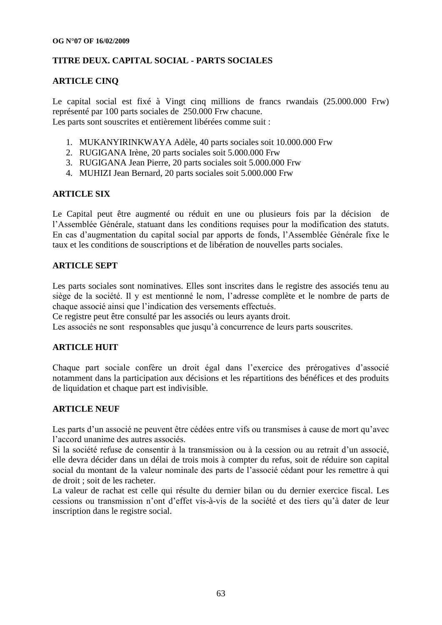#### **TITRE DEUX. CAPITAL SOCIAL - PARTS SOCIALES**

#### **ARTICLE CINQ**

Le capital social est fixé à Vingt cinq millions de francs rwandais (25.000.000 Frw) représenté par 100 parts sociales de 250.000 Frw chacune. Les parts sont souscrites et entièrement libérées comme suit :

- 1. MUKANYIRINKWAYA Adèle, 40 parts sociales soit 10.000.000 Frw
- 2. RUGIGANA Irène, 20 parts sociales soit 5.000.000 Frw
- 3. RUGIGANA Jean Pierre, 20 parts sociales soit 5.000.000 Frw
- 4. MUHIZI Jean Bernard, 20 parts sociales soit 5.000.000 Frw

#### **ARTICLE SIX**

Le Capital peut être augmenté ou réduit en une ou plusieurs fois par la décision de l"Assemblée Générale, statuant dans les conditions requises pour la modification des statuts. En cas d"augmentation du capital social par apports de fonds, l"Assemblée Générale fixe le taux et les conditions de souscriptions et de libération de nouvelles parts sociales.

#### **ARTICLE SEPT**

Les parts sociales sont nominatives. Elles sont inscrites dans le registre des associés tenu au siège de la société. Il y est mentionné le nom, l"adresse complète et le nombre de parts de chaque associé ainsi que l"indication des versements effectués.

Ce registre peut être consulté par les associés ou leurs ayants droit.

Les associés ne sont responsables que jusqu'à concurrence de leurs parts souscrites.

#### **ARTICLE HUIT**

Chaque part sociale confère un droit égal dans l"exercice des prérogatives d"associé notamment dans la participation aux décisions et les répartitions des bénéfices et des produits de liquidation et chaque part est indivisible.

#### **ARTICLE NEUF**

Les parts d'un associé ne peuvent être cédées entre vifs ou transmises à cause de mort qu'avec l"accord unanime des autres associés.

Si la société refuse de consentir à la transmission ou à la cession ou au retrait d'un associé, elle devra décider dans un délai de trois mois à compter du refus, soit de réduire son capital social du montant de la valeur nominale des parts de l"associé cédant pour les remettre à qui de droit ; soit de les racheter.

La valeur de rachat est celle qui résulte du dernier bilan ou du dernier exercice fiscal. Les cessions ou transmission n"ont d"effet vis-à-vis de la société et des tiers qu"à dater de leur inscription dans le registre social.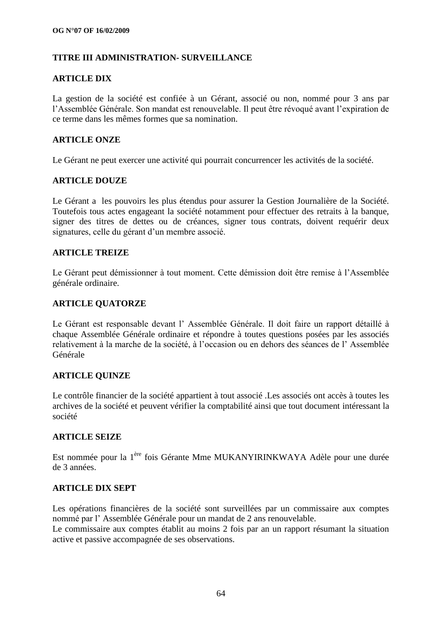#### **TITRE III ADMINISTRATION- SURVEILLANCE**

#### **ARTICLE DIX**

La gestion de la société est confiée à un Gérant, associé ou non, nommé pour 3 ans par l"Assemblée Générale. Son mandat est renouvelable. Il peut être révoqué avant l"expiration de ce terme dans les mêmes formes que sa nomination.

#### **ARTICLE ONZE**

Le Gérant ne peut exercer une activité qui pourrait concurrencer les activités de la société.

#### **ARTICLE DOUZE**

Le Gérant a les pouvoirs les plus étendus pour assurer la Gestion Journalière de la Société. Toutefois tous actes engageant la société notamment pour effectuer des retraits à la banque, signer des titres de dettes ou de créances, signer tous contrats, doivent requérir deux signatures, celle du gérant d'un membre associé.

#### **ARTICLE TREIZE**

Le Gérant peut démissionner à tout moment. Cette démission doit être remise à l"Assemblée générale ordinaire.

#### **ARTICLE QUATORZE**

Le Gérant est responsable devant l" Assemblée Générale. Il doit faire un rapport détaillé à chaque Assemblée Générale ordinaire et répondre à toutes questions posées par les associés relativement à la marche de la société, à l"occasion ou en dehors des séances de l" Assemblée Générale

#### **ARTICLE QUINZE**

Le contrôle financier de la société appartient à tout associé .Les associés ont accès à toutes les archives de la société et peuvent vérifier la comptabilité ainsi que tout document intéressant la société

#### **ARTICLE SEIZE**

Est nommée pour la 1ère fois Gérante Mme MUKANYIRINKWAYA Adèle pour une durée de 3 années.

#### **ARTICLE DIX SEPT**

Les opérations financières de la société sont surveillées par un commissaire aux comptes nommé par l" Assemblée Générale pour un mandat de 2 ans renouvelable.

Le commissaire aux comptes établit au moins 2 fois par an un rapport résumant la situation active et passive accompagnée de ses observations.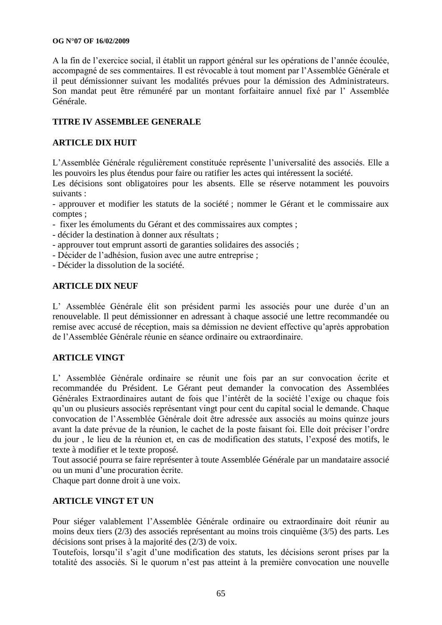#### **OG N°07 OF 16/02/2009**

A la fin de l"exercice social, il établit un rapport général sur les opérations de l"année écoulée, accompagné de ses commentaires. Il est révocable à tout moment par l"Assemblée Générale et il peut démissionner suivant les modalités prévues pour la démission des Administrateurs. Son mandat peut être rémunéré par un montant forfaitaire annuel fixé par l" Assemblée Générale.

#### **TITRE IV ASSEMBLEE GENERALE**

#### **ARTICLE DIX HUIT**

L"Assemblée Générale régulièrement constituée représente l"universalité des associés. Elle a les pouvoirs les plus étendus pour faire ou ratifier les actes qui intéressent la société.

Les décisions sont obligatoires pour les absents. Elle se réserve notamment les pouvoirs suivants :

- approuver et modifier les statuts de la société ; nommer le Gérant et le commissaire aux comptes ;

- fixer les émoluments du Gérant et des commissaires aux comptes ;
- décider la destination à donner aux résultats ;
- approuver tout emprunt assorti de garanties solidaires des associés ;
- Décider de l"adhésion, fusion avec une autre entreprise ;
- Décider la dissolution de la société.

#### **ARTICLE DIX NEUF**

L' Assemblée Générale élit son président parmi les associés pour une durée d'un an renouvelable. Il peut démissionner en adressant à chaque associé une lettre recommandée ou remise avec accusé de réception, mais sa démission ne devient effective qu"après approbation de l"Assemblée Générale réunie en séance ordinaire ou extraordinaire.

#### **ARTICLE VINGT**

L" Assemblée Générale ordinaire se réunit une fois par an sur convocation écrite et recommandée du Président. Le Gérant peut demander la convocation des Assemblées Générales Extraordinaires autant de fois que l"intérêt de la société l"exige ou chaque fois qu"un ou plusieurs associés représentant vingt pour cent du capital social le demande. Chaque convocation de l"Assemblée Générale doit être adressée aux associés au moins quinze jours avant la date prévue de la réunion, le cachet de la poste faisant foi. Elle doit préciser l"ordre du jour , le lieu de la réunion et, en cas de modification des statuts, l"exposé des motifs, le texte à modifier et le texte proposé.

Tout associé pourra se faire représenter à toute Assemblée Générale par un mandataire associé ou un muni d"une procuration écrite.

Chaque part donne droit à une voix.

#### **ARTICLE VINGT ET UN**

Pour siéger valablement l"Assemblée Générale ordinaire ou extraordinaire doit réunir au moins deux tiers (2/3) des associés représentant au moins trois cinquième (3/5) des parts. Les décisions sont prises à la majorité des (2/3) de voix.

Toutefois, lorsqu"il s"agit d"une modification des statuts, les décisions seront prises par la totalité des associés. Si le quorum n'est pas atteint à la première convocation une nouvelle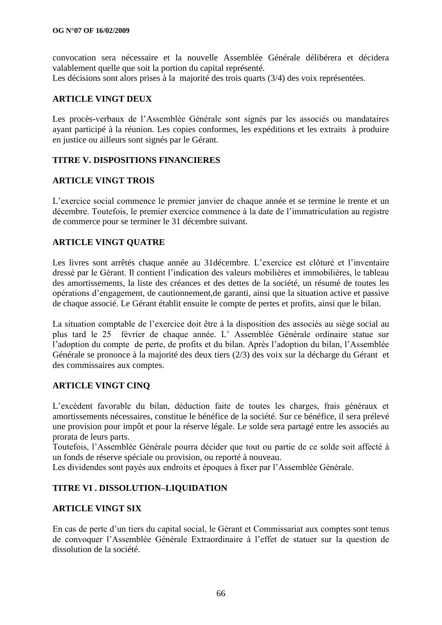convocation sera nécessaire et la nouvelle Assemblée Générale délibérera et décidera valablement quelle que soit la portion du capital représenté. Les décisions sont alors prises à la majorité des trois quarts  $(3/4)$  des voix représentées.

#### **ARTICLE VINGT DEUX**

Les procès-verbaux de l"Assemblée Générale sont signés par les associés ou mandataires ayant participé à la réunion. Les copies conformes, les expéditions et les extraits à produire en justice ou ailleurs sont signés par le Gérant.

#### **TITRE V. DISPOSITIONS FINANCIERES**

#### **ARTICLE VINGT TROIS**

L"exercice social commence le premier janvier de chaque année et se termine le trente et un décembre. Toutefois, le premier exercice commence à la date de l"immatriculation au registre de commerce pour se terminer le 31 décembre suivant.

#### **ARTICLE VINGT QUATRE**

Les livres sont arrêtés chaque année au 31décembre. L"exercice est clôturé et l"inventaire dressé par le Gérant. Il contient l"indication des valeurs mobilières et immobilières, le tableau des amortissements, la liste des créances et des dettes de la société, un résumé de toutes les opérations d"engagement, de cautionnement,de garanti, ainsi que la situation active et passive de chaque associé. Le Gérant établit ensuite le compte de pertes et profits, ainsi que le bilan.

La situation comptable de l"exercice doit être à la disposition des associés au siège social au plus tard le 25 février de chaque année. L" Assemblée Générale ordinaire statue sur l"adoption du compte de perte, de profits et du bilan. Après l"adoption du bilan, l"Assemblée Générale se prononce à la majorité des deux tiers (2/3) des voix sur la décharge du Gérant et des commissaires aux comptes.

#### **ARTICLE VINGT CINQ**

L"excèdent favorable du bilan, déduction faite de toutes les charges, frais généraux et amortissements nécessaires, constitue le bénéfice de la société. Sur ce bénéfice, il sera prélevé une provision pour impôt et pour la réserve légale. Le solde sera partagé entre les associés au prorata de leurs parts.

Toutefois, l"Assemblée Générale pourra décider que tout ou partie de ce solde soit affecté à un fonds de réserve spéciale ou provision, ou reporté à nouveau.

Les dividendes sont payés aux endroits et époques à fixer par l"Assemblée Générale.

#### **TITRE VI . DISSOLUTION–LIQUIDATION**

#### **ARTICLE VINGT SIX**

En cas de perte d"un tiers du capital social, le Gérant et Commissariat aux comptes sont tenus de convoquer l"Assemblée Générale Extraordinaire à l"effet de statuer sur la question de dissolution de la société.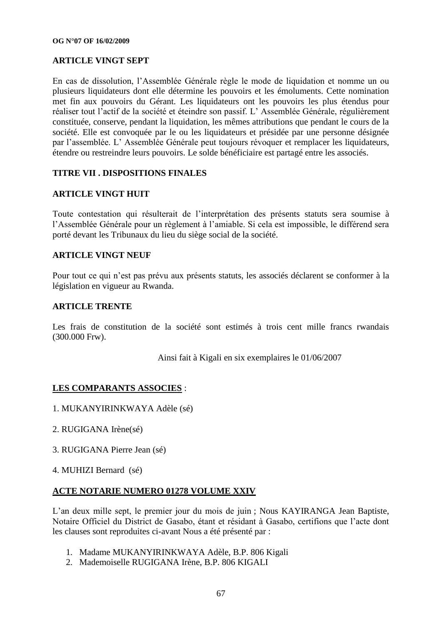#### **ARTICLE VINGT SEPT**

En cas de dissolution, l"Assemblée Générale règle le mode de liquidation et nomme un ou plusieurs liquidateurs dont elle détermine les pouvoirs et les émoluments. Cette nomination met fin aux pouvoirs du Gérant. Les liquidateurs ont les pouvoirs les plus étendus pour réaliser tout l"actif de la société et éteindre son passif. L" Assemblée Générale, régulièrement constituée, conserve, pendant la liquidation, les mêmes attributions que pendant le cours de la société. Elle est convoquée par le ou les liquidateurs et présidée par une personne désignée par l"assemblée. L" Assemblée Générale peut toujours révoquer et remplacer les liquidateurs, étendre ou restreindre leurs pouvoirs. Le solde bénéficiaire est partagé entre les associés.

#### **TITRE VII . DISPOSITIONS FINALES**

#### **ARTICLE VINGT HUIT**

Toute contestation qui résulterait de l"interprétation des présents statuts sera soumise à l"Assemblée Générale pour un règlement à l"amiable. Si cela est impossible, le différend sera porté devant les Tribunaux du lieu du siège social de la société.

#### **ARTICLE VINGT NEUF**

Pour tout ce qui n"est pas prévu aux présents statuts, les associés déclarent se conformer à la législation en vigueur au Rwanda.

#### **ARTICLE TRENTE**

Les frais de constitution de la société sont estimés à trois cent mille francs rwandais (300.000 Frw).

Ainsi fait à Kigali en six exemplaires le 01/06/2007

#### **LES COMPARANTS ASSOCIES** :

- 1. MUKANYIRINKWAYA Adèle (sé)
- 2. RUGIGANA Irène(sé)
- 3. RUGIGANA Pierre Jean (sé)
- 4. MUHIZI Bernard (sé)

#### **ACTE NOTARIE NUMERO 01278 VOLUME XXIV**

L"an deux mille sept, le premier jour du mois de juin ; Nous KAYIRANGA Jean Baptiste, Notaire Officiel du District de Gasabo, étant et résidant à Gasabo, certifions que l"acte dont les clauses sont reproduites ci-avant Nous a été présenté par :

- 1. Madame MUKANYIRINKWAYA Adèle, B.P. 806 Kigali
- 2. Mademoiselle RUGIGANA Irène, B.P. 806 KIGALI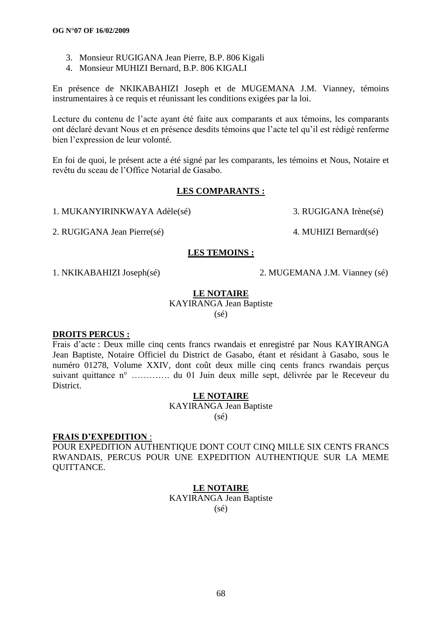- 3. Monsieur RUGIGANA Jean Pierre, B.P. 806 Kigali
- 4. Monsieur MUHIZI Bernard, B.P. 806 KIGALI

En présence de NKIKABAHIZI Joseph et de MUGEMANA J.M. Vianney, témoins instrumentaires à ce requis et réunissant les conditions exigées par la loi.

Lecture du contenu de l"acte ayant été faite aux comparants et aux témoins, les comparants ont déclaré devant Nous et en présence desdits témoins que l"acte tel qu"il est rédigé renferme bien l"expression de leur volonté.

En foi de quoi, le présent acte a été signé par les comparants, les témoins et Nous, Notaire et revêtu du sceau de l"Office Notarial de Gasabo.

#### **LES COMPARANTS :**

1. MUKANYIRINKWAYA Adèle(sé) 3. RUGIGANA Irène(sé)

2. RUGIGANA Jean Pierre(sé) 4. MUHIZI Bernard(sé)

1. NKIKABAHIZI Joseph(sé) 2. MUGEMANA J.M. Vianney (sé)

#### **LE NOTAIRE**

**LES TEMOINS :**

KAYIRANGA Jean Baptiste  $(sé)$ 

#### **DROITS PERCUS :**

Frais d"acte : Deux mille cinq cents francs rwandais et enregistré par Nous KAYIRANGA Jean Baptiste, Notaire Officiel du District de Gasabo, étant et résidant à Gasabo, sous le numéro 01278, Volume XXIV, dont coût deux mille cinq cents francs rwandais perçus suivant quittance n° …………. du 01 Juin deux mille sept, délivrée par le Receveur du District.

#### **LE NOTAIRE**

KAYIRANGA Jean Baptiste (sé)

#### **FRAIS D"EXPEDITION** :

POUR EXPEDITION AUTHENTIQUE DONT COUT CINQ MILLE SIX CENTS FRANCS RWANDAIS, PERCUS POUR UNE EXPEDITION AUTHENTIQUE SUR LA MEME QUITTANCE.

#### **LE NOTAIRE**

KAYIRANGA Jean Baptiste (sé)

68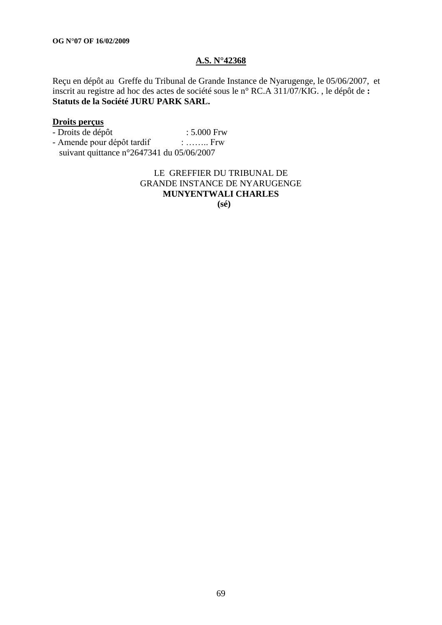#### **A.S. N°42368**

Reçu en dépôt au Greffe du Tribunal de Grande Instance de Nyarugenge, le 05/06/2007, et inscrit au registre ad hoc des actes de société sous le n° RC.A 311/07/KIG. , le dépôt de **: Statuts de la Société JURU PARK SARL.**

#### **Droits perçus**

- Droits de dépôt : 5.000 Frw - Amende pour dépôt tardif : …….. Frw
- suivant quittance n°2647341 du 05/06/2007

#### LE GREFFIER DU TRIBUNAL DE GRANDE INSTANCE DE NYARUGENGE **MUNYENTWALI CHARLES (sé)**

69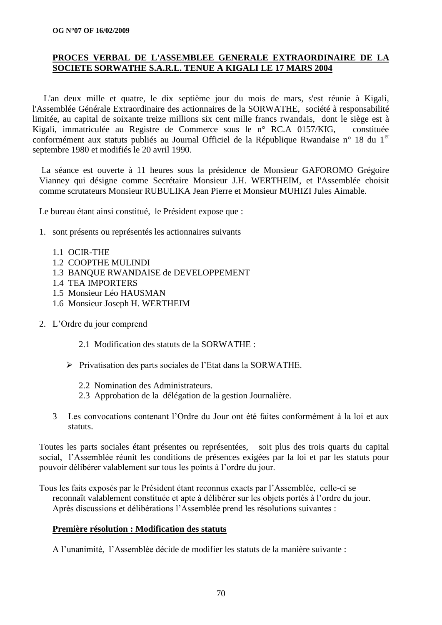#### **PROCES VERBAL DE L'ASSEMBLEE GENERALE EXTRAORDINAIRE DE LA SOCIETE SORWATHE S.A.R.L. TENUE A KIGALI LE 17 MARS 2004**

 L'an deux mille et quatre, le dix septième jour du mois de mars, s'est réunie à Kigali, l'Assemblée Générale Extraordinaire des actionnaires de la SORWATHE, société à responsabilité limitée, au capital de soixante treize millions six cent mille francs rwandais, dont le siège est à Kigali, immatriculée au Registre de Commerce sous le n° RC.A 0157/KIG, constituée conformément aux statuts publiés au Journal Officiel de la République Rwandaise n° 18 du 1<sup>er</sup> septembre 1980 et modifiés le 20 avril 1990.

La séance est ouverte à 11 heures sous la présidence de Monsieur GAFOROMO Grégoire Vianney qui désigne comme Secrétaire Monsieur J.H. WERTHEIM, et l'Assemblée choisit comme scrutateurs Monsieur RUBULIKA Jean Pierre et Monsieur MUHIZI Jules Aimable.

Le bureau étant ainsi constitué, le Président expose que :

- 1. sont présents ou représentés les actionnaires suivants
	- 1.1 OCIR-THE
	- 1.2 COOPTHE MULINDI
	- 1.3 BANQUE RWANDAISE de DEVELOPPEMENT
	- 1.4 TEA IMPORTERS
	- 1.5 Monsieur Léo HAUSMAN
	- 1.6 Monsieur Joseph H. WERTHEIM
- 2. L"Ordre du jour comprend
	- 2.1 Modification des statuts de la SORWATHE :
	- $\triangleright$  Privatisation des parts sociales de l'Etat dans la SORWATHE.
		- 2.2 Nomination des Administrateurs.
		- 2.3 Approbation de la délégation de la gestion Journalière.
	- 3 Les convocations contenant l"Ordre du Jour ont été faites conformément à la loi et aux statuts.

Toutes les parts sociales étant présentes ou représentées, soit plus des trois quarts du capital social, l"Assemblée réunit les conditions de présences exigées par la loi et par les statuts pour pouvoir délibérer valablement sur tous les points à l"ordre du jour.

Tous les faits exposés par le Président étant reconnus exacts par l"Assemblée, celle-ci se reconnaît valablement constituée et apte à délibérer sur les objets portés à l"ordre du jour. Après discussions et délibérations l"Assemblée prend les résolutions suivantes :

#### **Première résolution : Modification des statuts**

A l"unanimité, l"Assemblée décide de modifier les statuts de la manière suivante :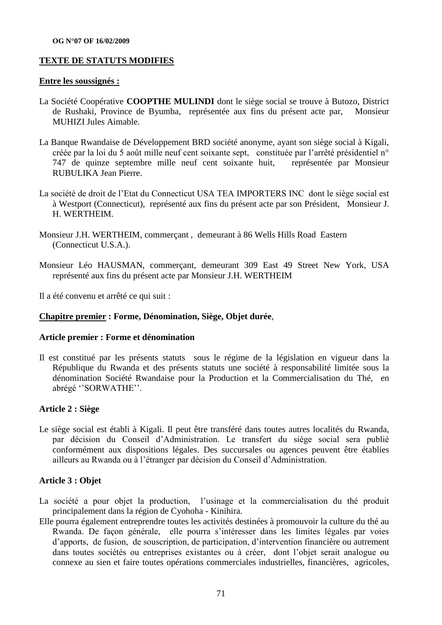#### **TEXTE DE STATUTS MODIFIES**

#### **Entre les soussignés :**

- La Société Coopérative **COOPTHE MULINDI** dont le siège social se trouve à Butozo, District de Rushaki, Province de Byumba, représentée aux fins du présent acte par, Monsieur MUHIZI Jules Aimable.
- La Banque Rwandaise de Développement BRD société anonyme, ayant son siège social à Kigali, créée par la loi du 5 août mille neuf cent soixante sept, constituée par l"arrêté présidentiel n° 747 de quinze septembre mille neuf cent soixante huit, représentée par Monsieur RUBULIKA Jean Pierre.
- La société de droit de l"Etat du Connecticut USA TEA IMPORTERS INC dont le siège social est à Westport (Connecticut), représenté aux fins du présent acte par son Président, Monsieur J. H. WERTHEIM.
- Monsieur J.H. WERTHEIM, commerçant , demeurant à 86 Wells Hills Road Eastern (Connecticut U.S.A.).
- Monsieur Léo HAUSMAN, commerçant, demeurant 309 East 49 Street New York, USA représenté aux fins du présent acte par Monsieur J.H. WERTHEIM

Il a été convenu et arrêté ce qui suit :

#### **Chapitre premier : Forme, Dénomination, Siège, Objet durée**,

#### **Article premier : Forme et dénomination**

Il est constitué par les présents statuts sous le régime de la législation en vigueur dans la République du Rwanda et des présents statuts une société à responsabilité limitée sous la dénomination Société Rwandaise pour la Production et la Commercialisation du Thé, en abrégé "SORWATHE".

#### **Article 2 : Siège**

Le siège social est établi à Kigali. Il peut être transféré dans toutes autres localités du Rwanda, par décision du Conseil d"Administration. Le transfert du siège social sera publié conformément aux dispositions légales. Des succursales ou agences peuvent être établies ailleurs au Rwanda ou à l"étranger par décision du Conseil d"Administration.

#### **Article 3 : Objet**

- La société a pour objet la production, l'usinage et la commercialisation du thé produit principalement dans la région de Cyohoha - Kinihira.
- Elle pourra également entreprendre toutes les activités destinées à promouvoir la culture du thé au Rwanda. De façon générale, elle pourra s"intéresser dans les limites légales par voies d"apports, de fusion, de souscription, de participation, d"intervention financière ou autrement dans toutes sociétés ou entreprises existantes ou à créer, dont l"objet serait analogue ou connexe au sien et faire toutes opérations commerciales industrielles, financières, agricoles,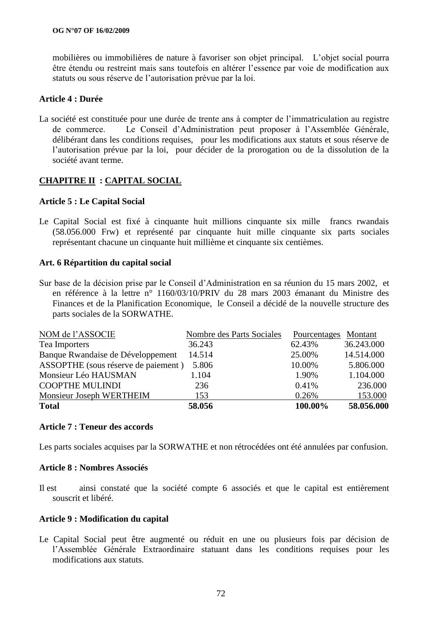mobilières ou immobilières de nature à favoriser son objet principal. L"objet social pourra être étendu ou restreint mais sans toutefois en altérer l"essence par voie de modification aux statuts ou sous réserve de l"autorisation prévue par la loi.

#### **Article 4 : Durée**

La société est constituée pour une durée de trente ans à compter de l"immatriculation au registre de commerce. Le Conseil d"Administration peut proposer à l"Assemblée Générale, délibérant dans les conditions requises, pour les modifications aux statuts et sous réserve de l"autorisation prévue par la loi, pour décider de la prorogation ou de la dissolution de la société avant terme.

#### **CHAPITRE II : CAPITAL SOCIAL**

#### **Article 5 : Le Capital Social**

Le Capital Social est fixé à cinquante huit millions cinquante six mille francs rwandais (58.056.000 Frw) et représenté par cinquante huit mille cinquante six parts sociales représentant chacune un cinquante huit millième et cinquante six centièmes.

#### **Art. 6 Répartition du capital social**

Sur base de la décision prise par le Conseil d"Administration en sa réunion du 15 mars 2002, et en référence à la lettre n° 1160/03/10/PRIV du 28 mars 2003 émanant du Ministre des Finances et de la Planification Economique, le Conseil a décidé de la nouvelle structure des parts sociales de la SORWATHE.

| NOM de l'ASSOCIE                    | Nombre des Parts Sociales | Pourcentages | Montant    |
|-------------------------------------|---------------------------|--------------|------------|
| Tea Importers                       | 36.243                    | 62.43%       | 36.243.000 |
| Banque Rwandaise de Développement   | 14.514                    | 25.00%       | 14.514.000 |
| ASSOPTHE (sous réserve de paiement) | 5.806                     | 10.00%       | 5.806.000  |
| Monsieur Léo HAUSMAN                | 1.104                     | 1.90%        | 1.104.000  |
| <b>COOPTHE MULINDI</b>              | 236                       | 0.41%        | 236.000    |
| Monsieur Joseph WERTHEIM            | 153                       | 0.26%        | 153.000    |
| <b>Total</b>                        | 58.056                    | 100.00%      | 58.056.000 |

#### **Article 7 : Teneur des accords**

Les parts sociales acquises par la SORWATHE et non rétrocédées ont été annulées par confusion.

#### **Article 8 : Nombres Associés**

Il est ainsi constaté que la société compte 6 associés et que le capital est entièrement souscrit et libéré.

#### **Article 9 : Modification du capital**

Le Capital Social peut être augmenté ou réduit en une ou plusieurs fois par décision de l"Assemblée Générale Extraordinaire statuant dans les conditions requises pour les modifications aux statuts.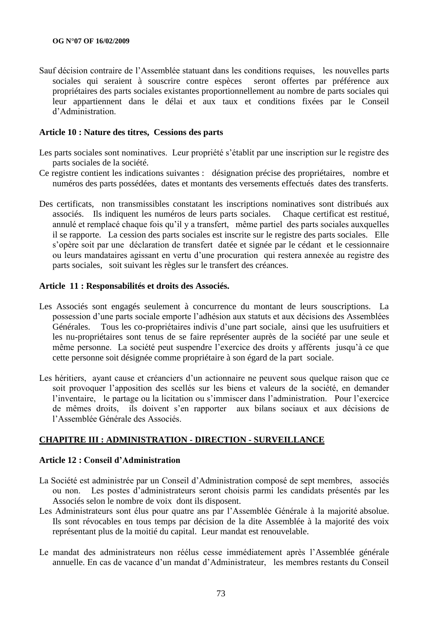Sauf décision contraire de l"Assemblée statuant dans les conditions requises, les nouvelles parts sociales qui seraient à souscrire contre espèces seront offertes par préférence aux propriétaires des parts sociales existantes proportionnellement au nombre de parts sociales qui leur appartiennent dans le délai et aux taux et conditions fixées par le Conseil d"Administration.

#### **Article 10 : Nature des titres, Cessions des parts**

- Les parts sociales sont nominatives. Leur propriété s'établit par une inscription sur le registre des parts sociales de la société.
- Ce registre contient les indications suivantes : désignation précise des propriétaires, nombre et numéros des parts possédées, dates et montants des versements effectués dates des transferts.
- Des certificats, non transmissibles constatant les inscriptions nominatives sont distribués aux associés. Ils indiquent les numéros de leurs parts sociales. Chaque certificat est restitué, annulé et remplacé chaque fois qu"il y a transfert, même partiel des parts sociales auxquelles il se rapporte. La cession des parts sociales est inscrite sur le registre des parts sociales. Elle s"opère soit par une déclaration de transfert datée et signée par le cédant et le cessionnaire ou leurs mandataires agissant en vertu d"une procuration qui restera annexée au registre des parts sociales, soit suivant les règles sur le transfert des créances.

#### **Article 11 : Responsabilités et droits des Associés.**

- Les Associés sont engagés seulement à concurrence du montant de leurs souscriptions. La possession d"une parts sociale emporte l"adhésion aux statuts et aux décisions des Assemblées Générales. Tous les co-propriétaires indivis d"une part sociale, ainsi que les usufruitiers et les nu-propriétaires sont tenus de se faire représenter auprès de la société par une seule et même personne. La société peut suspendre l"exercice des droits y afférents jusqu"à ce que cette personne soit désignée comme propriétaire à son égard de la part sociale.
- Les héritiers, ayant cause et créanciers d'un actionnaire ne peuvent sous quelque raison que ce soit provoquer l"apposition des scellés sur les biens et valeurs de la société, en demander l'inventaire, le partage ou la licitation ou s'immiscer dans l'administration. Pour l'exercice de mêmes droits, ils doivent s"en rapporter aux bilans sociaux et aux décisions de l"Assemblée Générale des Associés.

#### **CHAPITRE III : ADMINISTRATION - DIRECTION - SURVEILLANCE**

#### **Article 12 : Conseil d"Administration**

- La Société est administrée par un Conseil d"Administration composé de sept membres, associés ou non. Les postes d"administrateurs seront choisis parmi les candidats présentés par les Associés selon le nombre de voix dont ils disposent.
- Les Administrateurs sont élus pour quatre ans par l"Assemblée Générale à la majorité absolue. Ils sont révocables en tous temps par décision de la dite Assemblée à la majorité des voix représentant plus de la moitié du capital. Leur mandat est renouvelable.
- Le mandat des administrateurs non réélus cesse immédiatement après l"Assemblée générale annuelle. En cas de vacance d"un mandat d"Administrateur, les membres restants du Conseil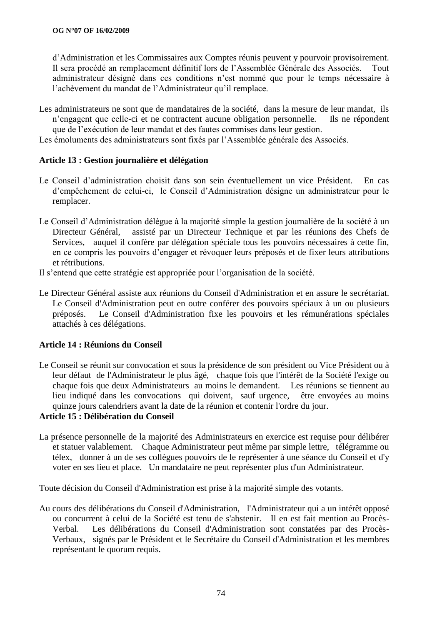d"Administration et les Commissaires aux Comptes réunis peuvent y pourvoir provisoirement. Il sera procédé an remplacement définitif lors de l"Assemblée Générale des Associés. Tout administrateur désigné dans ces conditions n"est nommé que pour le temps nécessaire à l"achèvement du mandat de l"Administrateur qu"il remplace.

Les administrateurs ne sont que de mandataires de la société, dans la mesure de leur mandat, ils n"engagent que celle-ci et ne contractent aucune obligation personnelle. Ils ne répondent que de l"exécution de leur mandat et des fautes commises dans leur gestion.

Les émoluments des administrateurs sont fixés par l"Assemblée générale des Associés.

## **Article 13 : Gestion journalière et délégation**

- Le Conseil d"administration choisit dans son sein éventuellement un vice Président. En cas d"empêchement de celui-ci, le Conseil d"Administration désigne un administrateur pour le remplacer.
- Le Conseil d"Administration délègue à la majorité simple la gestion journalière de la société à un Directeur Général, assisté par un Directeur Technique et par les réunions des Chefs de Services, auquel il confère par délégation spéciale tous les pouvoirs nécessaires à cette fin, en ce compris les pouvoirs d"engager et révoquer leurs préposés et de fixer leurs attributions et rétributions.
- Il s"entend que cette stratégie est appropriée pour l"organisation de la société.
- Le Directeur Général assiste aux réunions du Conseil d'Administration et en assure le secrétariat. Le Conseil d'Administration peut en outre conférer des pouvoirs spéciaux à un ou plusieurs préposés. Le Conseil d'Administration fixe les pouvoirs et les rémunérations spéciales attachés à ces délégations.

## **Article 14 : Réunions du Conseil**

Le Conseil se réunit sur convocation et sous la présidence de son président ou Vice Président ou à leur défaut de l'Administrateur le plus âgé, chaque fois que l'intérêt de la Société l'exige ou chaque fois que deux Administrateurs au moins le demandent. Les réunions se tiennent au lieu indiqué dans les convocations qui doivent, sauf urgence, être envoyées au moins quinze jours calendriers avant la date de la réunion et contenir l'ordre du jour.

## **Article 15 : Délibération du Conseil**

La présence personnelle de la majorité des Administrateurs en exercice est requise pour délibérer et statuer valablement. Chaque Administrateur peut même par simple lettre, télégramme ou télex, donner à un de ses collègues pouvoirs de le représenter à une séance du Conseil et d'y voter en ses lieu et place. Un mandataire ne peut représenter plus d'un Administrateur.

Toute décision du Conseil d'Administration est prise à la majorité simple des votants.

Au cours des délibérations du Conseil d'Administration, l'Administrateur qui a un intérêt opposé ou concurrent à celui de la Société est tenu de s'abstenir. Il en est fait mention au Procès-Verbal. Les délibérations du Conseil d'Administration sont constatées par des Procès-Verbaux, signés par le Président et le Secrétaire du Conseil d'Administration et les membres représentant le quorum requis.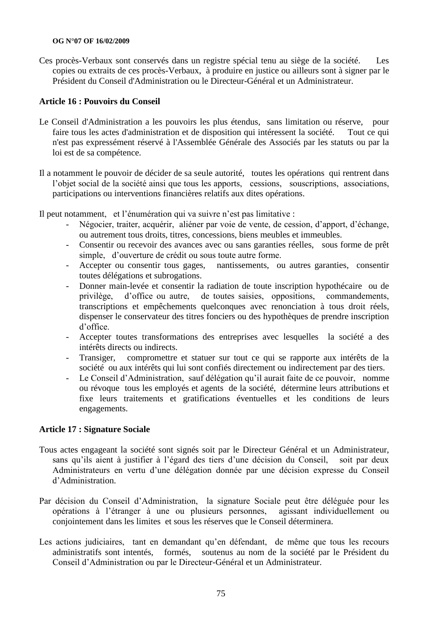#### **OG N°07 OF 16/02/2009**

Ces procès-Verbaux sont conservés dans un registre spécial tenu au siège de la société. Les copies ou extraits de ces procès-Verbaux, à produire en justice ou ailleurs sont à signer par le Président du Conseil d'Administration ou le Directeur-Général et un Administrateur.

## **Article 16 : Pouvoirs du Conseil**

- Le Conseil d'Administration a les pouvoirs les plus étendus, sans limitation ou réserve, pour faire tous les actes d'administration et de disposition qui intéressent la société. Tout ce qui n'est pas expressément réservé à l'Assemblée Générale des Associés par les statuts ou par la loi est de sa compétence.
- Il a notamment le pouvoir de décider de sa seule autorité, toutes les opérations qui rentrent dans l"objet social de la société ainsi que tous les apports, cessions, souscriptions, associations, participations ou interventions financières relatifs aux dites opérations.

Il peut notamment, et l"énumération qui va suivre n"est pas limitative :

- Négocier, traiter, acquérir, aliéner par voie de vente, de cession, d"apport, d"échange, ou autrement tous droits, titres, concessions, biens meubles et immeubles.
- Consentir ou recevoir des avances avec ou sans garanties réelles, sous forme de prêt simple, d'ouverture de crédit ou sous toute autre forme.
- Accepter ou consentir tous gages, nantissements, ou autres garanties, consentir toutes délégations et subrogations.
- Donner main-levée et consentir la radiation de toute inscription hypothécaire ou de privilège, d"office ou autre, de toutes saisies, oppositions, commandements, transcriptions et empêchements quelconques avec renonciation à tous droit réels, dispenser le conservateur des titres fonciers ou des hypothèques de prendre inscription d"office.
- Accepter toutes transformations des entreprises avec lesquelles la société a des intérêts directs ou indirects.
- Transiger, compromettre et statuer sur tout ce qui se rapporte aux intérêts de la société ou aux intérêts qui lui sont confiés directement ou indirectement par des tiers.
- Le Conseil d"Administration, sauf délégation qu"il aurait faite de ce pouvoir, nomme ou révoque tous les employés et agents de la société, détermine leurs attributions et fixe leurs traitements et gratifications éventuelles et les conditions de leurs engagements.

#### **Article 17 : Signature Sociale**

- Tous actes engageant la société sont signés soit par le Directeur Général et un Administrateur, sans qu"ils aient à justifier à l"égard des tiers d"une décision du Conseil, soit par deux Administrateurs en vertu d"une délégation donnée par une décision expresse du Conseil d"Administration.
- Par décision du Conseil d"Administration, la signature Sociale peut être déléguée pour les opérations à l"étranger à une ou plusieurs personnes, agissant individuellement ou conjointement dans les limites et sous les réserves que le Conseil déterminera.
- Les actions judiciaires, tant en demandant qu'en défendant, de même que tous les recours administratifs sont intentés, formés, soutenus au nom de la société par le Président du Conseil d"Administration ou par le Directeur-Général et un Administrateur.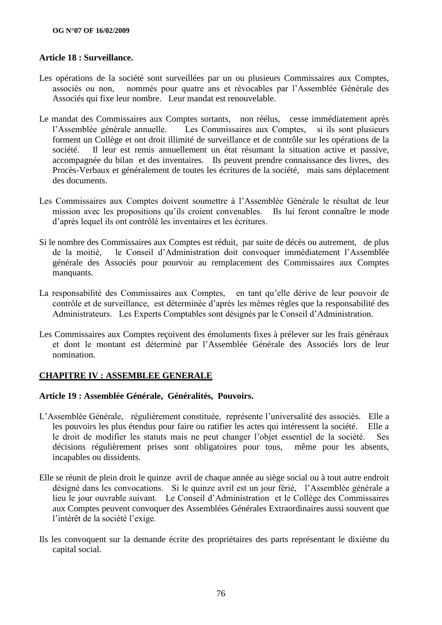## **Article 18 : Surveillance.**

- Les opérations de la société sont surveillées par un ou plusieurs Commissaires aux Comptes, associés ou non, nommés pour quatre ans et révocables par l"Assemblée Générale des Associés qui fixe leur nombre. Leur mandat est renouvelable.
- Le mandat des Commissaires aux Comptes sortants, non réélus, cesse immédiatement après l"Assemblée générale annuelle. Les Commissaires aux Comptes, si ils sont plusieurs forment un Collège et ont droit illimité de surveillance et de contrôle sur les opérations de la société. Il leur est remis annuellement un état résumant la situation active et passive, accompagnée du bilan et des inventaires. Ils peuvent prendre connaissance des livres, des Procès-Verbaux et généralement de toutes les écritures de la société, mais sans déplacement des documents.
- Les Commissaires aux Comptes doivent soumettre à l"Assemblée Générale le résultat de leur mission avec les propositions qu"ils croient convenables. Ils lui feront connaître le mode d"après lequel ils ont contrôlé les inventaires et les écritures.
- Si le nombre des Commissaires aux Comptes est réduit, par suite de décès ou autrement, de plus de la moitié, le Conseil d"Administration doit convoquer immédiatement l"Assemblée générale des Associés pour pourvoir au remplacement des Commissaires aux Comptes manquants.
- La responsabilité des Commissaires aux Comptes, en tant qu"elle dérive de leur pouvoir de contrôle et de surveillance, est déterminée d"après les mêmes règles que la responsabilité des Administrateurs. Les Experts Comptables sont désignés par le Conseil d"Administration.
- Les Commissaires aux Comptes reçoivent des émoluments fixes à prélever sur les frais généraux et dont le montant est déterminé par l"Assemblée Générale des Associés lors de leur nomination.

## **CHAPITRE IV : ASSEMBLEE GENERALE**

## **Article 19 : Assemblée Générale, Généralités, Pouvoirs.**

- L"Assemblée Générale, régulièrement constituée, représente l"universalité des associés. Elle a les pouvoirs les plus étendus pour faire ou ratifier les actes qui intéressent la société. Elle a le droit de modifier les statuts mais ne peut changer l"objet essentiel de la société. Ses décisions régulièrement prises sont obligatoires pour tous, même pour les absents, incapables ou dissidents.
- Elle se réunit de plein droit le quinze avril de chaque année au siège social ou à tout autre endroit désigné dans les convocations. Si le quinze avril est un jour férié, l"Assemblée générale a lieu le jour ouvrable suivant. Le Conseil d"Administration et le Collège des Commissaires aux Comptes peuvent convoquer des Assemblées Générales Extraordinaires aussi souvent que l"intérêt de la société l"exige.
- Ils les convoquent sur la demande écrite des propriétaires des parts représentant le dixième du capital social.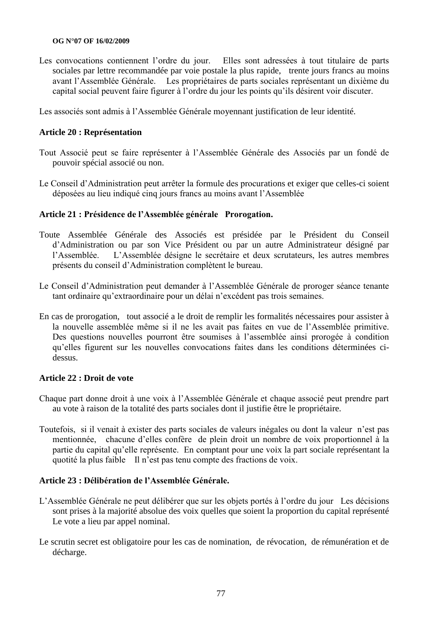#### **OG N°07 OF 16/02/2009**

Les convocations contiennent l"ordre du jour. Elles sont adressées à tout titulaire de parts sociales par lettre recommandée par voie postale la plus rapide, trente jours francs au moins avant l"Assemblée Générale. Les propriétaires de parts sociales représentant un dixième du capital social peuvent faire figurer à l"ordre du jour les points qu"ils désirent voir discuter.

Les associés sont admis à l"Assemblée Générale moyennant justification de leur identité.

## **Article 20 : Représentation**

- Tout Associé peut se faire représenter à l"Assemblée Générale des Associés par un fondé de pouvoir spécial associé ou non.
- Le Conseil d"Administration peut arrêter la formule des procurations et exiger que celles-ci soient déposées au lieu indiqué cinq jours francs au moins avant l"Assemblée

## **Article 21 : Présidence de l"Assemblée générale Prorogation.**

- Toute Assemblée Générale des Associés est présidée par le Président du Conseil d"Administration ou par son Vice Président ou par un autre Administrateur désigné par l"Assemblée. L"Assemblée désigne le secrétaire et deux scrutateurs, les autres membres présents du conseil d"Administration complètent le bureau.
- Le Conseil d"Administration peut demander à l"Assemblée Générale de proroger séance tenante tant ordinaire qu"extraordinaire pour un délai n"excédent pas trois semaines.
- En cas de prorogation, tout associé a le droit de remplir les formalités nécessaires pour assister à la nouvelle assemblée même si il ne les avait pas faites en vue de l"Assemblée primitive. Des questions nouvelles pourront être soumises à l"assemblée ainsi prorogée à condition qu"elles figurent sur les nouvelles convocations faites dans les conditions déterminées cidessus.

#### **Article 22 : Droit de vote**

- Chaque part donne droit à une voix à l"Assemblée Générale et chaque associé peut prendre part au vote à raison de la totalité des parts sociales dont il justifie être le propriétaire.
- Toutefois, si il venait à exister des parts sociales de valeurs inégales ou dont la valeur n"est pas mentionnée, chacune d"elles confère de plein droit un nombre de voix proportionnel à la partie du capital qu"elle représente. En comptant pour une voix la part sociale représentant la quotité la plus faible Il n"est pas tenu compte des fractions de voix.

#### **Article 23 : Délibération de l"Assemblée Générale.**

- L"Assemblée Générale ne peut délibérer que sur les objets portés à l"ordre du jour Les décisions sont prises à la majorité absolue des voix quelles que soient la proportion du capital représenté Le vote a lieu par appel nominal.
- Le scrutin secret est obligatoire pour les cas de nomination, de révocation, de rémunération et de décharge.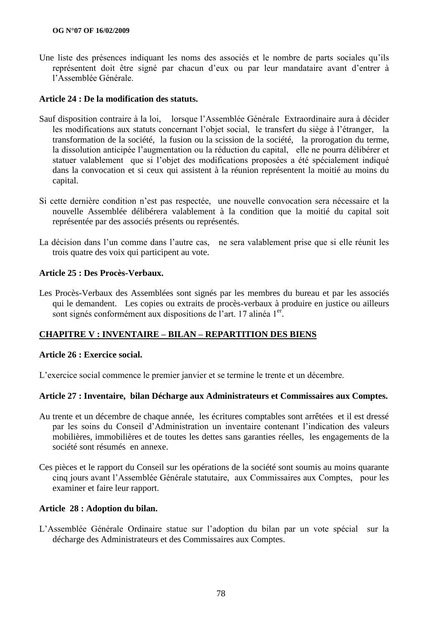Une liste des présences indiquant les noms des associés et le nombre de parts sociales qu'ils représentent doit être signé par chacun d"eux ou par leur mandataire avant d"entrer à l"Assemblée Générale.

## **Article 24 : De la modification des statuts.**

- Sauf disposition contraire à la loi, lorsque l"Assemblée Générale Extraordinaire aura à décider les modifications aux statuts concernant l"objet social, le transfert du siège à l"étranger, la transformation de la société, la fusion ou la scission de la société, la prorogation du terme, la dissolution anticipée l'augmentation ou la réduction du capital, elle ne pourra délibérer et statuer valablement que si l"objet des modifications proposées a été spécialement indiqué dans la convocation et si ceux qui assistent à la réunion représentent la moitié au moins du capital.
- Si cette dernière condition n"est pas respectée, une nouvelle convocation sera nécessaire et la nouvelle Assemblée délibérera valablement à la condition que la moitié du capital soit représentée par des associés présents ou représentés.
- La décision dans l'un comme dans l'autre cas, ne sera valablement prise que si elle réunit les trois quatre des voix qui participent au vote.

## **Article 25 : Des Procès-Verbaux.**

Les Procès-Verbaux des Assemblées sont signés par les membres du bureau et par les associés qui le demandent. Les copies ou extraits de procès-verbaux à produire en justice ou ailleurs sont signés conformément aux dispositions de l'art. 17 alinéa 1<sup>er</sup>.

## **CHAPITRE V : INVENTAIRE – BILAN – REPARTITION DES BIENS**

#### **Article 26 : Exercice social.**

L"exercice social commence le premier janvier et se termine le trente et un décembre.

#### **Article 27 : Inventaire, bilan Décharge aux Administrateurs et Commissaires aux Comptes.**

- Au trente et un décembre de chaque année, les écritures comptables sont arrêtées et il est dressé par les soins du Conseil d"Administration un inventaire contenant l"indication des valeurs mobilières, immobilières et de toutes les dettes sans garanties réelles, les engagements de la société sont résumés en annexe.
- Ces pièces et le rapport du Conseil sur les opérations de la société sont soumis au moins quarante cinq jours avant l"Assemblée Générale statutaire, aux Commissaires aux Comptes, pour les examiner et faire leur rapport.

#### **Article 28 : Adoption du bilan.**

L"Assemblée Générale Ordinaire statue sur l"adoption du bilan par un vote spécial sur la décharge des Administrateurs et des Commissaires aux Comptes.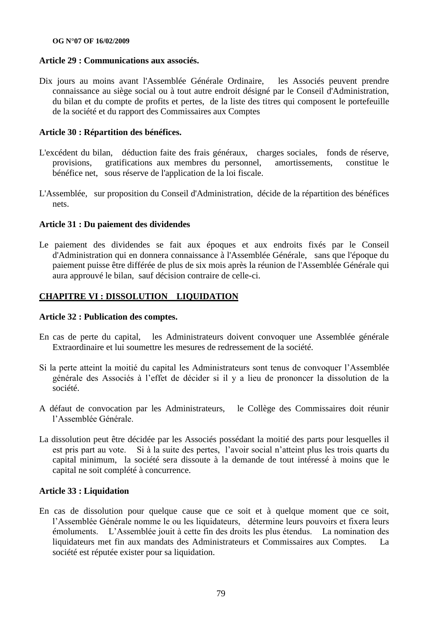#### **OG N°07 OF 16/02/2009**

#### **Article 29 : Communications aux associés.**

Dix jours au moins avant l'Assemblée Générale Ordinaire, les Associés peuvent prendre connaissance au siège social ou à tout autre endroit désigné par le Conseil d'Administration, du bilan et du compte de profits et pertes, de la liste des titres qui composent le portefeuille de la société et du rapport des Commissaires aux Comptes

#### **Article 30 : Répartition des bénéfices.**

- L'excédent du bilan, déduction faite des frais généraux, charges sociales, fonds de réserve, provisions, gratifications aux membres du personnel, amortissements, constitue le bénéfice net, sous réserve de l'application de la loi fiscale.
- L'Assemblée, sur proposition du Conseil d'Administration, décide de la répartition des bénéfices nets.

## **Article 31 : Du paiement des dividendes**

Le paiement des dividendes se fait aux époques et aux endroits fixés par le Conseil d'Administration qui en donnera connaissance à l'Assemblée Générale, sans que l'époque du paiement puisse être différée de plus de six mois après la réunion de l'Assemblée Générale qui aura approuvé le bilan, sauf décision contraire de celle-ci.

## **CHAPITRE VI : DISSOLUTION LIQUIDATION**

#### **Article 32 : Publication des comptes.**

- En cas de perte du capital, les Administrateurs doivent convoquer une Assemblée générale Extraordinaire et lui soumettre les mesures de redressement de la société.
- Si la perte atteint la moitié du capital les Administrateurs sont tenus de convoquer l"Assemblée générale des Associés à l"effet de décider si il y a lieu de prononcer la dissolution de la société.
- A défaut de convocation par les Administrateurs, le Collège des Commissaires doit réunir l"Assemblée Générale.
- La dissolution peut être décidée par les Associés possédant la moitié des parts pour lesquelles il est pris part au vote. Si à la suite des pertes, l"avoir social n"atteint plus les trois quarts du capital minimum, la société sera dissoute à la demande de tout intéressé à moins que le capital ne soit complété à concurrence.

#### **Article 33 : Liquidation**

En cas de dissolution pour quelque cause que ce soit et à quelque moment que ce soit, l"Assemblée Générale nomme le ou les liquidateurs, détermine leurs pouvoirs et fixera leurs émoluments. L"Assemblée jouit à cette fin des droits les plus étendus. La nomination des liquidateurs met fin aux mandats des Administrateurs et Commissaires aux Comptes. La société est réputée exister pour sa liquidation.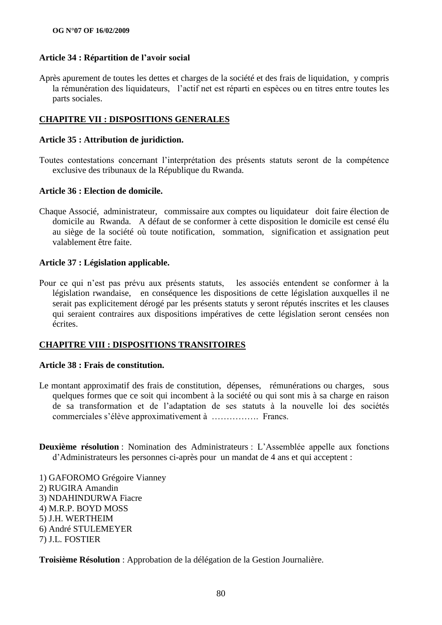#### **Article 34 : Répartition de l"avoir social**

Après apurement de toutes les dettes et charges de la société et des frais de liquidation, y compris la rémunération des liquidateurs, l'actif net est réparti en espèces ou en titres entre toutes les parts sociales.

#### **CHAPITRE VII : DISPOSITIONS GENERALES**

#### **Article 35 : Attribution de juridiction.**

Toutes contestations concernant l"interprétation des présents statuts seront de la compétence exclusive des tribunaux de la République du Rwanda.

#### **Article 36 : Election de domicile.**

Chaque Associé, administrateur, commissaire aux comptes ou liquidateur doit faire élection de domicile au Rwanda. A défaut de se conformer à cette disposition le domicile est censé élu au siège de la société où toute notification, sommation, signification et assignation peut valablement être faite.

#### **Article 37 : Législation applicable.**

Pour ce qui n"est pas prévu aux présents statuts, les associés entendent se conformer à la législation rwandaise, en conséquence les dispositions de cette législation auxquelles il ne serait pas explicitement dérogé par les présents statuts y seront réputés inscrites et les clauses qui seraient contraires aux dispositions impératives de cette législation seront censées non écrites.

## **CHAPITRE VIII : DISPOSITIONS TRANSITOIRES**

#### **Article 38 : Frais de constitution.**

- Le montant approximatif des frais de constitution, dépenses, rémunérations ou charges, sous quelques formes que ce soit qui incombent à la société ou qui sont mis à sa charge en raison de sa transformation et de l"adaptation de ses statuts à la nouvelle loi des sociétés commerciales s"élève approximativement à ……………. Francs.
- **Deuxième résolution** : Nomination des Administrateurs : L"Assemblée appelle aux fonctions d"Administrateurs les personnes ci-après pour un mandat de 4 ans et qui acceptent :
- 1) GAFOROMO Grégoire Vianney 2) RUGIRA Amandin 3) NDAHINDURWA Fiacre 4) M.R.P. BOYD MOSS 5) J.H. WERTHEIM 6) André STULEMEYER 7) J.L. FOSTIER

**Troisième Résolution** : Approbation de la délégation de la Gestion Journalière.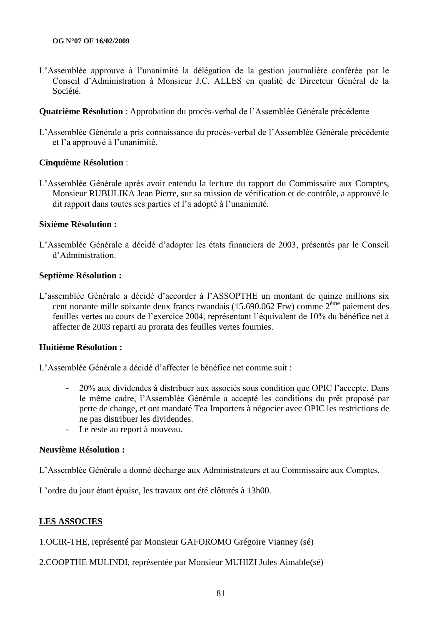L"Assemblée approuve à l"unanimité la délégation de la gestion journalière conférée par le Conseil d"Administration à Monsieur J.C. ALLES en qualité de Directeur Général de la Société.

#### **Quatrième Résolution** : Approbation du procès-verbal de l"Assemblée Générale précédente

L"Assemblée Générale a pris connaissance du procès-verbal de l"Assemblée Générale précédente et l'a approuvé à l'unanimité.

#### **Cinquième Résolution** :

L"Assemblée Générale après avoir entendu la lecture du rapport du Commissaire aux Comptes, Monsieur RUBULIKA Jean Pierre, sur sa mission de vérification et de contrôle, a approuvé le dit rapport dans toutes ses parties et l"a adopté à l"unanimité.

## **Sixième Résolution :**

L"Assemblée Générale a décidé d"adopter les états financiers de 2003, présentés par le Conseil d"Administration.

#### **Septième Résolution :**

L"assemblée Générale a décidé d"accorder à l"ASSOPTHE un montant de quinze millions six cent nonante mille soixante deux francs rwandais (15.690.062 Frw) comme 2ème paiement des feuilles vertes au cours de l"exercice 2004, représentant l"équivalent de 10% du bénéfice net à affecter de 2003 reparti au prorata des feuilles vertes fournies.

#### **Huitième Résolution :**

L"Assemblée Générale a décidé d"affecter le bénéfice net comme suit :

- 20% aux dividendes à distribuer aux associés sous condition que OPIC l"accepte. Dans le même cadre, l"Assemblée Générale a accepté les conditions du prêt proposé par perte de change, et ont mandaté Tea Importers à négocier avec OPIC les restrictions de ne pas distribuer les dividendes.
- Le reste au report à nouveau.

#### **Neuvième Résolution :**

L"Assemblée Générale a donné décharge aux Administrateurs et au Commissaire aux Comptes.

L"ordre du jour étant épuise, les travaux ont été clôturés à 13h00.

#### **LES ASSOCIES**

1.OCIR-THE, représenté par Monsieur GAFOROMO Grégoire Vianney (sé)

2.COOPTHE MULINDI, représentée par Monsieur MUHIZI Jules Aimable(sé)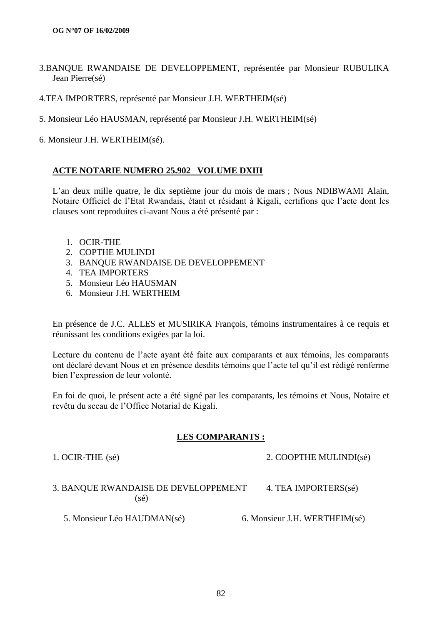- 3.BANQUE RWANDAISE DE DEVELOPPEMENT, représentée par Monsieur RUBULIKA Jean Pierre(sé)
- 4.TEA IMPORTERS, représenté par Monsieur J.H. WERTHEIM(sé)
- 5. Monsieur Léo HAUSMAN, représenté par Monsieur J.H. WERTHEIM(sé)
- 6. Monsieur J.H. WERTHEIM(sé).

#### **ACTE NOTARIE NUMERO 25.902 VOLUME DXIII**

L"an deux mille quatre, le dix septième jour du mois de mars ; Nous NDIBWAMI Alain, Notaire Officiel de l"Etat Rwandais, étant et résidant à Kigali, certifions que l"acte dont les clauses sont reproduites ci-avant Nous a été présenté par :

- 1. OCIR-THE
- 2. COPTHE MULINDI
- 3. BANQUE RWANDAISE DE DEVELOPPEMENT
- 4. TEA IMPORTERS
- 5. Monsieur Léo HAUSMAN
- 6. Monsieur J.H. WERTHEIM

En présence de J.C. ALLES et MUSIRIKA François, témoins instrumentaires à ce requis et réunissant les conditions exigées par la loi.

Lecture du contenu de l'acte ayant été faite aux comparants et aux témoins, les comparants ont déclaré devant Nous et en présence desdits témoins que l"acte tel qu"il est rédigé renferme bien l"expression de leur volonté.

En foi de quoi, le présent acte a été signé par les comparants, les témoins et Nous, Notaire et revêtu du sceau de l"Office Notarial de Kigali.

#### **LES COMPARANTS :**

1. OCIR-THE (sé) 2. COOPTHE MULINDI(sé)

## 3. BANQUE RWANDAISE DE DEVELOPPEMENT  $4.$  TEA IMPORTERS(sé) (sé)

5. Monsieur Léo HAUDMAN(sé) 6. Monsieur J.H. WERTHEIM(sé)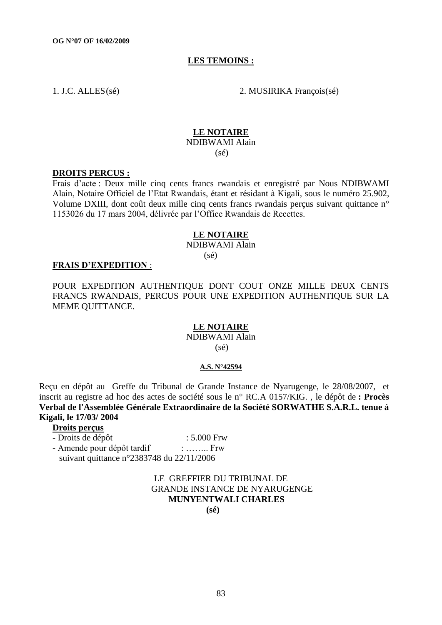#### **LES TEMOINS :**

1. J.C. ALLES(sé) 2. MUSIRIKA François(sé)

#### **LE NOTAIRE**

NDIBWAMI Alain (sé)

#### **DROITS PERCUS :**

Frais d"acte : Deux mille cinq cents francs rwandais et enregistré par Nous NDIBWAMI Alain, Notaire Officiel de l"Etat Rwandais, étant et résidant à Kigali, sous le numéro 25.902, Volume DXIII, dont coût deux mille cinq cents francs rwandais perçus suivant quittance n° 1153026 du 17 mars 2004, délivrée par l"Office Rwandais de Recettes.

#### **LE NOTAIRE**

NDIBWAMI Alain (sé)

#### **FRAIS D"EXPEDITION** :

POUR EXPEDITION AUTHENTIQUE DONT COUT ONZE MILLE DEUX CENTS FRANCS RWANDAIS, PERCUS POUR UNE EXPEDITION AUTHENTIQUE SUR LA MEME QUITTANCE.

#### **LE NOTAIRE**

NDIBWAMI Alain (sé)

#### **A.S. N°42594**

Reçu en dépôt au Greffe du Tribunal de Grande Instance de Nyarugenge, le 28/08/2007, et inscrit au registre ad hoc des actes de société sous le n° RC.A 0157/KIG. , le dépôt de **: Procès Verbal de l'Assemblée Générale Extraordinaire de la Société SORWATHE S.A.R.L. tenue à Kigali, le 17/03/ 2004**

## **Droits perçus**

| - Droits de dépôt                                    | $: 5.000$ Frw    |
|------------------------------------------------------|------------------|
| - Amende pour dépôt tardif                           | $\therefore$ Frw |
| suivant quittance $n^{\circ}2383748$ du $22/11/2006$ |                  |

## LE GREFFIER DU TRIBUNAL DE GRANDE INSTANCE DE NYARUGENGE  **MUNYENTWALI CHARLES (sé)**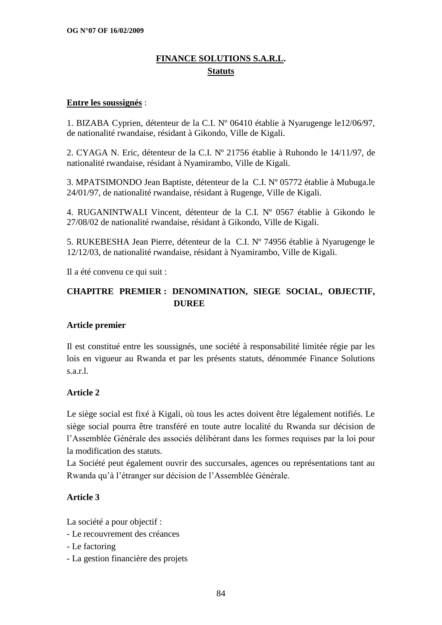# **FINANCE SOLUTIONS S.A.R.L. Statuts**

## **Entre les soussignés** :

1. BIZABA Cyprien, détenteur de la C.I. Nº 06410 établie à Nyarugenge le12/06/97, de nationalité rwandaise, résidant à Gikondo, Ville de Kigali.

2. CYAGA N. Eric, détenteur de la C.I. Nº 21756 établie à Ruhondo le 14/11/97, de nationalité rwandaise, résidant à Nyamirambo, Ville de Kigali.

3. MPATSIMONDO Jean Baptiste, détenteur de la C.I. Nº 05772 établie à Mubuga.le 24/01/97, de nationalité rwandaise, résidant à Rugenge, Ville de Kigali.

4. RUGANINTWALI Vincent, détenteur de la C.I. Nº 0567 établie à Gikondo le 27/08/02 de nationalité rwandaise, résidant à Gikondo, Ville de Kigali.

5. RUKEBESHA Jean Pierre, détenteur de la C.I. Nº 74956 établie à Nyarugenge le 12/12/03, de nationalité rwandaise, résidant à Nyamirambo, Ville de Kigali.

Il a été convenu ce qui suit :

# **CHAPITRE PREMIER : DENOMINATION, SIEGE SOCIAL, OBJECTIF, DUREE**

## **Article premier**

Il est constitué entre les soussignés, une société à responsabilité limitée régie par les lois en vigueur au Rwanda et par les présents statuts, dénommée Finance Solutions s.a.r.l.

## **Article 2**

Le siège social est fixé à Kigali, où tous les actes doivent être légalement notifiés. Le siège social pourra être transféré en toute autre localité du Rwanda sur décision de l"Assemblée Générale des associés délibérant dans les formes requises par la loi pour la modification des statuts.

La Société peut également ouvrir des succursales, agences ou représentations tant au Rwanda qu"à l"étranger sur décision de l"Assemblée Générale.

## **Article 3**

La société a pour objectif :

- Le recouvrement des créances
- Le factoring
- La gestion financière des projets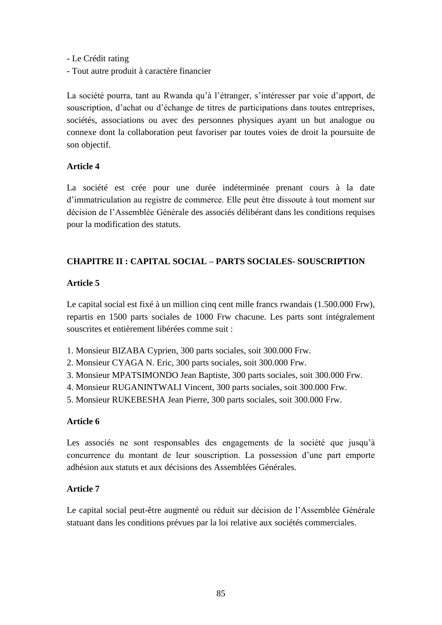- Le Crédit rating
- Tout autre produit à caractère financier

La société pourra, tant au Rwanda qu"à l"étranger, s"intéresser par voie d"apport, de souscription, d"achat ou d"échange de titres de participations dans toutes entreprises, sociétés, associations ou avec des personnes physiques ayant un but analogue ou connexe dont la collaboration peut favoriser par toutes voies de droit la poursuite de son objectif.

## **Article 4**

La société est crée pour une durée indéterminée prenant cours à la date d"immatriculation au registre de commerce. Elle peut être dissoute à tout moment sur décision de l"Assemblée Générale des associés délibérant dans les conditions requises pour la modification des statuts.

# **CHAPITRE II : CAPITAL SOCIAL – PARTS SOCIALES- SOUSCRIPTION**

# **Article 5**

Le capital social est fixé à un million cinq cent mille francs rwandais (1.500.000 Frw), repartis en 1500 parts sociales de 1000 Frw chacune. Les parts sont intégralement souscrites et entièrement libérées comme suit :

- 1. Monsieur BIZABA Cyprien, 300 parts sociales, soit 300.000 Frw.
- 2. Monsieur CYAGA N. Eric, 300 parts sociales, soit 300.000 Frw.
- 3. Monsieur MPATSIMONDO Jean Baptiste, 300 parts sociales, soit 300.000 Frw.
- 4. Monsieur RUGANINTWALI Vincent, 300 parts sociales, soit 300.000 Frw.
- 5. Monsieur RUKEBESHA Jean Pierre, 300 parts sociales, soit 300.000 Frw.

# **Article 6**

Les associés ne sont responsables des engagements de la société que jusqu'à concurrence du montant de leur souscription. La possession d"une part emporte adhésion aux statuts et aux décisions des Assemblées Générales.

# **Article 7**

Le capital social peut-être augmenté ou réduit sur décision de l"Assemblée Générale statuant dans les conditions prévues par la loi relative aux sociétés commerciales.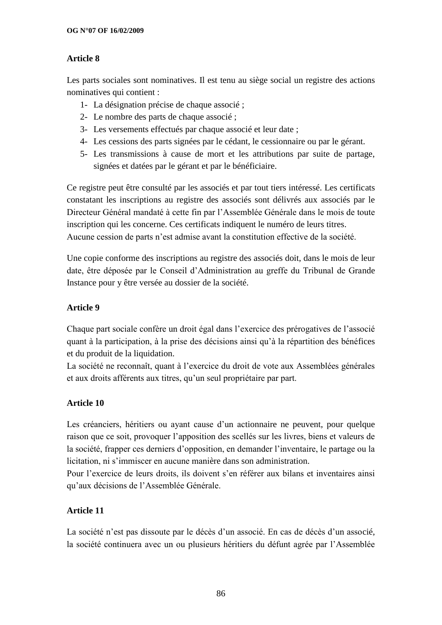# **Article 8**

Les parts sociales sont nominatives. Il est tenu au siège social un registre des actions nominatives qui contient :

- 1- La désignation précise de chaque associé ;
- 2- Le nombre des parts de chaque associé ;
- 3- Les versements effectués par chaque associé et leur date ;
- 4- Les cessions des parts signées par le cédant, le cessionnaire ou par le gérant.
- 5- Les transmissions à cause de mort et les attributions par suite de partage, signées et datées par le gérant et par le bénéficiaire.

Ce registre peut être consulté par les associés et par tout tiers intéressé. Les certificats constatant les inscriptions au registre des associés sont délivrés aux associés par le Directeur Général mandaté à cette fin par l"Assemblée Générale dans le mois de toute inscription qui les concerne. Ces certificats indiquent le numéro de leurs titres. Aucune cession de parts n"est admise avant la constitution effective de la société.

Une copie conforme des inscriptions au registre des associés doit, dans le mois de leur date, être déposée par le Conseil d"Administration au greffe du Tribunal de Grande Instance pour y être versée au dossier de la société.

# **Article 9**

Chaque part sociale confère un droit égal dans l"exercice des prérogatives de l"associé quant à la participation, à la prise des décisions ainsi qu"à la répartition des bénéfices et du produit de la liquidation.

La société ne reconnaît, quant à l"exercice du droit de vote aux Assemblées générales et aux droits afférents aux titres, qu"un seul propriétaire par part.

# **Article 10**

Les créanciers, héritiers ou ayant cause d'un actionnaire ne peuvent, pour quelque raison que ce soit, provoquer l"apposition des scellés sur les livres, biens et valeurs de la société, frapper ces derniers d"opposition, en demander l"inventaire, le partage ou la licitation, ni s'immiscer en aucune manière dans son administration.

Pour l"exercice de leurs droits, ils doivent s"en référer aux bilans et inventaires ainsi qu"aux décisions de l"Assemblée Générale.

# **Article 11**

La société n'est pas dissoute par le décès d'un associé. En cas de décès d'un associé, la société continuera avec un ou plusieurs héritiers du défunt agrée par l"Assemblée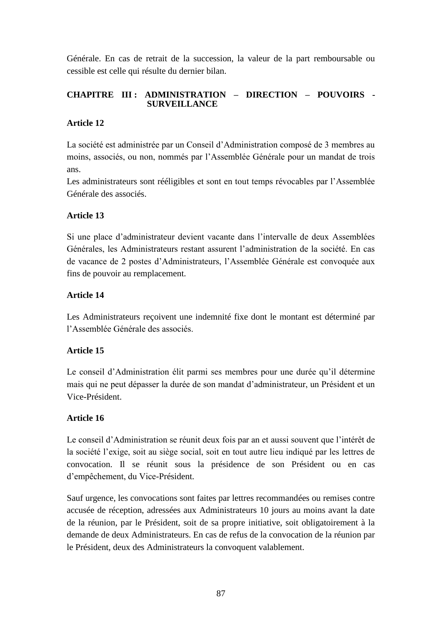Générale. En cas de retrait de la succession, la valeur de la part remboursable ou cessible est celle qui résulte du dernier bilan.

## **CHAPITRE III : ADMINISTRATION – DIRECTION – POUVOIRS - SURVEILLANCE**

# **Article 12**

La société est administrée par un Conseil d"Administration composé de 3 membres au moins, associés, ou non, nommés par l"Assemblée Générale pour un mandat de trois ans.

Les administrateurs sont rééligibles et sont en tout temps révocables par l"Assemblée Générale des associés.

# **Article 13**

Si une place d"administrateur devient vacante dans l"intervalle de deux Assemblées Générales, les Administrateurs restant assurent l"administration de la société. En cas de vacance de 2 postes d"Administrateurs, l"Assemblée Générale est convoquée aux fins de pouvoir au remplacement.

# **Article 14**

Les Administrateurs reçoivent une indemnité fixe dont le montant est déterminé par l"Assemblée Générale des associés.

# **Article 15**

Le conseil d"Administration élit parmi ses membres pour une durée qu"il détermine mais qui ne peut dépasser la durée de son mandat d"administrateur, un Président et un Vice-Président.

## **Article 16**

Le conseil d"Administration se réunit deux fois par an et aussi souvent que l"intérêt de la société l"exige, soit au siège social, soit en tout autre lieu indiqué par les lettres de convocation. Il se réunit sous la présidence de son Président ou en cas d"empêchement, du Vice-Président.

Sauf urgence, les convocations sont faites par lettres recommandées ou remises contre accusée de réception, adressées aux Administrateurs 10 jours au moins avant la date de la réunion, par le Président, soit de sa propre initiative, soit obligatoirement à la demande de deux Administrateurs. En cas de refus de la convocation de la réunion par le Président, deux des Administrateurs la convoquent valablement.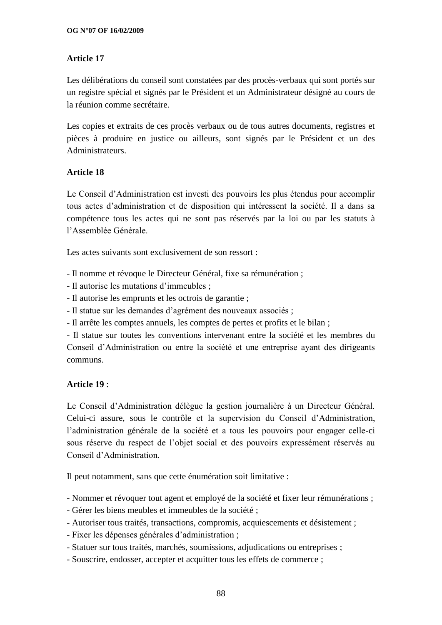## **Article 17**

Les délibérations du conseil sont constatées par des procès-verbaux qui sont portés sur un registre spécial et signés par le Président et un Administrateur désigné au cours de la réunion comme secrétaire.

Les copies et extraits de ces procès verbaux ou de tous autres documents, registres et pièces à produire en justice ou ailleurs, sont signés par le Président et un des Administrateurs.

## **Article 18**

Le Conseil d"Administration est investi des pouvoirs les plus étendus pour accomplir tous actes d"administration et de disposition qui intéressent la société. Il a dans sa compétence tous les actes qui ne sont pas réservés par la loi ou par les statuts à l"Assemblée Générale.

Les actes suivants sont exclusivement de son ressort :

- Il nomme et révoque le Directeur Général, fixe sa rémunération ;
- Il autorise les mutations d"immeubles ;
- Il autorise les emprunts et les octrois de garantie ;
- Il statue sur les demandes d"agrément des nouveaux associés ;
- Il arrête les comptes annuels, les comptes de pertes et profits et le bilan ;

- Il statue sur toutes les conventions intervenant entre la société et les membres du Conseil d"Administration ou entre la société et une entreprise ayant des dirigeants communs.

## **Article 19** :

Le Conseil d"Administration délègue la gestion journalière à un Directeur Général. Celui-ci assure, sous le contrôle et la supervision du Conseil d"Administration, l"administration générale de la société et a tous les pouvoirs pour engager celle-ci sous réserve du respect de l"objet social et des pouvoirs expressément réservés au Conseil d"Administration.

Il peut notamment, sans que cette énumération soit limitative :

- Nommer et révoquer tout agent et employé de la société et fixer leur rémunérations ;
- Gérer les biens meubles et immeubles de la société ;
- Autoriser tous traités, transactions, compromis, acquiescements et désistement ;
- Fixer les dépenses générales d"administration ;
- Statuer sur tous traités, marchés, soumissions, adjudications ou entreprises ;
- Souscrire, endosser, accepter et acquitter tous les effets de commerce ;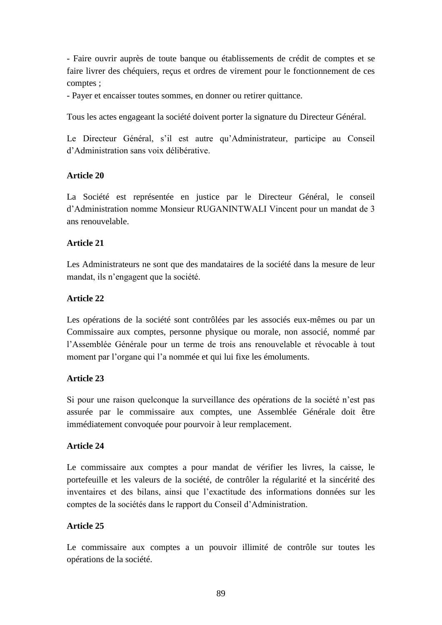- Faire ouvrir auprès de toute banque ou établissements de crédit de comptes et se faire livrer des chéquiers, reçus et ordres de virement pour le fonctionnement de ces comptes ;

- Payer et encaisser toutes sommes, en donner ou retirer quittance.

Tous les actes engageant la société doivent porter la signature du Directeur Général.

Le Directeur Général, s'il est autre qu'Administrateur, participe au Conseil d"Administration sans voix délibérative.

## **Article 20**

La Société est représentée en justice par le Directeur Général, le conseil d"Administration nomme Monsieur RUGANINTWALI Vincent pour un mandat de 3 ans renouvelable.

# **Article 21**

Les Administrateurs ne sont que des mandataires de la société dans la mesure de leur mandat, ils n"engagent que la société.

# **Article 22**

Les opérations de la société sont contrôlées par les associés eux-mêmes ou par un Commissaire aux comptes, personne physique ou morale, non associé, nommé par l"Assemblée Générale pour un terme de trois ans renouvelable et révocable à tout moment par l'organe qui l'a nommée et qui lui fixe les émoluments.

## **Article 23**

Si pour une raison quelconque la surveillance des opérations de la société n"est pas assurée par le commissaire aux comptes, une Assemblée Générale doit être immédiatement convoquée pour pourvoir à leur remplacement.

## **Article 24**

Le commissaire aux comptes a pour mandat de vérifier les livres, la caisse, le portefeuille et les valeurs de la société, de contrôler la régularité et la sincérité des inventaires et des bilans, ainsi que l"exactitude des informations données sur les comptes de la sociétés dans le rapport du Conseil d"Administration.

# **Article 25**

Le commissaire aux comptes a un pouvoir illimité de contrôle sur toutes les opérations de la société.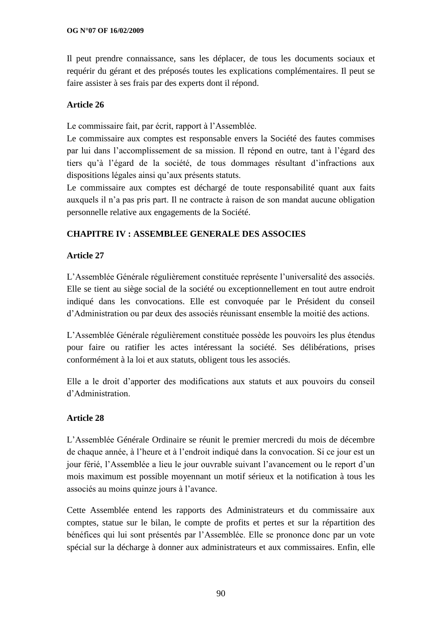Il peut prendre connaissance, sans les déplacer, de tous les documents sociaux et requérir du gérant et des préposés toutes les explications complémentaires. Il peut se faire assister à ses frais par des experts dont il répond.

# **Article 26**

Le commissaire fait, par écrit, rapport à l"Assemblée.

Le commissaire aux comptes est responsable envers la Société des fautes commises par lui dans l"accomplissement de sa mission. Il répond en outre, tant à l"égard des tiers qu"à l"égard de la société, de tous dommages résultant d"infractions aux dispositions légales ainsi qu"aux présents statuts.

Le commissaire aux comptes est déchargé de toute responsabilité quant aux faits auxquels il n"a pas pris part. Il ne contracte à raison de son mandat aucune obligation personnelle relative aux engagements de la Société.

# **CHAPITRE IV : ASSEMBLEE GENERALE DES ASSOCIES**

# **Article 27**

L"Assemblée Générale régulièrement constituée représente l"universalité des associés. Elle se tient au siège social de la société ou exceptionnellement en tout autre endroit indiqué dans les convocations. Elle est convoquée par le Président du conseil d"Administration ou par deux des associés réunissant ensemble la moitié des actions.

L"Assemblée Générale régulièrement constituée possède les pouvoirs les plus étendus pour faire ou ratifier les actes intéressant la société. Ses délibérations, prises conformément à la loi et aux statuts, obligent tous les associés.

Elle a le droit d"apporter des modifications aux statuts et aux pouvoirs du conseil d"Administration.

# **Article 28**

L"Assemblée Générale Ordinaire se réunit le premier mercredi du mois de décembre de chaque année, à l"heure et à l"endroit indiqué dans la convocation. Si ce jour est un jour férié, l"Assemblée a lieu le jour ouvrable suivant l"avancement ou le report d"un mois maximum est possible moyennant un motif sérieux et la notification à tous les associés au moins quinze jours à l"avance.

Cette Assemblée entend les rapports des Administrateurs et du commissaire aux comptes, statue sur le bilan, le compte de profits et pertes et sur la répartition des bénéfices qui lui sont présentés par l"Assemblée. Elle se prononce donc par un vote spécial sur la décharge à donner aux administrateurs et aux commissaires. Enfin, elle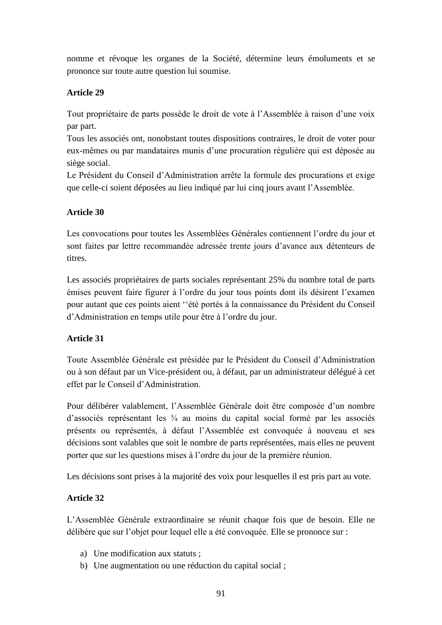nomme et révoque les organes de la Société, détermine leurs émoluments et se prononce sur toute autre question lui soumise.

# **Article 29**

Tout propriétaire de parts possède le droit de vote à l"Assemblée à raison d"une voix par part.

Tous les associés ont, nonobstant toutes dispositions contraires, le droit de voter pour eux-mêmes ou par mandataires munis d"une procuration régulière qui est déposée au siège social.

Le Président du Conseil d"Administration arrête la formule des procurations et exige que celle-ci soient déposées au lieu indiqué par lui cinq jours avant l"Assemblée.

# **Article 30**

Les convocations pour toutes les Assemblées Générales contiennent l"ordre du jour et sont faites par lettre recommandée adressée trente jours d"avance aux détenteurs de titres.

Les associés propriétaires de parts sociales représentant 25% du nombre total de parts émises peuvent faire figurer à l"ordre du jour tous points dont ils désirent l"examen pour autant que ces points aient ""été portés à la connaissance du Président du Conseil d"Administration en temps utile pour être à l"ordre du jour.

# **Article 31**

Toute Assemblée Générale est présidée par le Président du Conseil d"Administration ou à son défaut par un Vice-président ou, à défaut, par un administrateur délégué à cet effet par le Conseil d"Administration.

Pour délibérer valablement, l"Assemblée Générale doit être composée d"un nombre d'associés représentant les  $\frac{3}{4}$  au moins du capital social formé par les associés présents ou représentés, à défaut l"Assemblée est convoquée à nouveau et ses décisions sont valables que soit le nombre de parts représentées, mais elles ne peuvent porter que sur les questions mises à l"ordre du jour de la première réunion.

Les décisions sont prises à la majorité des voix pour lesquelles il est pris part au vote.

# **Article 32**

L"Assemblée Générale extraordinaire se réunit chaque fois que de besoin. Elle ne délibère que sur l"objet pour lequel elle a été convoquée. Elle se prononce sur :

- a) Une modification aux statuts ;
- b) Une augmentation ou une réduction du capital social ;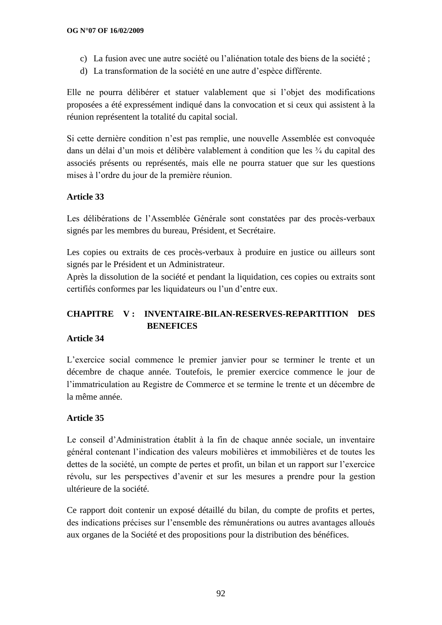- c) La fusion avec une autre société ou l"aliénation totale des biens de la société ;
- d) La transformation de la société en une autre d"espèce différente.

Elle ne pourra délibérer et statuer valablement que si l"objet des modifications proposées a été expressément indiqué dans la convocation et si ceux qui assistent à la réunion représentent la totalité du capital social.

Si cette dernière condition n"est pas remplie, une nouvelle Assemblée est convoquée dans un délai d"un mois et délibère valablement à condition que les ¾ du capital des associés présents ou représentés, mais elle ne pourra statuer que sur les questions mises à l"ordre du jour de la première réunion.

# **Article 33**

Les délibérations de l"Assemblée Générale sont constatées par des procès-verbaux signés par les membres du bureau, Président, et Secrétaire.

Les copies ou extraits de ces procès-verbaux à produire en justice ou ailleurs sont signés par le Président et un Administrateur.

Après la dissolution de la société et pendant la liquidation, ces copies ou extraits sont certifiés conformes par les liquidateurs ou l"un d"entre eux.

# **CHAPITRE V : INVENTAIRE-BILAN-RESERVES-REPARTITION DES BENEFICES**

# **Article 34**

L"exercice social commence le premier janvier pour se terminer le trente et un décembre de chaque année. Toutefois, le premier exercice commence le jour de l"immatriculation au Registre de Commerce et se termine le trente et un décembre de la même année.

# **Article 35**

Le conseil d"Administration établit à la fin de chaque année sociale, un inventaire général contenant l"indication des valeurs mobilières et immobilières et de toutes les dettes de la société, un compte de pertes et profit, un bilan et un rapport sur l"exercice révolu, sur les perspectives d"avenir et sur les mesures a prendre pour la gestion ultérieure de la société.

Ce rapport doit contenir un exposé détaillé du bilan, du compte de profits et pertes, des indications précises sur l"ensemble des rémunérations ou autres avantages alloués aux organes de la Société et des propositions pour la distribution des bénéfices.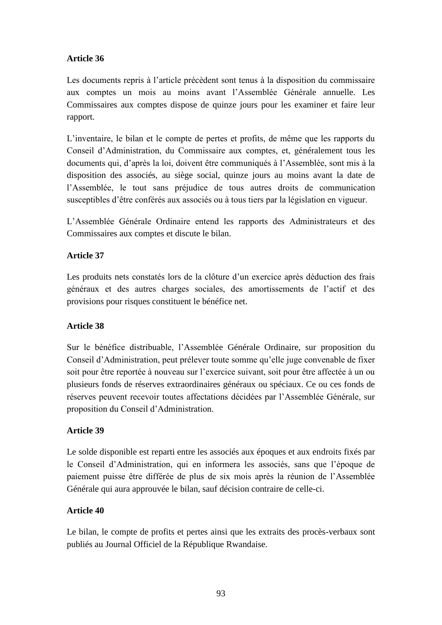# **Article 36**

Les documents repris à l"article précèdent sont tenus à la disposition du commissaire aux comptes un mois au moins avant l"Assemblée Générale annuelle. Les Commissaires aux comptes dispose de quinze jours pour les examiner et faire leur rapport.

L"inventaire, le bilan et le compte de pertes et profits, de même que les rapports du Conseil d"Administration, du Commissaire aux comptes, et, généralement tous les documents qui, d"après la loi, doivent être communiqués à l"Assemblée, sont mis à la disposition des associés, au siège social, quinze jours au moins avant la date de l"Assemblée, le tout sans préjudice de tous autres droits de communication susceptibles d"être conférés aux associés ou à tous tiers par la législation en vigueur.

L"Assemblée Générale Ordinaire entend les rapports des Administrateurs et des Commissaires aux comptes et discute le bilan.

# **Article 37**

Les produits nets constatés lors de la clôture d'un exercice après déduction des frais généraux et des autres charges sociales, des amortissements de l"actif et des provisions pour risques constituent le bénéfice net.

## **Article 38**

Sur le bénéfice distribuable, l"Assemblée Générale Ordinaire, sur proposition du Conseil d"Administration, peut prélever toute somme qu"elle juge convenable de fixer soit pour être reportée à nouveau sur l"exercice suivant, soit pour être affectée à un ou plusieurs fonds de réserves extraordinaires généraux ou spéciaux. Ce ou ces fonds de réserves peuvent recevoir toutes affectations décidées par l"Assemblée Générale, sur proposition du Conseil d"Administration.

## **Article 39**

Le solde disponible est reparti entre les associés aux époques et aux endroits fixés par le Conseil d"Administration, qui en informera les associés, sans que l"époque de paiement puisse être différée de plus de six mois après la réunion de l"Assemblée Générale qui aura approuvée le bilan, sauf décision contraire de celle-ci.

## **Article 40**

Le bilan, le compte de profits et pertes ainsi que les extraits des procès-verbaux sont publiés au Journal Officiel de la République Rwandaise.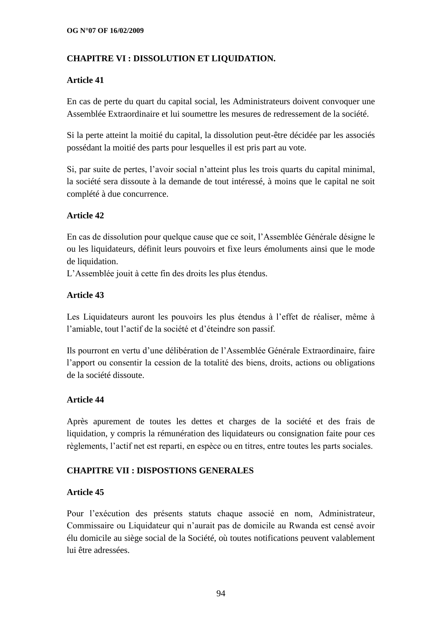# **CHAPITRE VI : DISSOLUTION ET LIQUIDATION.**

## **Article 41**

En cas de perte du quart du capital social, les Administrateurs doivent convoquer une Assemblée Extraordinaire et lui soumettre les mesures de redressement de la société.

Si la perte atteint la moitié du capital, la dissolution peut-être décidée par les associés possédant la moitié des parts pour lesquelles il est pris part au vote.

Si, par suite de pertes, l"avoir social n"atteint plus les trois quarts du capital minimal, la société sera dissoute à la demande de tout intéressé, à moins que le capital ne soit complété à due concurrence.

## **Article 42**

En cas de dissolution pour quelque cause que ce soit, l"Assemblée Générale désigne le ou les liquidateurs, définit leurs pouvoirs et fixe leurs émoluments ainsi que le mode de liquidation.

L"Assemblée jouit à cette fin des droits les plus étendus.

## **Article 43**

Les Liquidateurs auront les pouvoirs les plus étendus à l'effet de réaliser, même à l"amiable, tout l"actif de la société et d"éteindre son passif.

Ils pourront en vertu d"une délibération de l"Assemblée Générale Extraordinaire, faire l"apport ou consentir la cession de la totalité des biens, droits, actions ou obligations de la société dissoute.

#### **Article 44**

Après apurement de toutes les dettes et charges de la société et des frais de liquidation, y compris la rémunération des liquidateurs ou consignation faite pour ces règlements, l"actif net est reparti, en espèce ou en titres, entre toutes les parts sociales.

## **CHAPITRE VII : DISPOSTIONS GENERALES**

#### **Article 45**

Pour l"exécution des présents statuts chaque associé en nom, Administrateur, Commissaire ou Liquidateur qui n"aurait pas de domicile au Rwanda est censé avoir élu domicile au siège social de la Société, où toutes notifications peuvent valablement lui être adressées.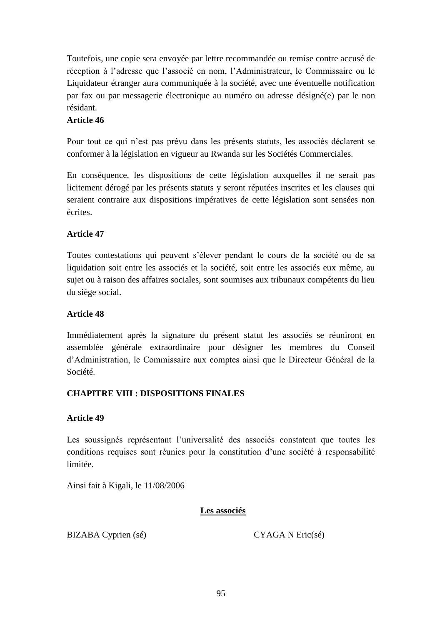Toutefois, une copie sera envoyée par lettre recommandée ou remise contre accusé de réception à l"adresse que l"associé en nom, l"Administrateur, le Commissaire ou le Liquidateur étranger aura communiquée à la société, avec une éventuelle notification par fax ou par messagerie électronique au numéro ou adresse désigné(e) par le non résidant.

# **Article 46**

Pour tout ce qui n"est pas prévu dans les présents statuts, les associés déclarent se conformer à la législation en vigueur au Rwanda sur les Sociétés Commerciales.

En conséquence, les dispositions de cette législation auxquelles il ne serait pas licitement dérogé par les présents statuts y seront réputées inscrites et les clauses qui seraient contraire aux dispositions impératives de cette législation sont sensées non écrites.

## **Article 47**

Toutes contestations qui peuvent s"élever pendant le cours de la société ou de sa liquidation soit entre les associés et la société, soit entre les associés eux même, au sujet ou à raison des affaires sociales, sont soumises aux tribunaux compétents du lieu du siège social.

## **Article 48**

Immédiatement après la signature du présent statut les associés se réuniront en assemblée générale extraordinaire pour désigner les membres du Conseil d"Administration, le Commissaire aux comptes ainsi que le Directeur Général de la Société.

# **CHAPITRE VIII : DISPOSITIONS FINALES**

## **Article 49**

Les soussignés représentant l'universalité des associés constatent que toutes les conditions requises sont réunies pour la constitution d"une société à responsabilité limitée.

Ainsi fait à Kigali, le 11/08/2006

## **Les associés**

BIZABA Cyprien (sé) CYAGA N Eric(sé)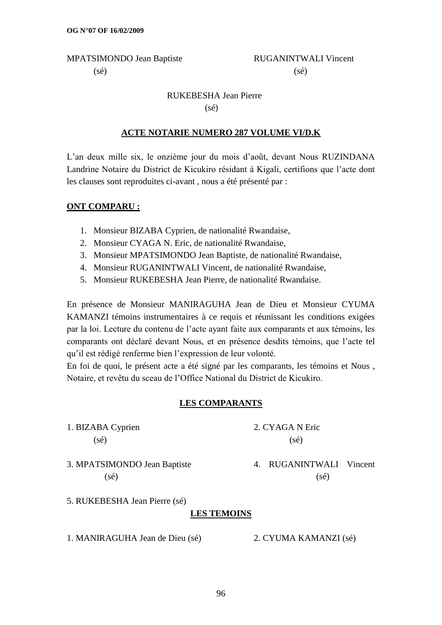MPATSIMONDO Jean Baptiste RUGANINTWALI Vincent

# $(s\acute{e})$  (sé)

# RUKEBESHA Jean Pierre (sé)

# **ACTE NOTARIE NUMERO 287 VOLUME VI/D.K**

L"an deux mille six, le onzième jour du mois d"août, devant Nous RUZINDANA Landrine Notaire du District de Kicukiro résidant à Kigali, certifions que l"acte dont les clauses sont reproduites ci-avant , nous a été présenté par :

# **ONT COMPARU :**

- 1. Monsieur BIZABA Cyprien, de nationalité Rwandaise,
- 2. Monsieur CYAGA N. Eric, de nationalité Rwandaise,
- 3. Monsieur MPATSIMONDO Jean Baptiste, de nationalité Rwandaise,
- 4. Monsieur RUGANINTWALI Vincent, de nationalité Rwandaise,
- 5. Monsieur RUKEBESHA Jean Pierre, de nationalité Rwandaise.

En présence de Monsieur MANIRAGUHA Jean de Dieu et Monsieur CYUMA KAMANZI témoins instrumentaires à ce requis et réunissant les conditions exigées par la loi. Lecture du contenu de l"acte ayant faite aux comparants et aux témoins, les comparants ont déclaré devant Nous, et en présence desdits témoins, que l"acte tel qu"il est rédigé renferme bien l"expression de leur volonté.

En foi de quoi, le présent acte a été signé par les comparants, les témoins et Nous , Notaire, et revêtu du sceau de l"Office National du District de Kicukiro.

# **LES COMPARANTS**

1. BIZABA Cyprien 2. CYAGA N Eric  $(s\acute{e})$  (sé)

3. MPATSIMONDO Jean Baptiste 4. RUGANINTWALI Vincent  $(s\acute{e})$  (sé)

5. RUKEBESHA Jean Pierre (sé)

# **LES TEMOINS**

1. MANIRAGUHA Jean de Dieu (sé) 2. CYUMA KAMANZI (sé)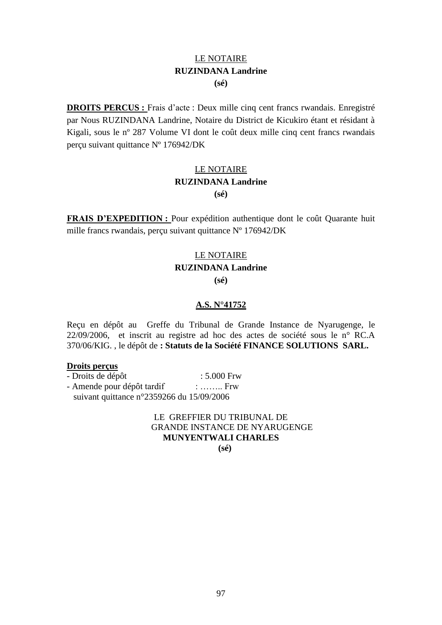# LE NOTAIRE **RUZINDANA Landrine (sé)**

**DROITS PERCUS :** Frais d"acte : Deux mille cinq cent francs rwandais. Enregistré par Nous RUZINDANA Landrine, Notaire du District de Kicukiro étant et résidant à Kigali, sous le nº 287 Volume VI dont le coût deux mille cinq cent francs rwandais perçu suivant quittance Nº 176942/DK

# LE NOTAIRE **RUZINDANA Landrine (sé)**

**FRAIS D'EXPEDITION :** Pour expédition authentique dont le coût Quarante huit mille francs rwandais, perçu suivant quittance Nº 176942/DK

# LE NOTAIRE **RUZINDANA Landrine (sé)**

## **A.S. N°41752**

Reçu en dépôt au Greffe du Tribunal de Grande Instance de Nyarugenge, le 22/09/2006, et inscrit au registre ad hoc des actes de société sous le n° RC.A 370/06/KIG. , le dépôt de **: Statuts de la Société FINANCE SOLUTIONS SARL.**

#### **Droits perçus**

- Droits de dépôt : 5.000 Frw
- Amende pour dépôt tardif : ……... Frw suivant quittance n°2359266 du 15/09/2006

LE GREFFIER DU TRIBUNAL DE GRANDE INSTANCE DE NYARUGENGE **MUNYENTWALI CHARLES (sé)**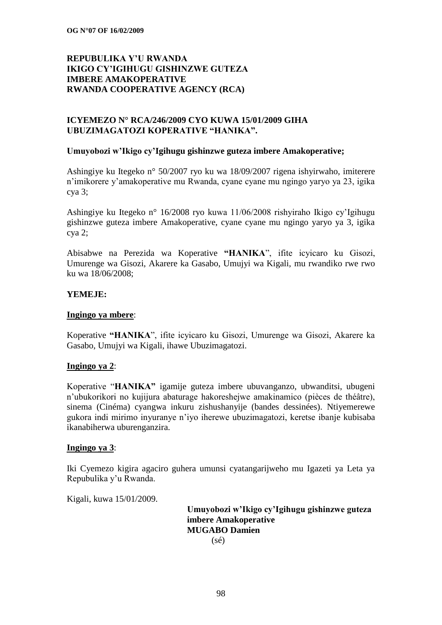## **REPUBULIKA Y"U RWANDA IKIGO CY"IGIHUGU GISHINZWE GUTEZA IMBERE AMAKOPERATIVE RWANDA COOPERATIVE AGENCY (RCA)**

## **ICYEMEZO N° RCA/246/2009 CYO KUWA 15/01/2009 GIHA UBUZIMAGATOZI KOPERATIVE "HANIKA".**

#### **Umuyobozi w"Ikigo cy"Igihugu gishinzwe guteza imbere Amakoperative;**

Ashingiye ku Itegeko n° 50/2007 ryo ku wa 18/09/2007 rigena ishyirwaho, imiterere n"imikorere y"amakoperative mu Rwanda, cyane cyane mu ngingo yaryo ya 23, igika cya 3;

Ashingiye ku Itegeko n° 16/2008 ryo kuwa 11/06/2008 rishyiraho Ikigo cy"Igihugu gishinzwe guteza imbere Amakoperative, cyane cyane mu ngingo yaryo ya 3, igika cya 2;

Abisabwe na Perezida wa Koperative **"HANIKA**", ifite icyicaro ku Gisozi, Umurenge wa Gisozi, Akarere ka Gasabo, Umujyi wa Kigali, mu rwandiko rwe rwo ku wa 18/06/2008;

#### **YEMEJE:**

#### **Ingingo ya mbere**:

Koperative **"HANIKA**", ifite icyicaro ku Gisozi, Umurenge wa Gisozi, Akarere ka Gasabo, Umujyi wa Kigali, ihawe Ubuzimagatozi.

#### **Ingingo ya 2**:

Koperative "**HANIKA"** igamije guteza imbere ubuvanganzo, ubwanditsi, ubugeni n"ubukorikori no kujijura abaturage hakoreshejwe amakinamico (pièces de théâtre), sinema (Cinéma) cyangwa inkuru zishushanyije (bandes dessinées). Ntiyemerewe gukora indi mirimo inyuranye n"iyo iherewe ubuzimagatozi, keretse ibanje kubisaba ikanabiherwa uburenganzira.

#### **Ingingo ya 3**:

Iki Cyemezo kigira agaciro guhera umunsi cyatangarijweho mu Igazeti ya Leta ya Repubulika y"u Rwanda.

Kigali, kuwa 15/01/2009.

 **Umuyobozi w"Ikigo cy"Igihugu gishinzwe guteza imbere Amakoperative MUGABO Damien** (sé)